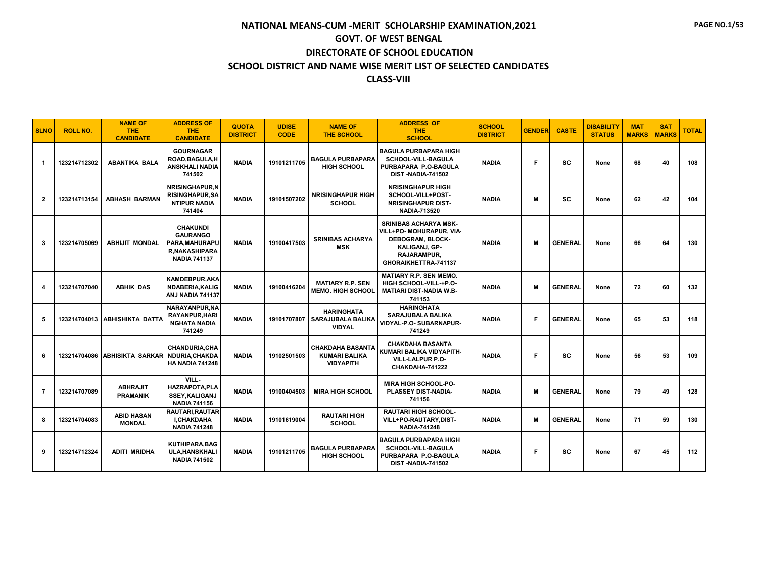| <b>SLNO</b>    | <b>ROLL NO.</b> | <b>NAME OF</b><br>THE.<br><b>CANDIDATE</b> | <b>ADDRESS OF</b><br><b>THE</b><br><b>CANDIDATE</b>                                                 | <b>QUOTA</b><br><b>DISTRICT</b> | <b>UDISE</b><br><b>CODE</b> | <b>NAME OF</b><br><b>THE SCHOOL</b>                                 | <b>ADDRESS OF</b><br>THE.<br><b>SCHOOL</b>                                                                                                        | <b>SCHOOL</b><br><b>DISTRICT</b> | <b>GENDER</b> | <b>CASTE</b>   | <b>DISABILITY</b><br><b>STATUS</b> | <b>MAT</b><br><b>MARKS</b> | <b>SAT</b><br><b>MARKS</b> | <b>TOTAL</b> |
|----------------|-----------------|--------------------------------------------|-----------------------------------------------------------------------------------------------------|---------------------------------|-----------------------------|---------------------------------------------------------------------|---------------------------------------------------------------------------------------------------------------------------------------------------|----------------------------------|---------------|----------------|------------------------------------|----------------------------|----------------------------|--------------|
| -1             | 123214712302    | <b>ABANTIKA BALA</b>                       | <b>GOURNAGAR</b><br>ROAD, BAGULA, H<br><b>ANSKHALI NADIA</b><br>741502                              | <b>NADIA</b>                    | 19101211705                 | <b>BAGULA PURBAPARA</b><br><b>HIGH SCHOOL</b>                       | <b>BAGULA PURBAPARA HIGH</b><br><b>SCHOOL-VILL-BAGULA</b><br>PURBAPARA P.O-BAGULA<br>DIST-NADIA-741502                                            | <b>NADIA</b>                     | F             | <b>SC</b>      | None                               | 68                         | 40                         | 108          |
| $\mathbf{2}$   | 123214713154    | <b>ABHASH BARMAN</b>                       | <b>NRISINGHAPUR.N</b><br><b>RISINGHAPUR, SA</b><br><b>NTIPUR NADIA</b><br>741404                    | <b>NADIA</b>                    | 19101507202                 | <b>NRISINGHAPUR HIGH</b><br><b>SCHOOL</b>                           | <b>NRISINGHAPUR HIGH</b><br>SCHOOL-VILL+POST-<br><b>NRISINGHAPUR DIST-</b><br><b>NADIA-713520</b>                                                 | <b>NADIA</b>                     | M             | <b>SC</b>      | None                               | 62                         | 42                         | 104          |
| 3              | 123214705069    | <b>ABHIJIT MONDAL</b>                      | <b>CHAKUNDI</b><br><b>GAURANGO</b><br>PARA, MAHURAPU<br><b>R.NAKASHIPARA</b><br><b>NADIA 741137</b> | <b>NADIA</b>                    | 19100417503                 | <b>SRINIBAS ACHARYA</b><br><b>MSK</b>                               | <b>SRINIBAS ACHARYA MSK-</b><br>VILL+PO- MOHURAPUR, VIA<br>DEBOGRAM, BLOCK-<br><b>KALIGANJ, GP-</b><br><b>RAJARAMPUR,</b><br>GHORAIKHETTRA-741137 | <b>NADIA</b>                     | M             | <b>GENERAL</b> | None                               | 66                         | 64                         | 130          |
| 4              | 123214707040    | <b>ABHIK DAS</b>                           | <b>KAMDEBPUR, AKA</b><br><b>NDABERIA, KALIG</b><br>ANJ NADIA 741137                                 | <b>NADIA</b>                    | 19100416204                 | <b>MATIARY R.P. SEN</b><br><b>MEMO. HIGH SCHOOL</b>                 | <b>MATIARY R.P. SEN MEMO.</b><br>HIGH SCHOOL-VILL-+P.O-<br><b>MATIARI DIST-NADIA W.B-</b><br>741153                                               | <b>NADIA</b>                     | M             | <b>GENERAL</b> | None                               | 72                         | 60                         | 132          |
| 5              | 123214704013    | <b>ABHISHIKTA DATTA</b>                    | <b>NARAYANPUR.NA</b><br>RAYANPUR, HARI<br><b>NGHATA NADIA</b><br>741249                             | <b>NADIA</b>                    | 19101707807                 | <b>HARINGHATA</b><br><b>SARAJUBALA BALIKA</b><br><b>VIDYAL</b>      | <b>HARINGHATA</b><br><b>SARAJUBALA BALIKA</b><br>VIDYAL-P.O- SUBARNAPUR<br>741249                                                                 | <b>NADIA</b>                     | F             | <b>GENERAL</b> | None                               | 65                         | 53                         | 118          |
| 6              | 123214704086    | <b>ABHISIKTA SARKAR</b>                    | <b>CHANDURIA.CHA</b><br><b>NDURIA.CHAKDA</b><br><b>HA NADIA 741248</b>                              | <b>NADIA</b>                    | 19102501503                 | <b>CHAKDAHA BASANTA</b><br><b>KUMARI BALIKA</b><br><b>VIDYAPITH</b> | <b>CHAKDAHA BASANTA</b><br>KUMARI BALIKA VIDYAPITH-<br>VILL-LALPUR P.O-<br>CHAKDAHA-741222                                                        | <b>NADIA</b>                     | F             | SC             | None                               | 56                         | 53                         | 109          |
| $\overline{7}$ | 123214707089    | <b>ABHRAJIT</b><br><b>PRAMANIK</b>         | VILL-<br><b>HAZRAPOTA.PLA</b><br><b>SSEY, KALIGANJ</b><br><b>NADIA 741156</b>                       | <b>NADIA</b>                    | 19100404503                 | <b>MIRA HIGH SCHOOL</b>                                             | <b>MIRA HIGH SCHOOL-PO-</b><br>PLASSEY DIST-NADIA-<br>741156                                                                                      | <b>NADIA</b>                     | M             | <b>GENERAL</b> | None                               | 79                         | 49                         | 128          |
| 8              | 123214704083    | <b>ABID HASAN</b><br><b>MONDAL</b>         | <b>RAUTARI, RAUTAR</b><br>I,CHAKDAHA<br><b>NADIA 741248</b>                                         | <b>NADIA</b>                    | 19101619004                 | <b>RAUTARI HIGH</b><br><b>SCHOOL</b>                                | <b>RAUTARI HIGH SCHOOL-</b><br>VILL+PO-RAUTARY,DIST-<br><b>NADIA-741248</b>                                                                       | <b>NADIA</b>                     | M             | <b>GENERAL</b> | None                               | 71                         | 59                         | 130          |
| 9              | 123214712324    | <b>ADITI MRIDHA</b>                        | <b>KUTHIPARA, BAG</b><br><b>ULA, HANSKHALI</b><br><b>NADIA 741502</b>                               | <b>NADIA</b>                    | 19101211705                 | <b>BAGULA PURBAPARA</b><br><b>HIGH SCHOOL</b>                       | <b>BAGULA PURBAPARA HIGH</b><br>SCHOOL-VILL-BAGULA<br>PURBAPARA P.O-BAGULA<br><b>DIST-NADIA-741502</b>                                            | <b>NADIA</b>                     | F             | SC             | None                               | 67                         | 45                         | 112          |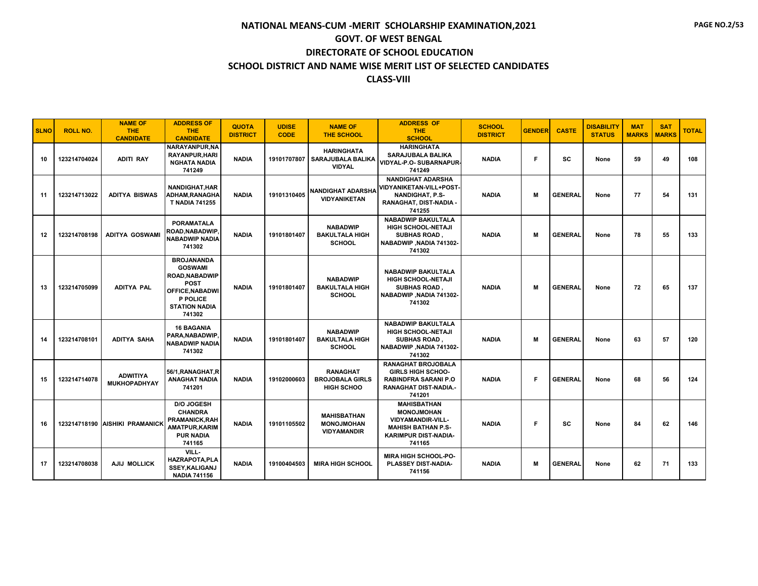| <b>SLNO</b> | <b>ROLL NO.</b> | <b>NAME OF</b><br>THE.<br><b>CANDIDATE</b> | <b>ADDRESS OF</b><br><b>THE</b><br><b>CANDIDATE</b>                                                                                        | <b>QUOTA</b><br><b>DISTRICT</b> | <b>UDISE</b><br><b>CODE</b> | <b>NAME OF</b><br><b>THE SCHOOL</b>                            | <b>ADDRESS OF</b><br><b>THE</b><br><b>SCHOOL</b>                                                                                          | <b>SCHOOL</b><br><b>DISTRICT</b> | <b>GENDER</b> | <b>CASTE</b>   | <b>DISABILITY</b><br><b>STATUS</b> | <b>MAT</b><br><b>MARKS</b> | <b>SAT</b><br><b>MARKS</b> | <b>TOTAL</b> |
|-------------|-----------------|--------------------------------------------|--------------------------------------------------------------------------------------------------------------------------------------------|---------------------------------|-----------------------------|----------------------------------------------------------------|-------------------------------------------------------------------------------------------------------------------------------------------|----------------------------------|---------------|----------------|------------------------------------|----------------------------|----------------------------|--------------|
| 10          | 123214704024    | <b>ADITI RAY</b>                           | NARAYANPUR,NA<br><b>RAYANPUR, HARI</b><br><b>NGHATA NADIA</b><br>741249                                                                    | <b>NADIA</b>                    | 19101707807                 | <b>HARINGHATA</b><br><b>SARAJUBALA BALIKA</b><br><b>VIDYAL</b> | <b>HARINGHATA</b><br><b>SARAJUBALA BALIKA</b><br>VIDYAL-P.O- SUBARNAPUR-<br>741249                                                        | <b>NADIA</b>                     | F.            | <b>SC</b>      | None                               | 59                         | 49                         | 108          |
| 11          | 123214713022    | <b>ADITYA BISWAS</b>                       | <b>NANDIGHAT, HAR</b><br>ADHAM,RANAGHA<br><b>T NADIA 741255</b>                                                                            | <b>NADIA</b>                    | 19101310405                 | <b>NANDIGHAT ADARSHA</b><br><b>VIDYANIKETAN</b>                | <b>NANDIGHAT ADARSHA</b><br>VIDYANIKETAN-VILL+POST-<br><b>NANDIGHAT, P.S-</b><br>RANAGHAT, DIST-NADIA -<br>741255                         | <b>NADIA</b>                     | м             | <b>GENERAL</b> | None                               | 77                         | 54                         | 131          |
| 12          | 123214708198    | <b>ADITYA GOSWAMI</b>                      | <b>PORAMATALA</b><br><b>ROAD.NABADWIP</b><br><b>NABADWIP NADIA</b><br>741302                                                               | <b>NADIA</b>                    | 19101801407                 | <b>NABADWIP</b><br><b>BAKULTALA HIGH</b><br><b>SCHOOL</b>      | <b>NABADWIP BAKULTALA</b><br><b>HIGH SCHOOL-NETAJI</b><br><b>SUBHAS ROAD</b><br>NABADWIP, NADIA 741302-<br>741302                         | <b>NADIA</b>                     | M             | <b>GENERAL</b> | None                               | 78                         | 55                         | 133          |
| 13          | 123214705099    | <b>ADITYA PAL</b>                          | <b>BROJANANDA</b><br><b>GOSWAMI</b><br>ROAD.NABADWIP<br><b>POST</b><br><b>OFFICE.NABADWI</b><br>P POLICE<br><b>STATION NADIA</b><br>741302 | <b>NADIA</b>                    | 19101801407                 | <b>NABADWIP</b><br><b>BAKULTALA HIGH</b><br><b>SCHOOL</b>      | <b>NABADWIP BAKULTALA</b><br><b>HIGH SCHOOL-NETAJI</b><br><b>SUBHAS ROAD</b><br>NABADWIP, NADIA 741302-<br>741302                         | <b>NADIA</b>                     | м             | <b>GENERAL</b> | None                               | 72                         | 65                         | 137          |
| 14          | 123214708101    | <b>ADITYA SAHA</b>                         | <b>16 BAGANIA</b><br>PARA,NABADWIP<br><b>NABADWIP NADIA</b><br>741302                                                                      | <b>NADIA</b>                    | 19101801407                 | <b>NABADWIP</b><br><b>BAKULTALA HIGH</b><br><b>SCHOOL</b>      | <b>NABADWIP BAKULTALA</b><br>HIGH SCHOOL-NETAJI<br><b>SUBHAS ROAD</b> .<br>NABADWIP, NADIA 741302-<br>741302                              | <b>NADIA</b>                     | м             | <b>GENERAL</b> | None                               | 63                         | 57                         | 120          |
| 15          | 123214714078    | <b>ADWITIYA</b><br><b>MUKHOPADHYAY</b>     | 56/1, RANAGHAT, R<br><b>ANAGHAT NADIA</b><br>741201                                                                                        | <b>NADIA</b>                    | 19102000603                 | <b>RANAGHAT</b><br><b>BROJOBALA GIRLS</b><br><b>HIGH SCHOO</b> | <b>RANAGHAT BROJOBALA</b><br><b>GIRLS HIGH SCHOO-</b><br><b>RABINDFRA SARANI P.O</b><br><b>RANAGHAT DIST-NADIA.-</b><br>741201            | <b>NADIA</b>                     | E             | <b>GENERAL</b> | None                               | 68                         | 56                         | 124          |
| 16          |                 | 123214718190 AISHIKI PRAMANICK             | <b>D/O JOGESH</b><br><b>CHANDRA</b><br><b>PRAMANICK, RAH</b><br><b>AMATPUR, KARIM</b><br><b>PUR NADIA</b><br>741165                        | <b>NADIA</b>                    | 19101105502                 | <b>MAHISBATHAN</b><br><b>MONOJMOHAN</b><br><b>VIDYAMANDIR</b>  | <b>MAHISBATHAN</b><br><b>MONOJMOHAN</b><br><b>VIDYAMANDIR-VILL-</b><br><b>MAHISH BATHAN P.S-</b><br><b>KARIMPUR DIST-NADIA-</b><br>741165 | <b>NADIA</b>                     | F             | sc             | None                               | 84                         | 62                         | 146          |
| 17          | 123214708038    | AJIJ MOLLICK                               | VILL-<br><b>HAZRAPOTA, PLA</b><br><b>SSEY, KALIGANJ</b><br><b>NADIA 741156</b>                                                             | <b>NADIA</b>                    | 19100404503                 | <b>MIRA HIGH SCHOOL</b>                                        | <b>MIRA HIGH SCHOOL-PO-</b><br>PLASSEY DIST-NADIA-<br>741156                                                                              | <b>NADIA</b>                     | м             | <b>GENERAL</b> | None                               | 62                         | 71                         | 133          |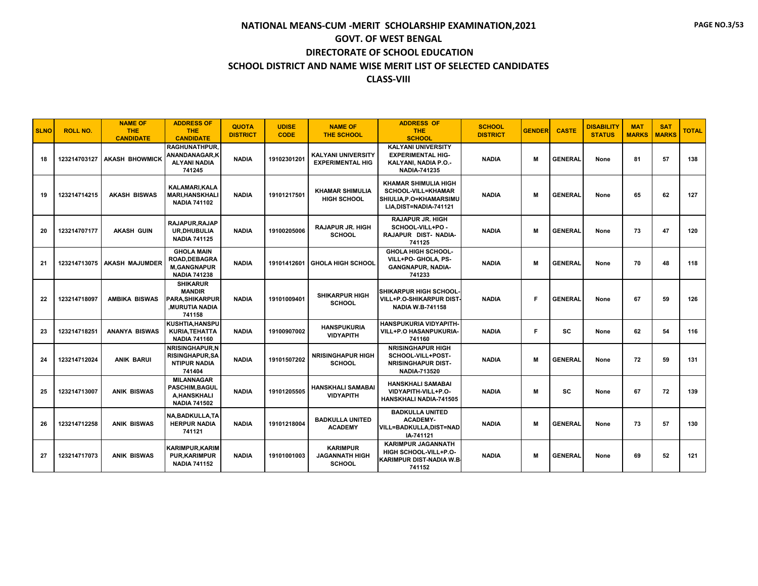| <b>SLNO</b> | <b>ROLL NO.</b> | <b>NAME OF</b><br><b>THE</b><br><b>CANDIDATE</b> | <b>ADDRESS OF</b><br><b>THE</b><br><b>CANDIDATE</b>                                         | <b>QUOTA</b><br><b>DISTRICT</b> | <b>UDISE</b><br><b>CODE</b> | <b>NAME OF</b><br><b>THE SCHOOL</b>                       | <b>ADDRESS OF</b><br><b>THE</b><br><b>SCHOOL</b>                                                             | <b>SCHOOL</b><br><b>DISTRICT</b> | <b>GENDER</b> | <b>CASTE</b>   | <b>DISABILITY</b><br><b>STATUS</b> | <b>MAT</b><br><b>MARKS</b> | <b>SAT</b><br><b>MARKS</b> | <b>TOTAL</b> |
|-------------|-----------------|--------------------------------------------------|---------------------------------------------------------------------------------------------|---------------------------------|-----------------------------|-----------------------------------------------------------|--------------------------------------------------------------------------------------------------------------|----------------------------------|---------------|----------------|------------------------------------|----------------------------|----------------------------|--------------|
| 18          |                 | 123214703127   AKASH BHOWMICK                    | <b>RAGHUNATHPUR.</b><br>ANANDANAGAR,K<br><b>ALYANI NADIA</b><br>741245                      | <b>NADIA</b>                    | 19102301201                 | <b>KALYANI UNIVERSITY</b><br><b>EXPERIMENTAL HIG</b>      | <b>KALYANI UNIVERSITY</b><br><b>EXPERIMENTAL HIG-</b><br>KALYANI, NADIA P.O.-<br><b>NADIA-741235</b>         | <b>NADIA</b>                     | м             | <b>GENERAL</b> | None                               | 81                         | 57                         | 138          |
| 19          | 123214714215    | <b>AKASH BISWAS</b>                              | KALAMARI, KALA<br><b>MARI, HANSKHALI</b><br><b>NADIA 741102</b>                             | <b>NADIA</b>                    | 19101217501                 | <b>KHAMAR SHIMULIA</b><br><b>HIGH SCHOOL</b>              | <b>KHAMAR SHIMULIA HIGH</b><br><b>SCHOOL-VILL=KHAMAR</b><br>SHIULIA.P.O=KHAMARSIMU<br>LIA, DIST=NADIA-741121 | <b>NADIA</b>                     | м             | <b>GENERAL</b> | None                               | 65                         | 62                         | 127          |
| 20          | 123214707177    | <b>AKASH GUIN</b>                                | RAJAPUR, RAJAP<br>UR.DHUBULIA<br><b>NADIA 741125</b>                                        | <b>NADIA</b>                    | 19100205006                 | <b>RAJAPUR JR. HIGH</b><br><b>SCHOOL</b>                  | <b>RAJAPUR JR. HIGH</b><br>SCHOOL-VILL+PO -<br>RAJAPUR DIST- NADIA-<br>741125                                | <b>NADIA</b>                     | м             | <b>GENERAL</b> | None                               | 73                         | 47                         | 120          |
| 21          |                 | 123214713075   AKASH MAJUMDER                    | <b>GHOLA MAIN</b><br>ROAD, DEBAGRA<br><b>M.GANGNAPUR</b><br><b>NADIA 741238</b>             | <b>NADIA</b>                    |                             | 19101412601 GHOLA HIGH SCHOOL                             | <b>GHOLA HIGH SCHOOL-</b><br>VILL+PO- GHOLA, PS-<br><b>GANGNAPUR, NADIA-</b><br>741233                       | <b>NADIA</b>                     | м             | <b>GENERAL</b> | None                               | 70                         | 48                         | 118          |
| 22          | 123214718097    | <b>AMBIKA BISWAS</b>                             | <b>SHIKARUR</b><br><b>MANDIR</b><br><b>PARA.SHIKARPUR</b><br><b>MURUTIA NADIA</b><br>741158 | <b>NADIA</b>                    | 19101009401                 | <b>SHIKARPUR HIGH</b><br><b>SCHOOL</b>                    | SHIKARPUR HIGH SCHOOL-<br><b>VILL+P.O-SHIKARPUR DIST-</b><br><b>NADIA W.B-741158</b>                         | <b>NADIA</b>                     | Е             | <b>GENERAL</b> | None                               | 67                         | 59                         | 126          |
| 23          | 123214718251    | <b>ANANYA BISWAS</b>                             | KUSHTIA.HANSPU<br><b>KURIA, TEHATTA</b><br><b>NADIA 741160</b>                              | <b>NADIA</b>                    | 19100907002                 | <b>HANSPUKURIA</b><br><b>VIDYAPITH</b>                    | <b>HANSPUKURIA VIDYAPITH-</b><br><b>VILL+P.O HASANPUKURIA-</b><br>741160                                     | <b>NADIA</b>                     | F             | <b>SC</b>      | None                               | 62                         | 54                         | 116          |
| 24          | 123214712024    | <b>ANIK BARUI</b>                                | NRISINGHAPUR.N<br><b>RISINGHAPUR, SA</b><br><b>NTIPUR NADIA</b><br>741404                   | <b>NADIA</b>                    | 19101507202                 | <b>NRISINGHAPUR HIGH</b><br><b>SCHOOL</b>                 | <b>NRISINGHAPUR HIGH</b><br>SCHOOL-VILL+POST-<br><b>NRISINGHAPUR DIST-</b><br><b>NADIA-713520</b>            | <b>NADIA</b>                     | м             | <b>GENERAL</b> | None                               | 72                         | 59                         | 131          |
| 25          | 123214713007    | <b>ANIK BISWAS</b>                               | <b>MILANNAGAR</b><br><b>PASCHIM.BAGUL</b><br><b>A.HANSKHALI</b><br><b>NADIA 741502</b>      | <b>NADIA</b>                    | 19101205505                 | <b>HANSKHALI SAMABAI</b><br><b>VIDYAPITH</b>              | <b>HANSKHALI SAMABAI</b><br>VIDYAPITH-VILL+P.O-<br><b>HANSKHALI NADIA-741505</b>                             | <b>NADIA</b>                     | м             | SC             | None                               | 67                         | 72                         | 139          |
| 26          | 123214712258    | <b>ANIK BISWAS</b>                               | <b>NA, BADKULLA, TA</b><br><b>HERPUR NADIA</b><br>741121                                    | <b>NADIA</b>                    | 19101218004                 | <b>BADKULLA UNITED</b><br><b>ACADEMY</b>                  | <b>BADKULLA UNITED</b><br><b>ACADEMY-</b><br><b>VILL=BADKULLA.DIST=NAD</b><br>IA-741121                      | <b>NADIA</b>                     | м             | <b>GENERAL</b> | None                               | 73                         | 57                         | 130          |
| 27          | 123214717073    | <b>ANIK BISWAS</b>                               | <b>KARIMPUR.KARIM</b><br><b>PUR, KARIMPUR</b><br><b>NADIA 741152</b>                        | <b>NADIA</b>                    | 19101001003                 | <b>KARIMPUR</b><br><b>JAGANNATH HIGH</b><br><b>SCHOOL</b> | <b>KARIMPUR JAGANNATH</b><br>HIGH SCHOOL-VILL+P.O-<br>KARIMPUR DIST-NADIA W.B.<br>741152                     | <b>NADIA</b>                     | м             | <b>GENERAL</b> | None                               | 69                         | 52                         | 121          |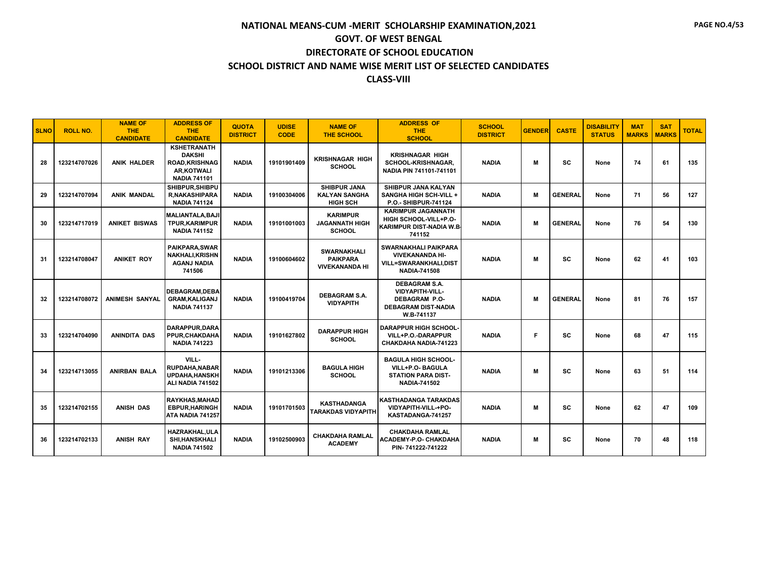| <b>SLNO</b> | <b>ROLL NO.</b> | <b>NAME OF</b><br><b>THE</b><br><b>CANDIDATE</b> | <b>ADDRESS OF</b><br><b>THE</b><br><b>CANDIDATE</b>                                               | <b>QUOTA</b><br><b>DISTRICT</b> | <b>UDISE</b><br><b>CODE</b> | <b>NAME OF</b><br><b>THE SCHOOL</b>                            | <b>ADDRESS OF</b><br><b>THE</b><br><b>SCHOOL</b>                                                            | <b>SCHOOL</b><br><b>DISTRICT</b> | <b>GENDER</b> | <b>CASTE</b>   | <b>DISABILITY</b><br><b>STATUS</b> | <b>MAT</b><br><b>MARKS</b> | <b>SAT</b><br><b>MARKS</b> | <b>TOTAL</b> |
|-------------|-----------------|--------------------------------------------------|---------------------------------------------------------------------------------------------------|---------------------------------|-----------------------------|----------------------------------------------------------------|-------------------------------------------------------------------------------------------------------------|----------------------------------|---------------|----------------|------------------------------------|----------------------------|----------------------------|--------------|
| 28          | 123214707026    | <b>ANIK HALDER</b>                               | <b>KSHETRANATH</b><br><b>DAKSHI</b><br><b>ROAD, KRISHNAG</b><br>AR.KOTWALI<br><b>NADIA 741101</b> | <b>NADIA</b>                    | 19101901409                 | <b>KRISHNAGAR HIGH</b><br><b>SCHOOL</b>                        | <b>KRISHNAGAR HIGH</b><br>SCHOOL-KRISHNAGAR,<br>NADIA PIN 741101-741101                                     | <b>NADIA</b>                     | м             | <b>SC</b>      | None                               | 74                         | 61                         | 135          |
| 29          | 123214707094    | <b>ANIK MANDAL</b>                               | SHIBPUR.SHIBPU<br><b>R,NAKASHIPARA</b><br><b>NADIA 741124</b>                                     | <b>NADIA</b>                    | 19100304006                 | <b>SHIBPUR JANA</b><br><b>KALYAN SANGHA</b><br><b>HIGH SCH</b> | SHIBPUR JANA KALYAN<br><b>SANGHA HIGH SCH-VILL +</b><br>P.O.- SHIBPUR-741124                                | <b>NADIA</b>                     | M             | <b>GENERAL</b> | None                               | 71                         | 56                         | 127          |
| 30          | 123214717019    | <b>ANIKET BISWAS</b>                             | <b>MALIANTALA, BAJI</b><br><b>TPUR, KARIMPUR</b><br><b>NADIA 741152</b>                           | <b>NADIA</b>                    | 19101001003                 | <b>KARIMPUR</b><br><b>JAGANNATH HIGH</b><br><b>SCHOOL</b>      | <b>KARIMPUR JAGANNATH</b><br>HIGH SCHOOL-VILL+P.O-<br>KARIMPUR DIST-NADIA W.B.<br>741152                    | <b>NADIA</b>                     | M             | <b>GENERAL</b> | None                               | 76                         | 54                         | 130          |
| 31          | 123214708047    | <b>ANIKET ROY</b>                                | <b>PAIKPARA, SWAR</b><br><b>NAKHALI, KRISHN</b><br><b>AGANJ NADIA</b><br>741506                   | <b>NADIA</b>                    | 19100604602                 | <b>SWARNAKHALI</b><br><b>PAIKPARA</b><br><b>VIVEKANANDA HI</b> | <b>SWARNAKHALI PAIKPARA</b><br><b>VIVEKANANDA HI-</b><br>VILL=SWARANKHALI,DIST<br><b>NADIA-741508</b>       | <b>NADIA</b>                     | M             | <b>SC</b>      | None                               | 62                         | 41                         | 103          |
| 32          | 123214708072    | <b>ANIMESH SANYAL</b>                            | <b>DEBAGRAM.DEBA</b><br><b>GRAM, KALIGANJ</b><br><b>NADIA 741137</b>                              | <b>NADIA</b>                    | 19100419704                 | <b>DEBAGRAM S.A.</b><br><b>VIDYAPITH</b>                       | <b>DEBAGRAM S.A.</b><br>VIDYAPITH-VILL-<br><b>DEBAGRAM P.O-</b><br><b>DEBAGRAM DIST-NADIA</b><br>W.B-741137 | <b>NADIA</b>                     | M             | <b>GENERAL</b> | None                               | 81                         | 76                         | 157          |
| 33          | 123214704090    | <b>ANINDITA DAS</b>                              | <b>DARAPPUR.DARA</b><br>PPUR, CHAKDAHA<br><b>NADIA 741223</b>                                     | <b>NADIA</b>                    | 19101627802                 | <b>DARAPPUR HIGH</b><br><b>SCHOOL</b>                          | <b>DARAPPUR HIGH SCHOOL-</b><br>VILL+P.O.-DARAPPUR<br>CHAKDAHA NADIA-741223                                 | <b>NADIA</b>                     | F             | SC             | None                               | 68                         | 47                         | 115          |
| 34          | 123214713055    | <b>ANIRBAN BALA</b>                              | VILL-<br><b>RUPDAHA.NABAR</b><br>UPDAHA, HANSKH<br>ALI NADIA 741502                               | <b>NADIA</b>                    | 19101213306                 | <b>BAGULA HIGH</b><br><b>SCHOOL</b>                            | <b>BAGULA HIGH SCHOOL-</b><br>VILL+P.O- BAGULA<br><b>STATION PARA DIST-</b><br>NADIA-741502                 | <b>NADIA</b>                     | M             | <b>SC</b>      | None                               | 63                         | 51                         | 114          |
| 35          | 123214702155    | <b>ANISH DAS</b>                                 | <b>RAYKHAS.MAHAD</b><br><b>EBPUR, HARINGH</b><br>ATA NADIA 741257                                 | <b>NADIA</b>                    | 19101701503                 | <b>KASTHADANGA</b><br><b>TARAKDAS VIDYAPITH</b>                | <b>KASTHADANGA TARAKDAS</b><br>VIDYAPITH-VILL-+PO-<br>KASTADANGA-741257                                     | <b>NADIA</b>                     | M             | <b>SC</b>      | None                               | 62                         | 47                         | 109          |
| 36          | 123214702133    | <b>ANISH RAY</b>                                 | HAZRAKHAL, ULA<br><b>SHI,HANSKHALI</b><br><b>NADIA 741502</b>                                     | <b>NADIA</b>                    | 19102500903                 | <b>CHAKDAHA RAMLAL</b><br><b>ACADEMY</b>                       | <b>CHAKDAHA RAMLAL</b><br>ACADEMY-P.O- CHAKDAHA<br>PIN-741222-741222                                        | <b>NADIA</b>                     | M             | <b>SC</b>      | None                               | 70                         | 48                         | 118          |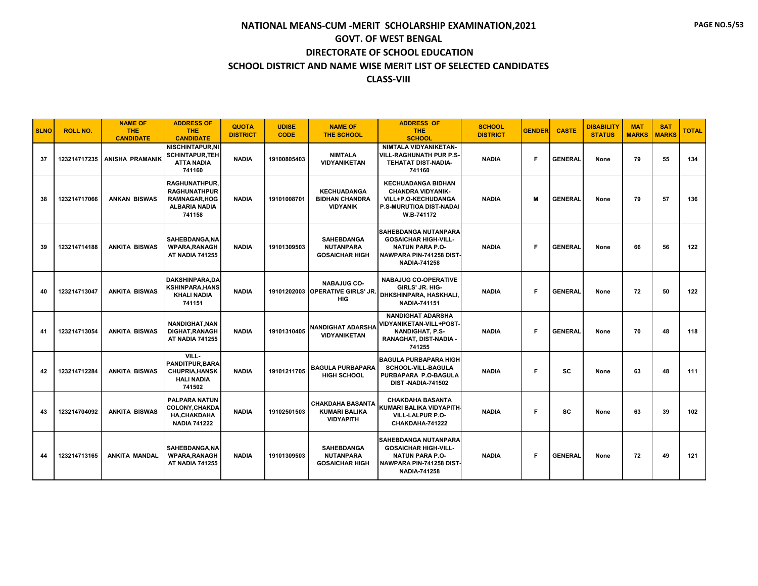| <b>SLNO</b> | <b>ROLL NO.</b> | <b>NAME OF</b><br>THE.<br><b>CANDIDATE</b> | <b>ADDRESS OF</b><br><b>THE</b><br><b>CANDIDATE</b>                                                  | <b>QUOTA</b><br><b>DISTRICT</b> | <b>UDISE</b><br><b>CODE</b> | <b>NAME OF</b><br><b>THE SCHOOL</b>                                 | <b>ADDRESS OF</b><br><b>THE</b><br><b>SCHOOL</b>                                                                                        | <b>SCHOOL</b><br><b>DISTRICT</b> | <b>GENDER</b> | <b>CASTE</b>   | <b>DISABILITY</b><br><b>STATUS</b> | <b>MAT</b><br><b>MARKS</b> | <b>SAT</b><br><b>MARKS</b> | <b>TOTAL</b> |
|-------------|-----------------|--------------------------------------------|------------------------------------------------------------------------------------------------------|---------------------------------|-----------------------------|---------------------------------------------------------------------|-----------------------------------------------------------------------------------------------------------------------------------------|----------------------------------|---------------|----------------|------------------------------------|----------------------------|----------------------------|--------------|
| 37          | 123214717235    | <b>ANISHA PRAMANIK</b>                     | <b>NISCHINTAPUR,NI</b><br><b>SCHINTAPUR, TEH</b><br><b>ATTA NADIA</b><br>741160                      | <b>NADIA</b>                    | 19100805403                 | <b>NIMTALA</b><br><b>VIDYANIKETAN</b>                               | NIMTALA VIDYANIKETAN-<br><b>VILL-RAGHUNATH PUR P.S-</b><br>TEHATAT DIST-NADIA-<br>741160                                                | <b>NADIA</b>                     | F             | <b>GENERAL</b> | None                               | 79                         | 55                         | 134          |
| 38          | 123214717066    | <b>ANKAN BISWAS</b>                        | <b>RAGHUNATHPUR</b><br><b>RAGHUNATHPUR</b><br><b>RAMNAGAR, HOG</b><br><b>ALBARIA NADIA</b><br>741158 | <b>NADIA</b>                    | 19101008701                 | <b>KECHUADANGA</b><br><b>BIDHAN CHANDRA</b><br><b>VIDYANIK</b>      | <b>KECHUADANGA BIDHAN</b><br><b>CHANDRA VIDYANIK-</b><br>VILL+P.O-KECHUDANGA<br>P.S-MURUTIOA DIST-NADAI<br>W.B-741172                   | <b>NADIA</b>                     | м             | <b>GENERAL</b> | None                               | 79                         | 57                         | 136          |
| 39          | 123214714188    | <b>ANKITA BISWAS</b>                       | SAHEBDANGA.NA<br><b>WPARA, RANAGH</b><br>AT NADIA 741255                                             | <b>NADIA</b>                    | 19101309503                 | <b>SAHEBDANGA</b><br><b>NUTANPARA</b><br><b>GOSAICHAR HIGH</b>      | <b>SAHEBDANGA NUTANPARA</b><br><b>GOSAICHAR HIGH-VILL-</b><br><b>NATUN PARA P.O-</b><br>NAWPARA PIN-741258 DIST-<br><b>NADIA-741258</b> | <b>NADIA</b>                     | F             | <b>GENERAL</b> | None                               | 66                         | 56                         | 122          |
| 40          | 123214713047    | <b>ANKITA BISWAS</b>                       | <b>DAKSHINPARA.DA</b><br>KSHINPARA,HANS<br><b>KHALI NADIA</b><br>741151                              | <b>NADIA</b>                    |                             | <b>NABAJUG CO-</b><br>19101202003 OPERATIVE GIRLS' JR.<br>HIG       | <b>NABAJUG CO-OPERATIVE</b><br>GIRLS' JR. HIG-<br>DHKSHINPARA, HASKHALI,<br><b>NADIA-741151</b>                                         | <b>NADIA</b>                     | F             | <b>GENERAL</b> | None                               | 72                         | 50                         | 122          |
| 41          | 123214713054    | <b>ANKITA BISWAS</b>                       | NANDIGHAT, NAN<br><b>DIGHAT.RANAGH</b><br><b>AT NADIA 741255</b>                                     | <b>NADIA</b>                    | 19101310405                 | <b>NANDIGHAT ADARSHA</b><br><b>VIDYANIKETAN</b>                     | <b>NANDIGHAT ADARSHA</b><br>VIDYANIKETAN-VILL+POST-<br><b>NANDIGHAT, P.S-</b><br>RANAGHAT, DIST-NADIA -<br>741255                       | <b>NADIA</b>                     | E             | <b>GENERAL</b> | None                               | 70                         | 48                         | 118          |
| 42          | 123214712284    | <b>ANKITA BISWAS</b>                       | VILL-<br><b>PANDITPUR, BARA</b><br><b>CHUPRIA, HANSK</b><br><b>HALI NADIA</b><br>741502              | <b>NADIA</b>                    | 19101211705                 | <b>BAGULA PURBAPARA</b><br><b>HIGH SCHOOL</b>                       | <b>IBAGULA PURBAPARA HIGH</b><br><b>SCHOOL-VILL-BAGULA</b><br>PURBAPARA P.O-BAGULA<br>DIST-NADIA-741502                                 | <b>NADIA</b>                     | F             | <b>SC</b>      | None                               | 63                         | 48                         | 111          |
| 43          | 123214704092    | <b>ANKITA BISWAS</b>                       | <b>PALPARA NATUN</b><br><b>COLONY, CHAKDA</b><br><b>HA,CHAKDAHA</b><br><b>NADIA 741222</b>           | <b>NADIA</b>                    | 19102501503                 | <b>CHAKDAHA BASANTA</b><br><b>KUMARI BALIKA</b><br><b>VIDYAPITH</b> | <b>CHAKDAHA BASANTA</b><br>KUMARI BALIKA VIDYAPITH-<br><b>VILL-LALPUR P.O-</b><br>CHAKDAHA-741222                                       | <b>NADIA</b>                     | F             | sc             | None                               | 63                         | 39                         | 102          |
| 44          | 123214713165    | <b>ANKITA MANDAL</b>                       | SAHEBDANGA.NA<br><b>WPARA, RANAGH</b><br><b>AT NADIA 741255</b>                                      | <b>NADIA</b>                    | 19101309503                 | <b>SAHEBDANGA</b><br><b>NUTANPARA</b><br><b>GOSAICHAR HIGH</b>      | <b>SAHEBDANGA NUTANPARA</b><br><b>GOSAICHAR HIGH-VILL-</b><br><b>NATUN PARA P.O-</b><br>NAWPARA PIN-741258 DIST-<br><b>NADIA-741258</b> | <b>NADIA</b>                     | E             | <b>GENERAL</b> | None                               | 72                         | 49                         | 121          |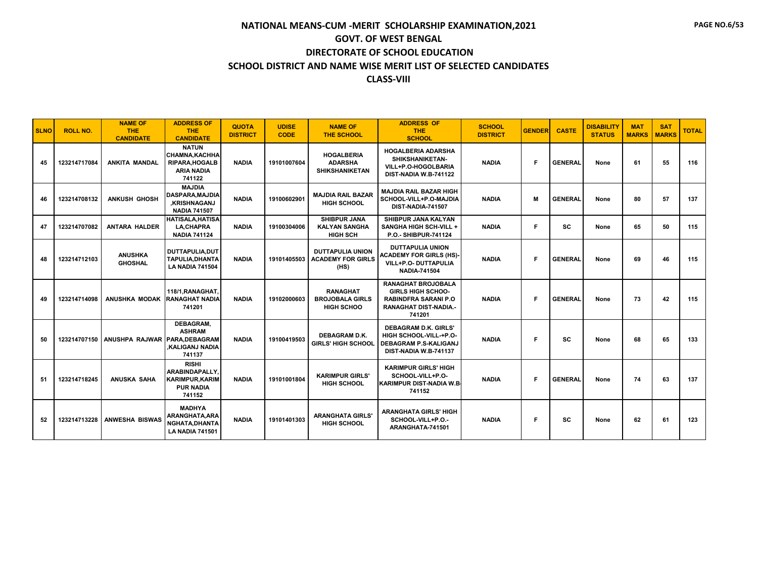| <b>SLNO</b> | <b>ROLL NO.</b> | <b>NAME OF</b><br><b>THE</b><br><b>CANDIDATE</b> | <b>ADDRESS OF</b><br><b>THE</b><br><b>CANDIDATE</b>                                           | <b>QUOTA</b><br><b>DISTRICT</b> | <b>UDISE</b><br><b>CODE</b> | <b>NAME OF</b><br><b>THE SCHOOL</b>                                | <b>ADDRESS OF</b><br><b>THE</b><br><b>SCHOOL</b>                                                                               | <b>SCHOOL</b><br><b>DISTRICT</b> | <b>GENDER</b> | <b>CASTE</b>   | <b>DISABILITY</b><br><b>STATUS</b> | <b>MAT</b><br><b>MARKS</b> | <b>SAT</b><br><b>MARKS</b> | <b>TOTAL</b> |
|-------------|-----------------|--------------------------------------------------|-----------------------------------------------------------------------------------------------|---------------------------------|-----------------------------|--------------------------------------------------------------------|--------------------------------------------------------------------------------------------------------------------------------|----------------------------------|---------------|----------------|------------------------------------|----------------------------|----------------------------|--------------|
| 45          | 123214717084    | <b>ANKITA MANDAL</b>                             | <b>NATUN</b><br><b>CHAMNA, KACHHA</b><br><b>RIPARA, HOGALB</b><br><b>ARIA NADIA</b><br>741122 | <b>NADIA</b>                    | 19101007604                 | <b>HOGALBERIA</b><br><b>ADARSHA</b><br><b>SHIKSHANIKETAN</b>       | <b>HOGALBERIA ADARSHA</b><br>SHIKSHANIKETAN-<br>VILL+P.O-HOGOLBARIA<br>DIST-NADIA W.B-741122                                   | <b>NADIA</b>                     | F.            | <b>GENERAL</b> | None                               | 61                         | 55                         | 116          |
| 46          | 123214708132    | <b>ANKUSH GHOSH</b>                              | <b>MAJDIA</b><br><b>DASPARA, MAJDIA</b><br><b>.KRISHNAGANJ</b><br><b>NADIA 741507</b>         | <b>NADIA</b>                    | 19100602901                 | <b>MAJDIA RAIL BAZAR</b><br><b>HIGH SCHOOL</b>                     | <b>MAJDIA RAIL BAZAR HIGH</b><br>SCHOOL-VILL+P.O-MAJDIA<br>DIST-NADIA-741507                                                   | <b>NADIA</b>                     | M             | <b>GENERAL</b> | None                               | 80                         | 57                         | 137          |
| 47          | 123214707082    | <b>ANTARA HALDER</b>                             | <b>HATISALA, HATISA</b><br><b>LA,CHAPRA</b><br><b>NADIA 741124</b>                            | <b>NADIA</b>                    | 19100304006                 | <b>SHIBPUR JANA</b><br><b>KALYAN SANGHA</b><br><b>HIGH SCH</b>     | SHIBPUR JANA KALYAN<br><b>SANGHA HIGH SCH-VILL +</b><br>P.O.- SHIBPUR-741124                                                   | <b>NADIA</b>                     | F.            | <b>SC</b>      | None                               | 65                         | 50                         | 115          |
| 48          | 123214712103    | <b>ANUSHKA</b><br><b>GHOSHAL</b>                 | DUTTAPULIA,DUT<br>TAPULIA.DHANTA<br><b>LA NADIA 741504</b>                                    | <b>NADIA</b>                    |                             | <b>DUTTAPULIA UNION</b><br>19101405503   ACADEMY FOR GIRLS<br>(HS) | <b>DUTTAPULIA UNION</b><br><b>ACADEMY FOR GIRLS (HS)-</b><br>VILL+P.O- DUTTAPULIA<br><b>NADIA-741504</b>                       | <b>NADIA</b>                     | F             | <b>GENERAL</b> | None                               | 69                         | 46                         | 115          |
| 49          | 123214714098    | <b>ANUSHKA MODAK</b>                             | 118/1.RANAGHAT.<br><b>RANAGHAT NADIA</b><br>741201                                            | <b>NADIA</b>                    | 19102000603                 | <b>RANAGHAT</b><br><b>BROJOBALA GIRLS</b><br><b>HIGH SCHOO</b>     | <b>RANAGHAT BROJOBALA</b><br><b>GIRLS HIGH SCHOO-</b><br><b>RABINDFRA SARANI P.O</b><br><b>RANAGHAT DIST-NADIA.-</b><br>741201 | <b>NADIA</b>                     | E             | <b>GENERAL</b> | None                               | 73                         | 42                         | 115          |
| 50          |                 | 123214707150 ANUSHPA RAJWAR PARA.DEBAGRAM        | DEBAGRAM.<br><b>ASHRAM</b><br>.KALIGANJ NADIA<br>741137                                       | <b>NADIA</b>                    | 19100419503                 | <b>DEBAGRAM D.K.</b><br><b>GIRLS' HIGH SCHOOL</b>                  | <b>DEBAGRAM D.K. GIRLS'</b><br>HIGH SCHOOL-VILL-+P.O-<br><b>DEBAGRAM P.S-KALIGANJ</b><br>DIST-NADIA W.B-741137                 | <b>NADIA</b>                     | E             | <b>SC</b>      | None                               | 68                         | 65                         | 133          |
| 51          | 123214718245    | ANUSKA SAHA                                      | <b>RISHI</b><br><b>ARABINDAPALLY.</b><br><b>KARIMPUR, KARIM</b><br><b>PUR NADIA</b><br>741152 | <b>NADIA</b>                    | 19101001804                 | <b>KARIMPUR GIRLS'</b><br><b>HIGH SCHOOL</b>                       | <b>KARIMPUR GIRLS' HIGH</b><br>SCHOOL-VILL+P.O-<br><b>KARIMPUR DIST-NADIA W.B.</b><br>741152                                   | <b>NADIA</b>                     | E             | <b>GENERAL</b> | None                               | 74                         | 63                         | 137          |
| 52          |                 | 123214713228   ANWESHA BISWAS                    | <b>MADHYA</b><br>ARANGHATA, ARA<br>NGHATA.DHANTA<br><b>LA NADIA 741501</b>                    | <b>NADIA</b>                    | 19101401303                 | <b>ARANGHATA GIRLS'</b><br><b>HIGH SCHOOL</b>                      | <b>ARANGHATA GIRLS' HIGH</b><br>SCHOOL-VILL+P.O.-<br>ARANGHATA-741501                                                          | <b>NADIA</b>                     | F             | SC             | None                               | 62                         | 61                         | 123          |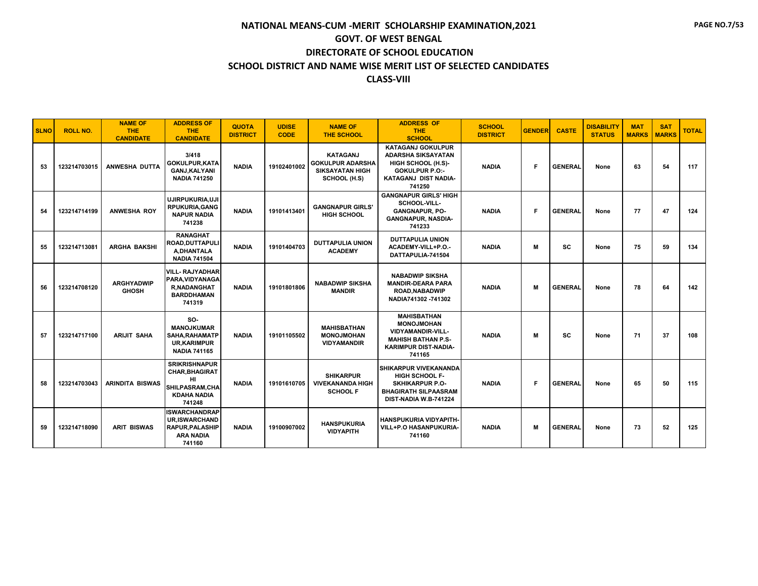| <b>SLNO</b> | <b>ROLL NO.</b> | <b>NAME OF</b><br><b>THE</b><br><b>CANDIDATE</b> | <b>ADDRESS OF</b><br><b>THE</b><br><b>CANDIDATE</b>                                                    | <b>QUOTA</b><br><b>DISTRICT</b> | <b>UDISE</b><br><b>CODE</b> | <b>NAME OF</b><br><b>THE SCHOOL</b>                                                  | <b>ADDRESS OF</b><br>THE.<br><b>SCHOOL</b>                                                                                                    | <b>SCHOOL</b><br><b>DISTRICT</b> | <b>GENDER</b> | <b>CASTE</b>   | <b>DISABILITY</b><br><b>STATUS</b> | <b>MAT</b><br><b>MARKS</b> | <b>SAT</b><br><b>MARKS</b> | <b>TOTAL</b> |
|-------------|-----------------|--------------------------------------------------|--------------------------------------------------------------------------------------------------------|---------------------------------|-----------------------------|--------------------------------------------------------------------------------------|-----------------------------------------------------------------------------------------------------------------------------------------------|----------------------------------|---------------|----------------|------------------------------------|----------------------------|----------------------------|--------------|
| 53          | 123214703015    | <b>ANWESHA DUTTA</b>                             | 3/418<br><b>GOKULPUR.KATA</b><br><b>GANJ,KALYANI</b><br><b>NADIA 741250</b>                            | <b>NADIA</b>                    | 19102401002                 | <b>KATAGANJ</b><br><b>GOKULPUR ADARSHA</b><br><b>SIKSAYATAN HIGH</b><br>SCHOOL (H.S) | <b>KATAGANJ GOKULPUR</b><br><b>ADARSHA SIKSAYATAN</b><br>HIGH SCHOOL (H.S)-<br><b>GOKULPUR P.O:-</b><br><b>KATAGANJ DIST NADIA-</b><br>741250 | <b>NADIA</b>                     | F             | <b>GENERAL</b> | None                               | 63                         | 54                         | 117          |
| 54          | 123214714199    | <b>ANWESHA ROY</b>                               | UJIRPUKURIA.UJI<br><b>RPUKURIA, GANG</b><br><b>NAPUR NADIA</b><br>741238                               | <b>NADIA</b>                    | 19101413401                 | <b>GANGNAPUR GIRLS'</b><br><b>HIGH SCHOOL</b>                                        | <b>GANGNAPUR GIRLS' HIGH</b><br>SCHOOL-VILL-<br><b>GANGNAPUR, PO-</b><br><b>GANGNAPUR, NASDIA-</b><br>741233                                  | <b>NADIA</b>                     | Е             | <b>GENERAL</b> | None                               | 77                         | 47                         | 124          |
| 55          | 123214713081    | <b>ARGHA BAKSHI</b>                              | <b>RANAGHAT</b><br><b>ROAD.DUTTAPULI</b><br>A, DHANTALA<br><b>NADIA 741504</b>                         | <b>NADIA</b>                    | 19101404703                 | <b>DUTTAPULIA UNION</b><br><b>ACADEMY</b>                                            | <b>DUTTAPULIA UNION</b><br>ACADEMY-VILL+P.O.-<br>DATTAPULIA-741504                                                                            | <b>NADIA</b>                     | M             | <b>SC</b>      | None                               | 75                         | 59                         | 134          |
| 56          | 123214708120    | <b>ARGHYADWIP</b><br><b>GHOSH</b>                | <b>VILL-RAJYADHAR</b><br>PARA, VIDYANAGA<br><b>R,NADANGHAT</b><br><b>BARDDHAMAN</b><br>741319          | <b>NADIA</b>                    | 19101801806                 | <b>NABADWIP SIKSHA</b><br><b>MANDIR</b>                                              | <b>NABADWIP SIKSHA</b><br><b>MANDIR-DEARA PARA</b><br><b>ROAD.NABADWIP</b><br>NADIA741302 - 741302                                            | <b>NADIA</b>                     | M             | <b>GENERAL</b> | None                               | 78                         | 64                         | 142          |
| 57          | 123214717100    | <b>ARIJIT SAHA</b>                               | SO-<br><b>MANOJKUMAR</b><br><b>SAHA, RAHAMATP</b><br><b>UR.KARIMPUR</b><br><b>NADIA 741165</b>         | <b>NADIA</b>                    | 19101105502                 | <b>MAHISBATHAN</b><br><b>MONOJMOHAN</b><br><b>VIDYAMANDIR</b>                        | <b>MAHISBATHAN</b><br><b>MONOJMOHAN</b><br><b>VIDYAMANDIR-VILL-</b><br><b>MAHISH BATHAN P.S-</b><br><b>KARIMPUR DIST-NADIA-</b><br>741165     | <b>NADIA</b>                     | м             | <b>SC</b>      | None                               | 71                         | 37                         | 108          |
| 58          | 123214703043    | <b>ARINDITA BISWAS</b>                           | <b>SRIKRISHNAPUR</b><br><b>CHAR.BHAGIRAT</b><br>HI.<br>SHILPASRAM, CHA<br><b>KDAHA NADIA</b><br>741248 | <b>NADIA</b>                    | 19101610705                 | <b>SHIKARPUR</b><br><b>VIVEKANANDA HIGH</b><br><b>SCHOOL F</b>                       | <b>SHIKARPUR VIVEKANANDA</b><br><b>HIGH SCHOOL F-</b><br><b>SKHIKARPUR P.O-</b><br><b>BHAGIRATH SILPAASRAM</b><br>DIST-NADIA W.B-741224       | <b>NADIA</b>                     | F             | <b>GENERAL</b> | None                               | 65                         | 50                         | 115          |
| 59          | 123214718090    | <b>ARIT BISWAS</b>                               | <b>ISWARCHANDRAP</b><br><b>UR.ISWARCHAND</b><br><b>RAPUR, PALASHIP</b><br><b>ARA NADIA</b><br>741160   | <b>NADIA</b>                    | 19100907002                 | <b>HANSPUKURIA</b><br><b>VIDYAPITH</b>                                               | <b>HANSPUKURIA VIDYAPITH-</b><br><b>VILL+P.O HASANPUKURIA-</b><br>741160                                                                      | <b>NADIA</b>                     | м             | <b>GENERAL</b> | None                               | 73                         | 52                         | 125          |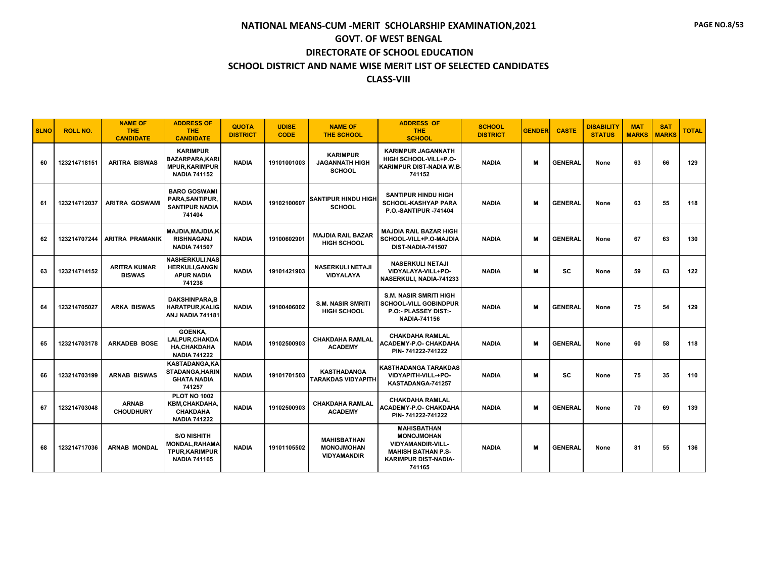| <b>SLNO</b> | <b>ROLL NO.</b> | <b>NAME OF</b><br><b>THE</b><br><b>CANDIDATE</b> | <b>ADDRESS OF</b><br><b>THE</b><br><b>CANDIDATE</b>                                         | <b>QUOTA</b><br><b>DISTRICT</b> | <b>UDISE</b><br><b>CODE</b> | <b>NAME OF</b><br><b>THE SCHOOL</b>                           | <b>ADDRESS OF</b><br>THE.<br><b>SCHOOL</b>                                                                                                | <b>SCHOOL</b><br><b>DISTRICT</b> | <b>GENDER</b> | <b>CASTE</b>   | <b>DISABILITY</b><br><b>STATUS</b> | <b>MAT</b><br><b>MARKS</b> | <b>SAT</b><br><b>MARKS</b> | <b>TOTAL</b> |
|-------------|-----------------|--------------------------------------------------|---------------------------------------------------------------------------------------------|---------------------------------|-----------------------------|---------------------------------------------------------------|-------------------------------------------------------------------------------------------------------------------------------------------|----------------------------------|---------------|----------------|------------------------------------|----------------------------|----------------------------|--------------|
| 60          | 123214718151    | <b>ARITRA BISWAS</b>                             | <b>KARIMPUR</b><br><b>BAZARPARA,KARI</b><br><b>MPUR, KARIMPUR</b><br><b>NADIA 741152</b>    | <b>NADIA</b>                    | 19101001003                 | <b>KARIMPUR</b><br><b>JAGANNATH HIGH</b><br><b>SCHOOL</b>     | <b>KARIMPUR JAGANNATH</b><br>HIGH SCHOOL-VILL+P.O-<br><b>KARIMPUR DIST-NADIA W.B.</b><br>741152                                           | <b>NADIA</b>                     | M             | <b>GENERAL</b> | None                               | 63                         | 66                         | 129          |
| 61          | 123214712037    | <b>ARITRA GOSWAMI</b>                            | <b>BARO GOSWAMI</b><br>PARA, SANTIPUR,<br><b>SANTIPUR NADIA</b><br>741404                   | <b>NADIA</b>                    | 19102100607                 | <b>SANTIPUR HINDU HIGH</b><br><b>SCHOOL</b>                   | <b>SANTIPUR HINDU HIGH</b><br><b>SCHOOL-KASHYAP PARA</b><br><b>P.O.-SANTIPUR -741404</b>                                                  | <b>NADIA</b>                     | M             | <b>GENERAL</b> | None                               | 63                         | 55                         | 118          |
| 62          |                 | 123214707244 ARITRA PRAMANIK                     | <b>MAJDIA.MAJDIA.K</b><br><b>RISHNAGANJ</b><br><b>NADIA 741507</b>                          | <b>NADIA</b>                    | 19100602901                 | <b>MAJDIA RAIL BAZAR</b><br><b>HIGH SCHOOL</b>                | <b>MAJDIA RAIL BAZAR HIGH</b><br>SCHOOL-VILL+P.O-MAJDIA<br>DIST-NADIA-741507                                                              | <b>NADIA</b>                     | M             | <b>GENERAL</b> | None                               | 67                         | 63                         | 130          |
| 63          | 123214714152    | <b>ARITRA KUMAR</b><br><b>BISWAS</b>             | <b>NASHERKULI, NAS</b><br><b>HERKULI.GANGN</b><br><b>APUR NADIA</b><br>741238               | <b>NADIA</b>                    | 19101421903                 | <b>NASERKULI NETAJI</b><br>VIDYALAYA                          | <b>NASERKULI NETAJI</b><br>VIDYALAYA-VILL+PO-<br>NASERKULI, NADIA-741233                                                                  | <b>NADIA</b>                     | M             | <b>SC</b>      | None                               | 59                         | 63                         | 122          |
| 64          | 123214705027    | <b>ARKA BISWAS</b>                               | <b>DAKSHINPARA,B</b><br><b>HARATPUR, KALIG</b><br>ANJ NADIA 741181                          | <b>NADIA</b>                    | 19100406002                 | <b>S.M. NASIR SMRITI</b><br><b>HIGH SCHOOL</b>                | <b>S.M. NASIR SMRITI HIGH</b><br><b>SCHOOL-VILL GOBINDPUR</b><br>P.O:- PLASSEY DIST:-<br><b>NADIA-741156</b>                              | <b>NADIA</b>                     | M             | <b>GENERAL</b> | None                               | 75                         | 54                         | 129          |
| 65          | 123214703178    | <b>ARKADEB BOSE</b>                              | <b>GOENKA.</b><br><b>LALPUR,CHAKDA</b><br><b>HA.CHAKDAHA</b><br><b>NADIA 741222</b>         | <b>NADIA</b>                    | 19102500903                 | <b>CHAKDAHA RAMLAL</b><br><b>ACADEMY</b>                      | <b>CHAKDAHA RAMLAL</b><br>ACADEMY-P.O- CHAKDAHA<br>PIN-741222-741222                                                                      | <b>NADIA</b>                     | M             | <b>GENERAL</b> | None                               | 60                         | 58                         | 118          |
| 66          | 123214703199    | <b>ARNAB BISWAS</b>                              | KASTADANGA,KA<br><b>STADANGA, HARIN</b><br><b>GHATA NADIA</b><br>741257                     | <b>NADIA</b>                    | 19101701503                 | <b>KASTHADANGA</b><br>TARAKDAS VIDYAPITH                      | <b>KASTHADANGA TARAKDAS</b><br>VIDYAPITH-VILL-+PO-<br>KASTADANGA-741257                                                                   | <b>NADIA</b>                     | м             | <b>SC</b>      | None                               | 75                         | 35                         | 110          |
| 67          | 123214703048    | <b>ARNAB</b><br><b>CHOUDHURY</b>                 | <b>PLOT NO 1002</b><br><b>KBM.CHAKDAHA.</b><br>CHAKDAHA<br><b>NADIA 741222</b>              | <b>NADIA</b>                    | 19102500903                 | <b>CHAKDAHA RAMLAL</b><br><b>ACADEMY</b>                      | <b>CHAKDAHA RAMLAL</b><br>ACADEMY-P.O- CHAKDAHA<br>PIN-741222-741222                                                                      | <b>NADIA</b>                     | M             | <b>GENERAL</b> | None                               | 70                         | 69                         | 139          |
| 68          | 123214717036    | <b>ARNAB MONDAL</b>                              | <b>S/O NISHITH</b><br><b>MONDAL, RAHAMA</b><br><b>TPUR, KARIMPUR</b><br><b>NADIA 741165</b> | <b>NADIA</b>                    | 19101105502                 | <b>MAHISBATHAN</b><br><b>MONOJMOHAN</b><br><b>VIDYAMANDIR</b> | <b>MAHISBATHAN</b><br><b>MONOJMOHAN</b><br><b>VIDYAMANDIR-VILL-</b><br><b>MAHISH BATHAN P.S-</b><br><b>KARIMPUR DIST-NADIA-</b><br>741165 | <b>NADIA</b>                     | M             | <b>GENERAL</b> | None                               | 81                         | 55                         | 136          |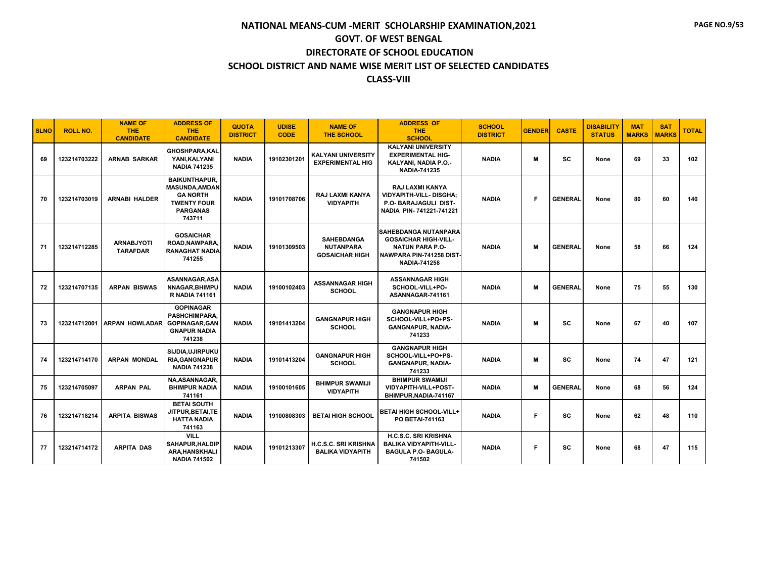| <b>SLNO</b> | <b>ROLL NO.</b> | <b>NAME OF</b><br><b>THE</b><br><b>CANDIDATE</b> | <b>ADDRESS OF</b><br><b>THE</b><br><b>CANDIDATE</b>                                                                 | <b>QUOTA</b><br><b>DISTRICT</b> | <b>UDISE</b><br><b>CODE</b> | <b>NAME OF</b><br><b>THE SCHOOL</b>                            | <b>ADDRESS OF</b><br>THE.<br><b>SCHOOL</b>                                                                                              | <b>SCHOOL</b><br><b>DISTRICT</b> | <b>GENDER</b> | <b>CASTE</b>   | <b>DISABILITY</b><br><b>STATUS</b> | <b>MAT</b><br><b>MARKS</b> | <b>SAT</b><br><b>MARKS</b> | <b>TOTAL</b> |
|-------------|-----------------|--------------------------------------------------|---------------------------------------------------------------------------------------------------------------------|---------------------------------|-----------------------------|----------------------------------------------------------------|-----------------------------------------------------------------------------------------------------------------------------------------|----------------------------------|---------------|----------------|------------------------------------|----------------------------|----------------------------|--------------|
| 69          | 123214703222    | <b>ARNAB SARKAR</b>                              | <b>GHOSHPARA.KAL</b><br>YANI, KALYANI<br><b>NADIA 741235</b>                                                        | <b>NADIA</b>                    | 19102301201                 | KALYANI UNIVERSITY<br><b>EXPERIMENTAL HIG</b>                  | <b>KALYANI UNIVERSITY</b><br><b>EXPERIMENTAL HIG-</b><br>KALYANI, NADIA P.O.-<br><b>NADIA-741235</b>                                    | <b>NADIA</b>                     | M             | <b>SC</b>      | None                               | 69                         | 33                         | 102          |
| 70          | 123214703019    | <b>ARNABI HALDER</b>                             | <b>BAIKUNTHAPUR.</b><br><b>MASUNDA, AMDAN</b><br><b>GA NORTH</b><br><b>TWENTY FOUR</b><br><b>PARGANAS</b><br>743711 | <b>NADIA</b>                    | 19101708706                 | <b>RAJ LAXMI KANYA</b><br><b>VIDYAPITH</b>                     | <b>RAJ LAXMI KANYA</b><br><b>VIDYAPITH-VILL- DISGHA;</b><br>P.O- BARAJAGULI DIST-<br>NADIA PIN-741221-741221                            | <b>NADIA</b>                     | E             | <b>GENERAL</b> | None                               | 80                         | 60                         | 140          |
| 71          | 123214712285    | <b>ARNABJYOTI</b><br><b>TARAFDAR</b>             | <b>GOSAICHAR</b><br><b>ROAD.NAWPARA</b><br><b>RANAGHAT NADIA</b><br>741255                                          | <b>NADIA</b>                    | 19101309503                 | <b>SAHEBDANGA</b><br><b>NUTANPARA</b><br><b>GOSAICHAR HIGH</b> | <b>SAHEBDANGA NUTANPARA</b><br><b>GOSAICHAR HIGH-VILL-</b><br><b>NATUN PARA P.O-</b><br>NAWPARA PIN-741258 DIST-<br><b>NADIA-741258</b> | <b>NADIA</b>                     | M             | <b>GENERAL</b> | None                               | 58                         | 66                         | 124          |
| 72          | 123214707135    | <b>ARPAN BISWAS</b>                              | ASANNAGAR.ASA<br>NNAGAR.BHIMPU<br><b>R NADIA 741161</b>                                                             | <b>NADIA</b>                    | 19100102403                 | <b>ASSANNAGAR HIGH</b><br><b>SCHOOL</b>                        | <b>ASSANNAGAR HIGH</b><br>SCHOOL-VILL+PO-<br>ASANNAGAR-741161                                                                           | <b>NADIA</b>                     | M             | <b>GENERAL</b> | None                               | 75                         | 55                         | 130          |
| 73          |                 | 123214712001 ARPAN HOWLADAR                      | <b>GOPINAGAR</b><br>PASHCHIMPARA.<br><b>GOPINAGAR, GAN</b><br><b>GNAPUR NADIA</b><br>741238                         | <b>NADIA</b>                    | 19101413204                 | <b>GANGNAPUR HIGH</b><br><b>SCHOOL</b>                         | <b>GANGNAPUR HIGH</b><br>SCHOOL-VILL+PO+PS-<br><b>GANGNAPUR, NADIA-</b><br>741233                                                       | <b>NADIA</b>                     | M             | <b>SC</b>      | None                               | 67                         | 40                         | 107          |
| 74          | 123214714170    | <b>ARPAN MONDAL</b>                              | SIJDIA.UJIRPUKU<br><b>RIA, GANGNAPUR</b><br><b>NADIA 741238</b>                                                     | <b>NADIA</b>                    | 19101413204                 | <b>GANGNAPUR HIGH</b><br><b>SCHOOL</b>                         | <b>GANGNAPUR HIGH</b><br>SCHOOL-VILL+PO+PS-<br><b>GANGNAPUR, NADIA-</b><br>741233                                                       | <b>NADIA</b>                     | M             | <b>SC</b>      | None                               | 74                         | 47                         | 121          |
| 75          | 123214705097    | <b>ARPAN PAL</b>                                 | <b>NA.ASANNAGAR.</b><br><b>BHIMPUR NADIA</b><br>741161                                                              | <b>NADIA</b>                    | 19100101605                 | <b>BHIMPUR SWAMIJI</b><br><b>VIDYAPITH</b>                     | <b>BHIMPUR SWAMIJI</b><br>VIDYAPITH-VILL+POST-<br>BHIMPUR, NADIA-741167                                                                 | <b>NADIA</b>                     | M             | <b>GENERAL</b> | None                               | 68                         | 56                         | 124          |
| 76          | 123214718214    | <b>ARPITA BISWAS</b>                             | <b>BETAI SOUTH</b><br>JITPUR,BETAI,TE<br><b>HATTA NADIA</b><br>741163                                               | <b>NADIA</b>                    | 19100808303                 | <b>BETAI HIGH SCHOOL</b>                                       | <b>BETAI HIGH SCHOOL-VILL+</b><br>PO BETAI-741163                                                                                       | <b>NADIA</b>                     | F             | <b>SC</b>      | None                               | 62                         | 48                         | 110          |
| 77          | 123214714172    | <b>ARPITA DAS</b>                                | <b>VILL</b><br>SAHAPUR, HALDIP<br><b>ARA, HANSKHALI</b><br><b>NADIA 741502</b>                                      | <b>NADIA</b>                    | 19101213307                 | H.C.S.C. SRI KRISHNA<br><b>BALIKA VIDYAPITH</b>                | <b>H.C.S.C. SRI KRISHNA</b><br><b>BALIKA VIDYAPITH-VILL-</b><br><b>BAGULA P.O- BAGULA-</b><br>741502                                    | <b>NADIA</b>                     | F             | sc             | None                               | 68                         | 47                         | 115          |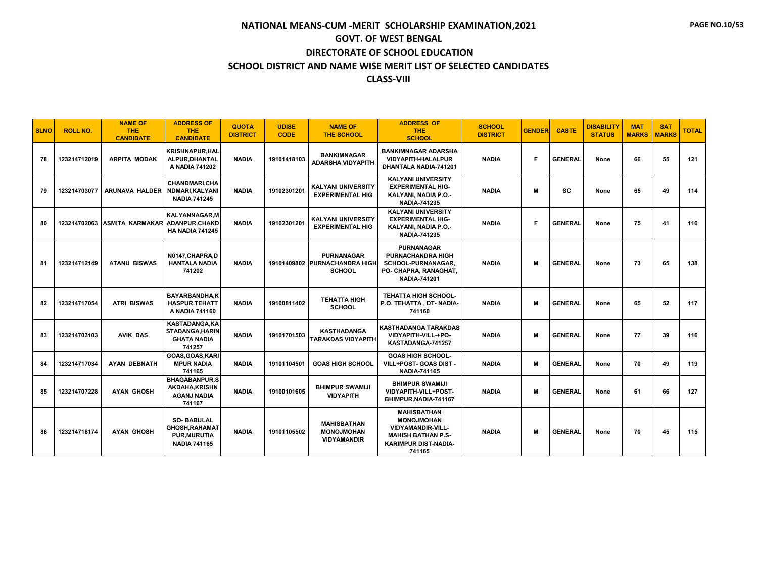| <b>SLNO</b> | <b>ROLL NO.</b> | <b>NAME OF</b><br>THE:<br><b>CANDIDATE</b> | <b>ADDRESS OF</b><br><b>THE</b><br><b>CANDIDATE</b>                                      | <b>QUOTA</b><br><b>DISTRICT</b> | <b>UDISE</b><br><b>CODE</b> | <b>NAME OF</b><br><b>THE SCHOOL</b>                                 | <b>ADDRESS OF</b><br>THE.<br><b>SCHOOL</b>                                                                                                | <b>SCHOOL</b><br><b>DISTRICT</b> | <b>GENDER</b> | <b>CASTE</b>   | <b>DISABILITY</b><br><b>STATUS</b> | <b>MAT</b><br><b>MARKS</b> | <b>SAT</b><br><b>MARKS</b> | <b>TOTAL</b> |
|-------------|-----------------|--------------------------------------------|------------------------------------------------------------------------------------------|---------------------------------|-----------------------------|---------------------------------------------------------------------|-------------------------------------------------------------------------------------------------------------------------------------------|----------------------------------|---------------|----------------|------------------------------------|----------------------------|----------------------------|--------------|
| 78          | 123214712019    | <b>ARPITA MODAK</b>                        | KRISHNAPUR.HAL<br>ALPUR, DHANTAL<br>A NADIA 741202                                       | <b>NADIA</b>                    | 19101418103                 | <b>BANKIMNAGAR</b><br><b>ADARSHA VIDYAPITH</b>                      | <b>BANKIMNAGAR ADARSHA</b><br><b>VIDYAPITH-HALALPUR</b><br><b>DHANTALA NADIA-741201</b>                                                   | <b>NADIA</b>                     | Е             | <b>GENERAL</b> | None                               | 66                         | 55                         | 121          |
| 79          | 123214703077    | <b>ARUNAVA HALDER</b>                      | <b>CHANDMARI.CHA</b><br>NDMARI.KALYANI<br><b>NADIA 741245</b>                            | <b>NADIA</b>                    | 19102301201                 | KALYANI UNIVERSITY<br><b>EXPERIMENTAL HIG</b>                       | <b>KALYANI UNIVERSITY</b><br><b>EXPERIMENTAL HIG-</b><br>KALYANI, NADIA P.O.-<br><b>NADIA-741235</b>                                      | <b>NADIA</b>                     | M             | <b>SC</b>      | None                               | 65                         | 49                         | 114          |
| 80          |                 | 123214702063 ASMITA KARMAKAR               | <b>KALYANNAGAR, M</b><br><b>ADANPUR, CHAKD</b><br><b>HA NADIA 741245</b>                 | <b>NADIA</b>                    | 19102301201                 | <b>KALYANI UNIVERSITY</b><br><b>EXPERIMENTAL HIG</b>                | <b>KALYANI UNIVERSITY</b><br><b>EXPERIMENTAL HIG-</b><br>KALYANI, NADIA P.O.-<br><b>NADIA-741235</b>                                      | <b>NADIA</b>                     | Е             | <b>GENERAL</b> | None                               | 75                         | 41                         | 116          |
| 81          | 123214712149    | <b>ATANU BISWAS</b>                        | N0147, CHAPRA, D<br><b>HANTALA NADIA</b><br>741202                                       | <b>NADIA</b>                    |                             | <b>PURNANAGAR</b><br>19101409802 PURNACHANDRA HIGH<br><b>SCHOOL</b> | <b>PURNANAGAR</b><br><b>PURNACHANDRA HIGH</b><br>SCHOOL-PURNANAGAR,<br>PO- CHAPRA, RANAGHAT,<br><b>NADIA-741201</b>                       | <b>NADIA</b>                     | M             | <b>GENERAL</b> | None                               | 73                         | 65                         | 138          |
| 82          | 123214717054    | <b>ATRI BISWAS</b>                         | <b>BAYARBANDHA.K</b><br><b>HASPUR, TEHATT</b><br>A NADIA 741160                          | <b>NADIA</b>                    | 19100811402                 | <b>TEHATTA HIGH</b><br><b>SCHOOL</b>                                | <b>TEHATTA HIGH SCHOOL-</b><br>P.O. TEHATTA, DT- NADIA-<br>741160                                                                         | <b>NADIA</b>                     | M             | <b>GENERAL</b> | None                               | 65                         | 52                         | 117          |
| 83          | 123214703103    | <b>AVIK DAS</b>                            | KASTADANGA, KA<br><b>STADANGA, HARIN</b><br><b>GHATA NADIA</b><br>741257                 | <b>NADIA</b>                    | 19101701503                 | <b>KASTHADANGA</b><br><b>TARAKDAS VIDYAPITH</b>                     | <b>KASTHADANGA TARAKDAS</b><br>VIDYAPITH-VILL-+PO-<br>KASTADANGA-741257                                                                   | <b>NADIA</b>                     | M             | <b>GENERAL</b> | None                               | 77                         | 39                         | 116          |
| 84          | 123214717034    | <b>AYAN DEBNATH</b>                        | GOAS.GOAS.KARI<br><b>MPUR NADIA</b><br>741165                                            | <b>NADIA</b>                    | 19101104501                 | <b>GOAS HIGH SCHOOL</b>                                             | <b>GOAS HIGH SCHOOL-</b><br>VILL+POST- GOAS DIST -<br><b>NADIA-741165</b>                                                                 | <b>NADIA</b>                     | M             | <b>GENERAL</b> | None                               | 70                         | 49                         | 119          |
| 85          | 123214707228    | <b>AYAN GHOSH</b>                          | <b>BHAGABANPUR.S</b><br><b>AKDAHA.KRISHN</b><br><b>AGANJ NADIA</b><br>741167             | <b>NADIA</b>                    | 19100101605                 | <b>BHIMPUR SWAMIJI</b><br><b>VIDYAPITH</b>                          | <b>BHIMPUR SWAMIJI</b><br>VIDYAPITH-VILL+POST-<br>BHIMPUR, NADIA-741167                                                                   | <b>NADIA</b>                     | м             | <b>GENERAL</b> | None                               | 61                         | 66                         | 127          |
| 86          | 123214718174    | <b>AYAN GHOSH</b>                          | <b>SO-BABULAL</b><br><b>GHOSH, RAHAMAT</b><br><b>PUR, MURUTIA</b><br><b>NADIA 741165</b> | <b>NADIA</b>                    | 19101105502                 | <b>MAHISBATHAN</b><br><b>MONOJMOHAN</b><br><b>VIDYAMANDIR</b>       | <b>MAHISBATHAN</b><br><b>MONOJMOHAN</b><br><b>VIDYAMANDIR-VILL-</b><br><b>MAHISH BATHAN P.S-</b><br><b>KARIMPUR DIST-NADIA-</b><br>741165 | <b>NADIA</b>                     | M             | <b>GENERAL</b> | None                               | 70                         | 45                         | 115          |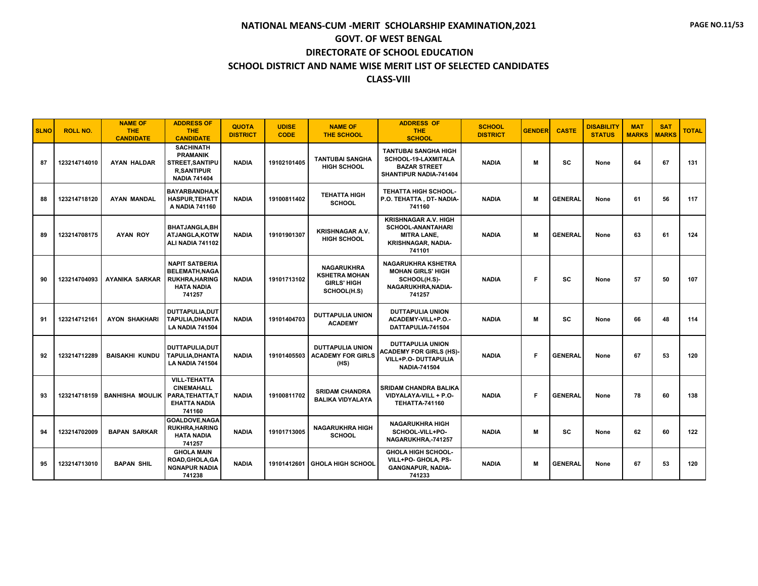| <b>SLNO</b> | <b>ROLL NO.</b> | <b>NAME OF</b><br>THE.<br><b>CANDIDATE</b> | <b>ADDRESS OF</b><br><b>THE</b><br><b>CANDIDATE</b>                                                       | <b>QUOTA</b><br><b>DISTRICT</b> | <b>UDISE</b><br><b>CODE</b> | <b>NAME OF</b><br><b>THE SCHOOL</b>                                            | <b>ADDRESS OF</b><br>THE.<br><b>SCHOOL</b>                                                                           | <b>SCHOOL</b><br><b>DISTRICT</b> | <b>GENDER</b> | <b>CASTE</b>   | <b>DISABILITY</b><br><b>STATUS</b> | <b>MAT</b><br><b>MARKS</b> | <b>SAT</b><br><b>MARKS</b> | <b>TOTAL</b> |
|-------------|-----------------|--------------------------------------------|-----------------------------------------------------------------------------------------------------------|---------------------------------|-----------------------------|--------------------------------------------------------------------------------|----------------------------------------------------------------------------------------------------------------------|----------------------------------|---------------|----------------|------------------------------------|----------------------------|----------------------------|--------------|
| 87          | 123214714010    | <b>AYAN HALDAR</b>                         | <b>SACHINATH</b><br><b>PRAMANIK</b><br><b>STREET, SANTIPU</b><br><b>R,SANTIPUR</b><br><b>NADIA 741404</b> | <b>NADIA</b>                    | 19102101405                 | <b>TANTUBAI SANGHA</b><br><b>HIGH SCHOOL</b>                                   | <b>TANTUBAI SANGHA HIGH</b><br>SCHOOL-19-LAXMITALA<br><b>BAZAR STREET</b><br>SHANTIPUR NADIA-741404                  | <b>NADIA</b>                     | м             | <b>SC</b>      | None                               | 64                         | 67                         | 131          |
| 88          | 123214718120    | <b>AYAN MANDAL</b>                         | <b>BAYARBANDHA,K</b><br><b>HASPUR, TEHATT</b><br>A NADIA 741160                                           | <b>NADIA</b>                    | 19100811402                 | <b>TEHATTA HIGH</b><br><b>SCHOOL</b>                                           | <b>TEHATTA HIGH SCHOOL-</b><br>P.O. TEHATTA, DT-NADIA-<br>741160                                                     | <b>NADIA</b>                     | м             | <b>GENERAL</b> | None                               | 61                         | 56                         | 117          |
| 89          | 123214708175    | <b>AYAN ROY</b>                            | <b>BHATJANGLA, BH</b><br>ATJANGLA,KOTW<br>ALI NADIA 741102                                                | <b>NADIA</b>                    | 19101901307                 | <b>KRISHNAGAR A.V.</b><br><b>HIGH SCHOOL</b>                                   | <b>KRISHNAGAR A.V. HIGH</b><br><b>SCHOOL-ANANTAHARI</b><br><b>MITRA LANE.</b><br><b>KRISHNAGAR, NADIA-</b><br>741101 | <b>NADIA</b>                     | м             | <b>GENERAL</b> | None                               | 63                         | 61                         | 124          |
| 90          | 123214704093    | <b>AYANIKA SARKAR</b>                      | <b>NAPIT SATBERIA</b><br>BELEMATH, NAGA<br><b>RUKHRA, HARING</b><br><b>HATA NADIA</b><br>741257           | <b>NADIA</b>                    | 19101713102                 | <b>NAGARUKHRA</b><br><b>KSHETRA MOHAN</b><br><b>GIRLS' HIGH</b><br>SCHOOL(H.S) | <b>NAGARUKHRA KSHETRA</b><br><b>MOHAN GIRLS' HIGH</b><br>SCHOOL(H.S)-<br>NAGARUKHRA, NADIA-<br>741257                | <b>NADIA</b>                     | F             | SC             | None                               | 57                         | 50                         | 107          |
| 91          | 123214712161    | <b>AYON SHAKHARI</b>                       | DUTTAPULIA, DUT<br>TAPULIA,DHANTA<br><b>LA NADIA 741504</b>                                               | <b>NADIA</b>                    | 19101404703                 | <b>DUTTAPULIA UNION</b><br><b>ACADEMY</b>                                      | <b>DUTTAPULIA UNION</b><br>ACADEMY-VILL+P.O.-<br>DATTAPULIA-741504                                                   | <b>NADIA</b>                     | м             | SC             | None                               | 66                         | 48                         | 114          |
| 92          | 123214712289    | <b>BAISAKHI KUNDU</b>                      | <b>DUTTAPULIA.DUT</b><br>TAPULIA, DHANTA<br><b>LA NADIA 741504</b>                                        | <b>NADIA</b>                    | 19101405503                 | <b>DUTTAPULIA UNION</b><br><b>ACADEMY FOR GIRLS</b><br>(HS)                    | <b>DUTTAPULIA UNION</b><br><b>ACADEMY FOR GIRLS (HS)-</b><br>VILL+P.O- DUTTAPULIA<br><b>NADIA-741504</b>             | <b>NADIA</b>                     | Е             | <b>GENERAL</b> | None                               | 67                         | 53                         | 120          |
| 93          | 123214718159    | <b>BANHISHA MOULIK</b>                     | <b>VILL-TEHATTA</b><br><b>CINEMAHALL</b><br>PARA.TEHATTA.T<br><b>EHATTA NADIA</b><br>741160               | <b>NADIA</b>                    | 19100811702                 | <b>SRIDAM CHANDRA</b><br><b>BALIKA VIDYALAYA</b>                               | <b>SRIDAM CHANDRA BALIKA</b><br>VIDYALAYA-VILL + P.O-<br><b>TEHATTA-741160</b>                                       | <b>NADIA</b>                     | Е             | <b>GENERAL</b> | None                               | 78                         | 60                         | 138          |
| 94          | 123214702009    | <b>BAPAN SARKAR</b>                        | <b>GOALDOVE.NAGA</b><br><b>RUKHRA, HARING</b><br><b>HATA NADIA</b><br>741257                              | <b>NADIA</b>                    | 19101713005                 | <b>NAGARUKHRA HIGH</b><br><b>SCHOOL</b>                                        | <b>NAGARUKHRA HIGH</b><br>SCHOOL-VILL+PO-<br>NAGARUKHRA,-741257                                                      | <b>NADIA</b>                     | м             | <b>SC</b>      | None                               | 62                         | 60                         | 122          |
| 95          | 123214713010    | <b>BAPAN SHIL</b>                          | <b>GHOLA MAIN</b><br>ROAD, GHOLA, GA<br><b>NGNAPUR NADIA</b><br>741238                                    | <b>NADIA</b>                    |                             | 19101412601 GHOLA HIGH SCHOOL                                                  | <b>GHOLA HIGH SCHOOL-</b><br>VILL+PO- GHOLA, PS-<br><b>GANGNAPUR, NADIA-</b><br>741233                               | <b>NADIA</b>                     | м             | <b>GENERAL</b> | None                               | 67                         | 53                         | 120          |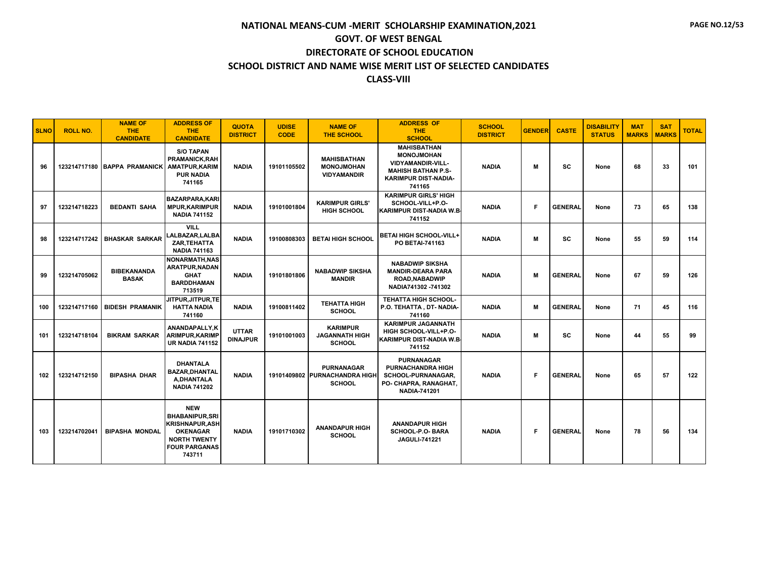| <b>SLNO</b> | <b>ROLL NO.</b> | <b>NAME OF</b><br><b>THE</b><br><b>CANDIDATE</b> | <b>ADDRESS OF</b><br><b>THE</b><br><b>CANDIDATE</b>                                                                                       | <b>QUOTA</b><br><b>DISTRICT</b> | <b>UDISE</b><br><b>CODE</b> | <b>NAME OF</b><br><b>THE SCHOOL</b>                                 | <b>ADDRESS OF</b><br><b>THE</b><br><b>SCHOOL</b>                                                                                          | <b>SCHOOL</b><br><b>DISTRICT</b> | <b>GENDER</b> | <b>CASTE</b>   | <b>DISABILITY</b><br><b>STATUS</b> | <b>MAT</b><br><b>MARKS</b> | <b>SAT</b><br><b>MARKS</b> | <b>TOTAL</b> |
|-------------|-----------------|--------------------------------------------------|-------------------------------------------------------------------------------------------------------------------------------------------|---------------------------------|-----------------------------|---------------------------------------------------------------------|-------------------------------------------------------------------------------------------------------------------------------------------|----------------------------------|---------------|----------------|------------------------------------|----------------------------|----------------------------|--------------|
| 96          |                 | 123214717180 BAPPA PRAMANICK AMATPUR.KARIM       | <b>S/O TAPAN</b><br><b>PRAMANICK, RAH</b><br><b>PUR NADIA</b><br>741165                                                                   | <b>NADIA</b>                    | 19101105502                 | <b>MAHISBATHAN</b><br><b>MONOJMOHAN</b><br><b>VIDYAMANDIR</b>       | <b>MAHISBATHAN</b><br><b>MONOJMOHAN</b><br><b>VIDYAMANDIR-VILL-</b><br><b>MAHISH BATHAN P.S-</b><br><b>KARIMPUR DIST-NADIA-</b><br>741165 | <b>NADIA</b>                     | м             | sc             | None                               | 68                         | 33                         | 101          |
| 97          | 123214718223    | <b>BEDANTI SAHA</b>                              | <b>BAZARPARA.KARI</b><br><b>MPUR, KARIMPUR</b><br><b>NADIA 741152</b>                                                                     | <b>NADIA</b>                    | 19101001804                 | <b>KARIMPUR GIRLS'</b><br><b>HIGH SCHOOL</b>                        | <b>KARIMPUR GIRLS' HIGH</b><br>SCHOOL-VILL+P.O-<br><b>KARIMPUR DIST-NADIA W.B.</b><br>741152                                              | <b>NADIA</b>                     | Е             | <b>GENERAL</b> | None                               | 73                         | 65                         | 138          |
| 98          |                 | 123214717242 BHASKAR SARKAR                      | <b>VILL</b><br>LALBAZAR,LALBA<br>ZAR, TEHATTA<br><b>NADIA 741163</b>                                                                      | <b>NADIA</b>                    | 19100808303                 | <b>BETAI HIGH SCHOOL</b>                                            | <b>BETAI HIGH SCHOOL-VILL+</b><br>PO BETAI-741163                                                                                         | <b>NADIA</b>                     | м             | SC             | None                               | 55                         | 59                         | 114          |
| 99          | 123214705062    | <b>BIBEKANANDA</b><br><b>BASAK</b>               | <b>NONARMATH, NAS</b><br>ARATPUR, NADAN<br><b>GHAT</b><br><b>BARDDHAMAN</b><br>713519                                                     | <b>NADIA</b>                    | 19101801806                 | <b>NABADWIP SIKSHA</b><br><b>MANDIR</b>                             | <b>NABADWIP SIKSHA</b><br><b>MANDIR-DEARA PARA</b><br><b>ROAD.NABADWIP</b><br>NADIA741302 - 741302                                        | <b>NADIA</b>                     | м             | <b>GENERAL</b> | None                               | 67                         | 59                         | 126          |
| 100         |                 | 123214717160   BIDESH PRAMANIK                   | JITPUR.JITPUR.TE<br><b>HATTA NADIA</b><br>741160                                                                                          | <b>NADIA</b>                    | 19100811402                 | <b>TEHATTA HIGH</b><br><b>SCHOOL</b>                                | <b>TEHATTA HIGH SCHOOL-</b><br>P.O. TEHATTA, DT- NADIA-<br>741160                                                                         | <b>NADIA</b>                     | м             | <b>GENERAL</b> | None                               | 71                         | 45                         | 116          |
| 101         | 123214718104    | <b>BIKRAM SARKAR</b>                             | ANANDAPALLY.K<br><b>ARIMPUR, KARIMP</b><br><b>UR NADIA 741152</b>                                                                         | <b>UTTAR</b><br><b>DINAJPUR</b> | 19101001003                 | <b>KARIMPUR</b><br><b>JAGANNATH HIGH</b><br><b>SCHOOL</b>           | <b>KARIMPUR JAGANNATH</b><br>HIGH SCHOOL-VILL+P.O-<br><b>KARIMPUR DIST-NADIA W.B.</b><br>741152                                           | <b>NADIA</b>                     | м             | SC             | None                               | 44                         | 55                         | 99           |
| 102         | 123214712150    | <b>BIPASHA DHAR</b>                              | <b>DHANTALA</b><br><b>BAZAR, DHANTAL</b><br>A, DHANTALA<br><b>NADIA 741202</b>                                                            | <b>NADIA</b>                    |                             | <b>PURNANAGAR</b><br>19101409802 PURNACHANDRA HIGH<br><b>SCHOOL</b> | <b>PURNANAGAR</b><br><b>PURNACHANDRA HIGH</b><br>SCHOOL-PURNANAGAR,<br>PO- CHAPRA, RANAGHAT,<br><b>NADIA-741201</b>                       | <b>NADIA</b>                     | F             | <b>GENERAL</b> | None                               | 65                         | 57                         | 122          |
| 103         | 123214702041    | <b>BIPASHA MONDAL</b>                            | <b>NEW</b><br><b>BHABANIPUR.SRI</b><br><b>KRISHNAPUR, ASH</b><br><b>OKENAGAR</b><br><b>NORTH TWENTY</b><br><b>FOUR PARGANAS</b><br>743711 | <b>NADIA</b>                    | 19101710302                 | <b>ANANDAPUR HIGH</b><br><b>SCHOOL</b>                              | <b>ANANDAPUR HIGH</b><br>SCHOOL-P.O- BARA<br><b>JAGULI-741221</b>                                                                         | <b>NADIA</b>                     | E             | <b>GENERAL</b> | None                               | 78                         | 56                         | 134          |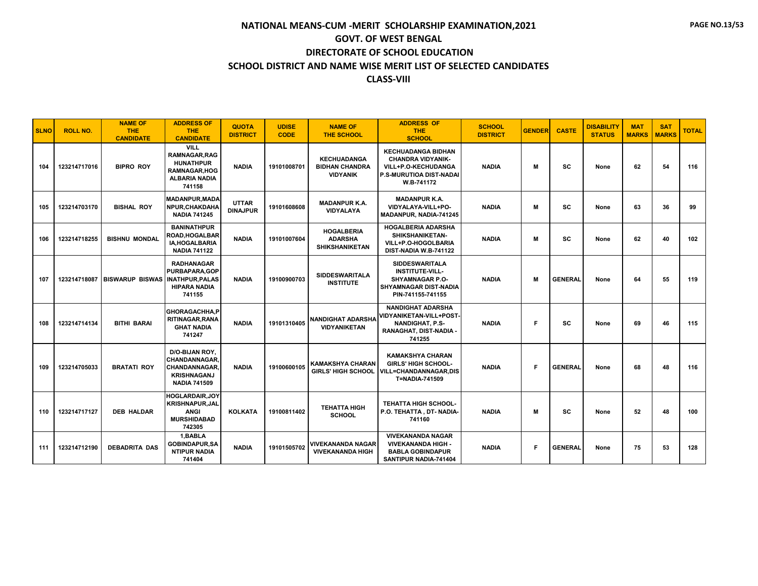#### **SCHOOL DISTRICT AND NAME WISE MERIT LIST OF SELECTED CANDIDATES**

#### **CLASS-VIII**

| <b>SLNO</b> | <b>ROLL NO.</b> | <b>NAME OF</b><br><b>THE</b><br><b>CANDIDATE</b> | <b>ADDRESS OF</b><br><b>THE</b><br><b>CANDIDATE</b>                                                        | <b>QUOTA</b><br><b>DISTRICT</b> | <b>UDISE</b><br><b>CODE</b> | <b>NAME OF</b><br><b>THE SCHOOL</b>                            | <b>ADDRESS OF</b><br><b>THE</b><br><b>SCHOOL</b>                                                                               | <b>SCHOOL</b><br><b>DISTRICT</b> | <b>GENDER</b> | <b>CASTE</b>   | <b>DISABILITY</b><br><b>STATUS</b> | <b>MAT</b><br><b>MARKS</b> | <b>SAT</b><br><b>MARKS</b> | <b>TOTAL</b> |
|-------------|-----------------|--------------------------------------------------|------------------------------------------------------------------------------------------------------------|---------------------------------|-----------------------------|----------------------------------------------------------------|--------------------------------------------------------------------------------------------------------------------------------|----------------------------------|---------------|----------------|------------------------------------|----------------------------|----------------------------|--------------|
| 104         | 123214717016    | <b>BIPRO ROY</b>                                 | VILL<br><b>RAMNAGAR.RAG</b><br><b>HUNATHPUR</b><br><b>RAMNAGAR.HOG</b><br><b>ALBARIA NADIA</b><br>741158   | <b>NADIA</b>                    | 19101008701                 | <b>KECHUADANGA</b><br><b>BIDHAN CHANDRA</b><br><b>VIDYANIK</b> | <b>KECHUADANGA BIDHAN</b><br><b>CHANDRA VIDYANIK-</b><br>VILL+P.O-KECHUDANGA<br>P.S-MURUTIOA DIST-NADAI<br>W.B-741172          | <b>NADIA</b>                     | м             | <b>SC</b>      | None                               | 62                         | 54                         | 116          |
| 105         | 123214703170    | <b>BISHAL ROY</b>                                | <b>MADANPUR, MADA</b><br><b>NPUR, CHAKDAHA</b><br><b>NADIA 741245</b>                                      | <b>UTTAR</b><br><b>DINAJPUR</b> | 19101608608                 | <b>MADANPUR K.A.</b><br>VIDYALAYA                              | <b>MADANPUR K.A.</b><br>VIDYALAYA-VILL+PO-<br>MADANPUR, NADIA-741245                                                           | <b>NADIA</b>                     | м             | <b>SC</b>      | None                               | 63                         | 36                         | 99           |
| 106         | 123214718255    | <b>BISHNU MONDAL</b>                             | <b>BANINATHPUR</b><br>ROAD, HOGALBAR<br><b>IA.HOGALBARIA</b><br><b>NADIA 741122</b>                        | <b>NADIA</b>                    | 19101007604                 | <b>HOGALBERIA</b><br><b>ADARSHA</b><br><b>SHIKSHANIKETAN</b>   | <b>HOGALBERIA ADARSHA</b><br>SHIKSHANIKETAN-<br>VILL+P.O-HOGOLBARIA<br>DIST-NADIA W.B-741122                                   | <b>NADIA</b>                     | M             | <b>SC</b>      | None                               | 62                         | 40                         | 102          |
| 107         |                 | 123214718087   BISWARUP BISWAS   INATHPUR, PALAS | <b>RADHANAGAR</b><br><b>PURBAPARA,GOP</b><br><b>HIPARA NADIA</b><br>741155                                 | <b>NADIA</b>                    | 19100900703                 | <b>SIDDESWARITALA</b><br><b>INSTITUTE</b>                      | <b>SIDDESWARITALA</b><br><b>INSTITUTE-VILL-</b><br><b>SHYAMNAGAR P.O-</b><br><b>SHYAMNAGAR DIST-NADIA</b><br>PIN-741155-741155 | <b>NADIA</b>                     | м             | <b>GENERAL</b> | None                               | 64                         | 55                         | 119          |
| 108         | 123214714134    | <b>BITHI BARAI</b>                               | <b>GHORAGACHHA,P</b><br>RITINAGAR, RANA<br><b>GHAT NADIA</b><br>741247                                     | <b>NADIA</b>                    | 19101310405                 | <b>NANDIGHAT ADARSHA</b><br><b>VIDYANIKETAN</b>                | <b>NANDIGHAT ADARSHA</b><br>VIDYANIKETAN-VILL+POST-<br><b>NANDIGHAT, P.S-</b><br>RANAGHAT, DIST-NADIA -<br>741255              | <b>NADIA</b>                     | F             | sc             | None                               | 69                         | 46                         | 115          |
| 109         | 123214705033    | <b>BRATATI ROY</b>                               | D/O-BIJAN ROY,<br><b>CHANDANNAGAR,</b><br><b>CHANDANNAGAR</b><br><b>KRISHNAGANJ</b><br><b>NADIA 741509</b> | <b>NADIA</b>                    | 19100600105                 | <b>KAMAKSHYA CHARAN</b><br><b>GIRLS' HIGH SCHOOL</b>           | <b>KAMAKSHYA CHARAN</b><br><b>GIRLS' HIGH SCHOOL-</b><br><b>VILL=CHANDANNAGAR,DIS</b><br>T=NADIA-741509                        | <b>NADIA</b>                     | F             | <b>GENERAL</b> | None                               | 68                         | 48                         | 116          |
| 110         | 123214717127    | <b>DEB HALDAR</b>                                | <b>HOGLARDAIR, JOY</b><br><b>KRISHNAPUR, JAL</b><br><b>ANGI</b><br><b>MURSHIDABAD</b><br>742305            | <b>KOLKATA</b>                  | 19100811402                 | <b>TEHATTA HIGH</b><br><b>SCHOOL</b>                           | <b>TEHATTA HIGH SCHOOL-</b><br>P.O. TEHATTA, DT-NADIA-<br>741160                                                               | <b>NADIA</b>                     | м             | SC             | None                               | 52                         | 48                         | 100          |
| 111         | 123214712190    | <b>DEBADRITA DAS</b>                             | 1,BABLA<br><b>GOBINDAPUR,SA</b><br><b>NTIPUR NADIA</b><br>741404                                           | <b>NADIA</b>                    | 19101505702                 | <b>VIVEKANANDA NAGAR</b><br><b>VIVEKANANDA HIGH</b>            | <b>VIVEKANANDA NAGAR</b><br><b>VIVEKANANDA HIGH -</b><br><b>BABLA GOBINDAPUR</b><br>SANTIPUR NADIA-741404                      | <b>NADIA</b>                     | Е             | <b>GENERAL</b> | None                               | 75                         | 53                         | 128          |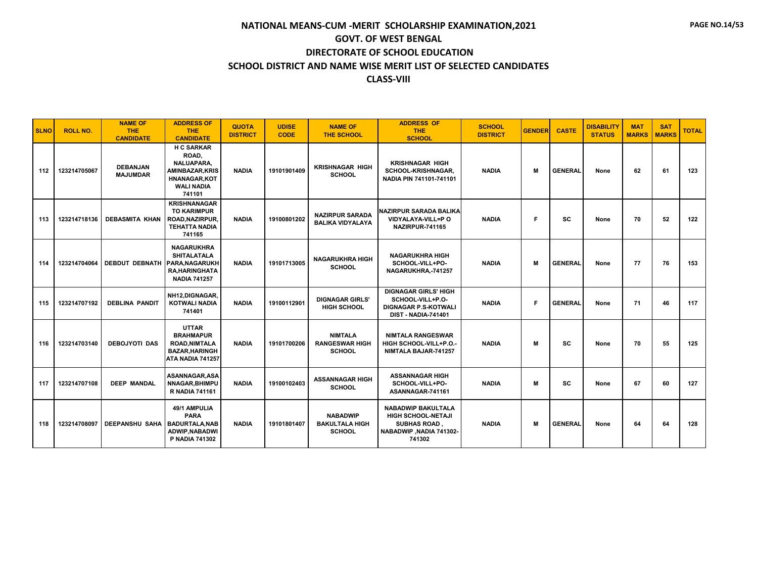| <b>SLNO</b> | <b>ROLL NO.</b> | <b>NAME OF</b><br>THE.<br><b>CANDIDATE</b> | <b>ADDRESS OF</b><br><b>THE</b><br><b>CANDIDATE</b>                                                                     | <b>QUOTA</b><br><b>DISTRICT</b> | <b>UDISE</b><br><b>CODE</b> | <b>NAME OF</b><br><b>THE SCHOOL</b>                       | <b>ADDRESS OF</b><br>THE.<br><b>SCHOOL</b>                                                                        | <b>SCHOOL</b><br><b>DISTRICT</b> | <b>GENDER</b> | <b>CASTE</b>   | <b>DISABILITY</b><br><b>STATUS</b> | <b>MAT</b><br><b>MARKS</b> | <b>SAT</b><br><b>MARKS</b> | <b>TOTAL</b> |
|-------------|-----------------|--------------------------------------------|-------------------------------------------------------------------------------------------------------------------------|---------------------------------|-----------------------------|-----------------------------------------------------------|-------------------------------------------------------------------------------------------------------------------|----------------------------------|---------------|----------------|------------------------------------|----------------------------|----------------------------|--------------|
| 112         | 123214705067    | <b>DEBANJAN</b><br><b>MAJUMDAR</b>         | <b>H C SARKAR</b><br>ROAD,<br>NALUAPARA.<br><b>AMINBAZAR.KRIS</b><br><b>HNANAGAR,KOT</b><br><b>WALI NADIA</b><br>741101 | <b>NADIA</b>                    | 19101901409                 | <b>KRISHNAGAR HIGH</b><br><b>SCHOOL</b>                   | <b>KRISHNAGAR HIGH</b><br><b>SCHOOL-KRISHNAGAR.</b><br>NADIA PIN 741101-741101                                    | <b>NADIA</b>                     | M             | <b>GENERAL</b> | None                               | 62                         | 61                         | 123          |
| 113         | 123214718136    | <b>DEBASMITA KHAN</b>                      | <b>KRISHNANAGAR</b><br><b>TO KARIMPUR</b><br>ROAD, NAZIRPUR,<br><b>TEHATTA NADIA</b><br>741165                          | <b>NADIA</b>                    | 19100801202                 | <b>NAZIRPUR SARADA</b><br><b>BALIKA VIDYALAYA</b>         | NAZIRPUR SARADA BALIKA<br>VIDYALAYA-VILL=P O<br>NAZIRPUR-741165                                                   | <b>NADIA</b>                     | F             | <b>SC</b>      | None                               | 70                         | 52                         | 122          |
| 114         | 123214704064    | DEBDUT DEBNATH PARA, NAGARUKH              | <b>NAGARUKHRA</b><br><b>SHITALATALA</b><br><b>RA.HARINGHATA</b><br><b>NADIA 741257</b>                                  | <b>NADIA</b>                    | 19101713005                 | <b>NAGARUKHRA HIGH</b><br><b>SCHOOL</b>                   | <b>NAGARUKHRA HIGH</b><br>SCHOOL-VILL+PO-<br>NAGARUKHRA,-741257                                                   | <b>NADIA</b>                     | M             | <b>GENERAL</b> | None                               | 77                         | 76                         | 153          |
| 115         | 123214707192    | <b>DEBLINA PANDIT</b>                      | NH12, DIGNAGAR,<br><b>KOTWALI NADIA</b><br>741401                                                                       | <b>NADIA</b>                    | 19100112901                 | <b>DIGNAGAR GIRLS'</b><br><b>HIGH SCHOOL</b>              | <b>DIGNAGAR GIRLS' HIGH</b><br>SCHOOL-VILL+P.O-<br><b>DIGNAGAR P.S-KOTWALI</b><br><b>DIST - NADIA-741401</b>      | <b>NADIA</b>                     | F             | <b>GENERAL</b> | None                               | 71                         | 46                         | 117          |
| 116         | 123214703140    | <b>DEBOJYOTI DAS</b>                       | <b>UTTAR</b><br><b>BRAHMAPUR</b><br><b>ROAD, NIMTALA</b><br><b>BAZAR, HARINGH</b><br>ATA NADIA 741257                   | <b>NADIA</b>                    | 19101700206                 | <b>NIMTALA</b><br><b>RANGESWAR HIGH</b><br><b>SCHOOL</b>  | <b>NIMTALA RANGESWAR</b><br>HIGH SCHOOL-VILL+P.O.<br>NIMTALA BAJAR-741257                                         | <b>NADIA</b>                     | м             | sc             | None                               | 70                         | 55                         | 125          |
| 117         | 123214707108    | <b>DEEP MANDAL</b>                         | ASANNAGAR.ASA<br><b>NNAGAR, BHIMPU</b><br><b>R NADIA 741161</b>                                                         | <b>NADIA</b>                    | 19100102403                 | <b>ASSANNAGAR HIGH</b><br><b>SCHOOL</b>                   | <b>ASSANNAGAR HIGH</b><br>SCHOOL-VILL+PO-<br>ASANNAGAR-741161                                                     | <b>NADIA</b>                     | M             | <b>SC</b>      | None                               | 67                         | 60                         | 127          |
| 118         | 123214708097    | <b>DEEPANSHU SAHA</b>                      | 49/1 AMPULIA<br><b>PARA</b><br><b>BADURTALA, NAB</b><br><b>ADWIP.NABADWI</b><br><b>P NADIA 741302</b>                   | <b>NADIA</b>                    | 19101801407                 | <b>NABADWIP</b><br><b>BAKULTALA HIGH</b><br><b>SCHOOL</b> | <b>NABADWIP BAKULTALA</b><br><b>HIGH SCHOOL-NETAJI</b><br><b>SUBHAS ROAD</b><br>NABADWIP .NADIA 741302-<br>741302 | <b>NADIA</b>                     | м             | <b>GENERAL</b> | None                               | 64                         | 64                         | 128          |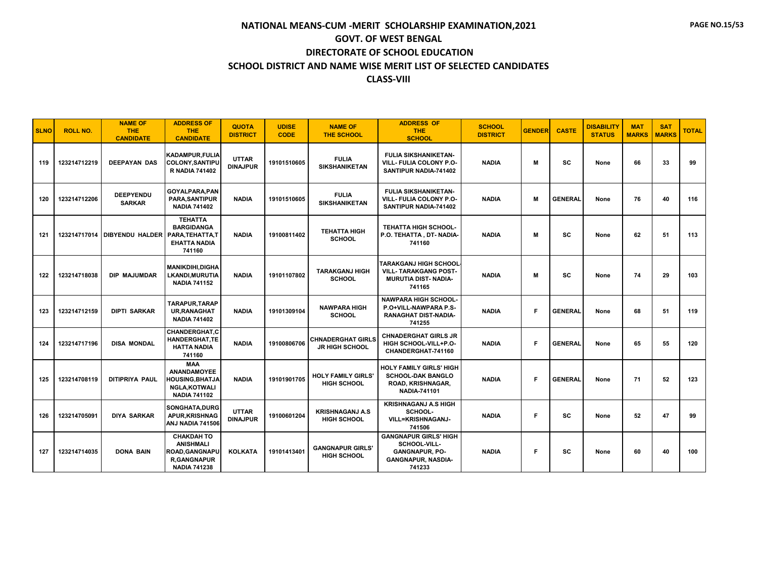| <b>SLNO</b> | <b>ROLL NO.</b> | <b>NAME OF</b><br><b>THE</b><br><b>CANDIDATE</b> | <b>ADDRESS OF</b><br><b>THE</b><br><b>CANDIDATE</b>                                                      | <b>QUOTA</b><br><b>DISTRICT</b> | <b>UDISE</b><br><b>CODE</b> | <b>NAME OF</b><br><b>THE SCHOOL</b>               | <b>ADDRESS OF</b><br>THE.<br><b>SCHOOL</b>                                                                   | <b>SCHOOL</b><br><b>DISTRICT</b> | <b>GENDER</b> | <b>CASTE</b>   | <b>DISABILITY</b><br><b>STATUS</b> | <b>MAT</b><br><b>MARKS</b> | <b>SAT</b><br><b>MARKS</b> | <b>TOTAL</b> |
|-------------|-----------------|--------------------------------------------------|----------------------------------------------------------------------------------------------------------|---------------------------------|-----------------------------|---------------------------------------------------|--------------------------------------------------------------------------------------------------------------|----------------------------------|---------------|----------------|------------------------------------|----------------------------|----------------------------|--------------|
| 119         | 123214712219    | <b>DEEPAYAN DAS</b>                              | KADAMPUR, FULIA<br><b>COLONY.SANTIPU</b><br><b>R NADIA 741402</b>                                        | <b>UTTAR</b><br><b>DINAJPUR</b> | 19101510605                 | <b>FULIA</b><br><b>SIKSHANIKETAN</b>              | <b>FULIA SIKSHANIKETAN-</b><br><b>VILL- FULIA COLONY P.O-</b><br>SANTIPUR NADIA-741402                       | <b>NADIA</b>                     | M             | <b>SC</b>      | None                               | 66                         | 33                         | 99           |
| 120         | 123214712206    | <b>DEEPYENDU</b><br><b>SARKAR</b>                | GOYALPARA.PAN<br>PARA, SANTIPUR<br><b>NADIA 741402</b>                                                   | <b>NADIA</b>                    | 19101510605                 | <b>FULIA</b><br><b>SIKSHANIKETAN</b>              | <b>FULIA SIKSHANIKETAN-</b><br>VILL- FULIA COLONY P.O-<br>SANTIPUR NADIA-741402                              | <b>NADIA</b>                     | M             | <b>GENERAL</b> | None                               | 76                         | 40                         | 116          |
| 121         | 123214717014    | <b>DIBYENDU HALDER</b>                           | <b>TEHATTA</b><br><b>BARGIDANGA</b><br>PARA, TEHATTA, T<br><b>EHATTA NADIA</b><br>741160                 | <b>NADIA</b>                    | 19100811402                 | <b>TEHATTA HIGH</b><br><b>SCHOOL</b>              | <b>TEHATTA HIGH SCHOOL-</b><br>P.O. TEHATTA, DT-NADIA-<br>741160                                             | <b>NADIA</b>                     | M             | <b>SC</b>      | None                               | 62                         | 51                         | 113          |
| 122         | 123214718038    | DIP MAJUMDAR                                     | <b>MANIKDIHI.DIGHA</b><br><b>LKANDI, MURUTIA</b><br><b>NADIA 741152</b>                                  | <b>NADIA</b>                    | 19101107802                 | <b>TARAKGANJ HIGH</b><br><b>SCHOOL</b>            | TARAKGANJ HIGH SCHOOL<br><b>VILL- TARAKGANG POST-</b><br><b>MURUTIA DIST- NADIA-</b><br>741165               | <b>NADIA</b>                     | M             | SC             | None                               | 74                         | 29                         | 103          |
| 123         | 123214712159    | <b>DIPTI SARKAR</b>                              | <b>TARAPUR.TARAP</b><br><b>UR.RANAGHAT</b><br><b>NADIA 741402</b>                                        | <b>NADIA</b>                    | 19101309104                 | <b>NAWPARA HIGH</b><br><b>SCHOOL</b>              | <b>NAWPARA HIGH SCHOOL-</b><br>P.O+VILL-NAWPARA P.S-<br><b>RANAGHAT DIST-NADIA-</b><br>741255                | <b>NADIA</b>                     | Е             | <b>GENERAL</b> | None                               | 68                         | 51                         | 119          |
| 124         | 123214717196    | <b>DISA MONDAL</b>                               | CHANDERGHAT,C<br>HANDERGHAT, TE<br><b>HATTA NADIA</b><br>741160                                          | <b>NADIA</b>                    | 19100806706                 | <b>CHNADERGHAT GIRLS</b><br><b>JR HIGH SCHOOL</b> | <b>CHNADERGHAT GIRLS JR</b><br>HIGH SCHOOL-VILL+P.O-<br>CHANDERGHAT-741160                                   | <b>NADIA</b>                     | Е             | <b>GENERAL</b> | None                               | 65                         | 55                         | 120          |
| 125         | 123214708119    | DITIPRIYA PAUL                                   | <b>MAA</b><br><b>ANANDAMOYEE</b><br><b>HOUSING, BHATJA</b><br><b>NGLA,KOTWALI</b><br><b>NADIA 741102</b> | <b>NADIA</b>                    | 19101901705                 | <b>HOLY FAMILY GIRLS'</b><br><b>HIGH SCHOOL</b>   | <b>HOLY FAMILY GIRLS' HIGH</b><br><b>SCHOOL-DAK BANGLO</b><br>ROAD, KRISHNAGAR,<br><b>NADIA-741101</b>       | <b>NADIA</b>                     | Е             | <b>GENERAL</b> | None                               | 71                         | 52                         | 123          |
| 126         | 123214705091    | <b>DIYA SARKAR</b>                               | SONGHATA.DURG<br><b>APUR, KRISHNAG</b><br>ANJ NADIA 741506                                               | <b>UTTAR</b><br><b>DINAJPUR</b> | 19100601204                 | <b>KRISHNAGANJ A.S</b><br><b>HIGH SCHOOL</b>      | <b>KRISHNAGANJ A.S HIGH</b><br>SCHOOL-<br><b>VILL=KRISHNAGANJ-</b><br>741506                                 | <b>NADIA</b>                     | F             | <b>SC</b>      | None                               | 52                         | 47                         | 99           |
| 127         | 123214714035    | <b>DONA BAIN</b>                                 | <b>CHAKDAH TO</b><br><b>ANISHMALI</b><br>ROAD, GANGNAPU<br><b>R,GANGNAPUR</b><br><b>NADIA 741238</b>     | <b>KOLKATA</b>                  | 19101413401                 | <b>GANGNAPUR GIRLS'</b><br><b>HIGH SCHOOL</b>     | <b>GANGNAPUR GIRLS' HIGH</b><br>SCHOOL-VILL-<br><b>GANGNAPUR, PO-</b><br><b>GANGNAPUR, NASDIA-</b><br>741233 | <b>NADIA</b>                     | F             | SC             | None                               | 60                         | 40                         | 100          |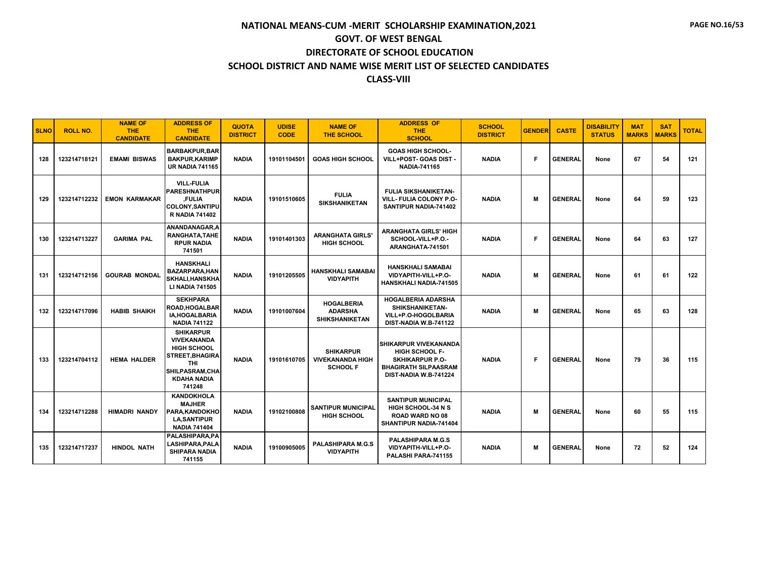| <b>SLNO</b> | <b>ROLL NO.</b> | <b>NAME OF</b><br>THE.<br><b>CANDIDATE</b> | <b>ADDRESS OF</b><br><b>THE</b><br><b>CANDIDATE</b>                                                                                                    | <b>QUOTA</b><br><b>DISTRICT</b> | <b>UDISE</b><br><b>CODE</b> | <b>NAME OF</b><br><b>THE SCHOOL</b>                            | <b>ADDRESS OF</b><br>THE.<br><b>SCHOOL</b>                                                                                              | <b>SCHOOL</b><br><b>DISTRICT</b> | <b>GENDER</b> | <b>CASTE</b>   | <b>DISABILITY</b><br><b>STATUS</b> | <b>MAT</b><br><b>MARKS</b> | <b>SAT</b><br><b>MARKS</b> | <b>TOTAL</b> |
|-------------|-----------------|--------------------------------------------|--------------------------------------------------------------------------------------------------------------------------------------------------------|---------------------------------|-----------------------------|----------------------------------------------------------------|-----------------------------------------------------------------------------------------------------------------------------------------|----------------------------------|---------------|----------------|------------------------------------|----------------------------|----------------------------|--------------|
| 128         | 123214718121    | <b>EMAMI BISWAS</b>                        | <b>BARBAKPUR.BAR</b><br><b>BAKPUR, KARIMP</b><br><b>UR NADIA 741165</b>                                                                                | <b>NADIA</b>                    | 19101104501                 | <b>GOAS HIGH SCHOOL</b>                                        | <b>GOAS HIGH SCHOOL-</b><br>VILL+POST- GOAS DIST -<br><b>NADIA-741165</b>                                                               | <b>NADIA</b>                     | F             | <b>GENERAL</b> | None                               | 67                         | 54                         | 121          |
| 129         | 123214712232    | <b>EMON KARMAKAR</b>                       | <b>VILL-FULIA</b><br><b>PARESHNATHPUR</b><br>.FULIA<br><b>COLONY.SANTIPU</b><br><b>R NADIA 741402</b>                                                  | <b>NADIA</b>                    | 19101510605                 | <b>FULIA</b><br><b>SIKSHANIKETAN</b>                           | <b>FULIA SIKSHANIKETAN-</b><br><b>VILL- FULIA COLONY P.O-</b><br>SANTIPUR NADIA-741402                                                  | <b>NADIA</b>                     | M             | <b>GENERAL</b> | None                               | 64                         | 59                         | 123          |
| 130         | 123214713227    | <b>GARIMA PAL</b>                          | ANANDANAGAR, A<br>RANGHATA, TAHE<br><b>RPUR NADIA</b><br>741501                                                                                        | <b>NADIA</b>                    | 19101401303                 | <b>ARANGHATA GIRLS'</b><br><b>HIGH SCHOOL</b>                  | <b>ARANGHATA GIRLS' HIGH</b><br>SCHOOL-VILL+P.O.-<br>ARANGHATA-741501                                                                   | <b>NADIA</b>                     | F             | <b>GENERAL</b> | None                               | 64                         | 63                         | 127          |
| 131         | 123214712156    | <b>GOURAB MONDAL</b>                       | <b>HANSKHALI</b><br><b>BAZARPARA, HAN</b><br><b>SKHALI, HANSKHA</b><br><b>LI NADIA 741505</b>                                                          | <b>NADIA</b>                    | 19101205505                 | <b>HANSKHALI SAMABAI</b><br><b>VIDYAPITH</b>                   | <b>HANSKHALI SAMABAI</b><br>VIDYAPITH-VILL+P.O-<br><b>HANSKHALI NADIA-741505</b>                                                        | <b>NADIA</b>                     | M             | <b>GENERAL</b> | None                               | 61                         | 61                         | 122          |
| 132         | 123214717096    | <b>HABIB SHAIKH</b>                        | <b>SEKHPARA</b><br><b>ROAD, HOGALBAR</b><br><b>IA.HOGALBARIA</b><br><b>NADIA 741122</b>                                                                | <b>NADIA</b>                    | 19101007604                 | <b>HOGALBERIA</b><br><b>ADARSHA</b><br><b>SHIKSHANIKETAN</b>   | <b>HOGALBERIA ADARSHA</b><br><b>SHIKSHANIKETAN-</b><br>VILL+P.O-HOGOLBARIA<br>DIST-NADIA W.B-741122                                     | <b>NADIA</b>                     | M             | <b>GENERAL</b> | None                               | 65                         | 63                         | 128          |
| 133         | 123214704112    | <b>HEMA HALDER</b>                         | <b>SHIKARPUR</b><br><b>VIVEKANANDA</b><br><b>HIGH SCHOOL</b><br><b>STREET.BHAGIRA</b><br><b>THI</b><br>SHILPASRAM, CHA<br><b>KDAHA NADIA</b><br>741248 | <b>NADIA</b>                    | 19101610705                 | <b>SHIKARPUR</b><br><b>VIVEKANANDA HIGH</b><br><b>SCHOOL F</b> | <b>SHIKARPUR VIVEKANANDA</b><br><b>HIGH SCHOOL F-</b><br><b>SKHIKARPUR P.O-</b><br><b>BHAGIRATH SILPAASRAM</b><br>DIST-NADIA W.B-741224 | <b>NADIA</b>                     | F             | <b>GENERAL</b> | None                               | 79                         | 36                         | 115          |
| 134         | 123214712288    | <b>HIMADRI NANDY</b>                       | <b>KANDOKHOLA</b><br><b>MAJHER</b><br>PARA, KANDOKHO<br><b>LA,SANTIPUR</b><br><b>NADIA 741404</b>                                                      | <b>NADIA</b>                    | 19102100808                 | <b>SANTIPUR MUNICIPAL</b><br><b>HIGH SCHOOL</b>                | <b>SANTIPUR MUNICIPAL</b><br><b>HIGH SCHOOL-34 N S</b><br><b>ROAD WARD NO 08</b><br>SHANTIPUR NADIA-741404                              | <b>NADIA</b>                     | М             | <b>GENERAL</b> | None                               | 60                         | 55                         | 115          |
| 135         | 123214717237    | <b>HINDOL NATH</b>                         | PALASHIPARA, PA<br>LASHIPARA, PALA<br><b>SHIPARA NADIA</b><br>741155                                                                                   | <b>NADIA</b>                    | 19100905005                 | <b>PALASHIPARA M.G.S</b><br><b>VIDYAPITH</b>                   | <b>PALASHIPARA M.G.S</b><br>VIDYAPITH-VILL+P.O-<br>PALASHI PARA-741155                                                                  | <b>NADIA</b>                     | M             | <b>GENERAL</b> | None                               | 72                         | 52                         | 124          |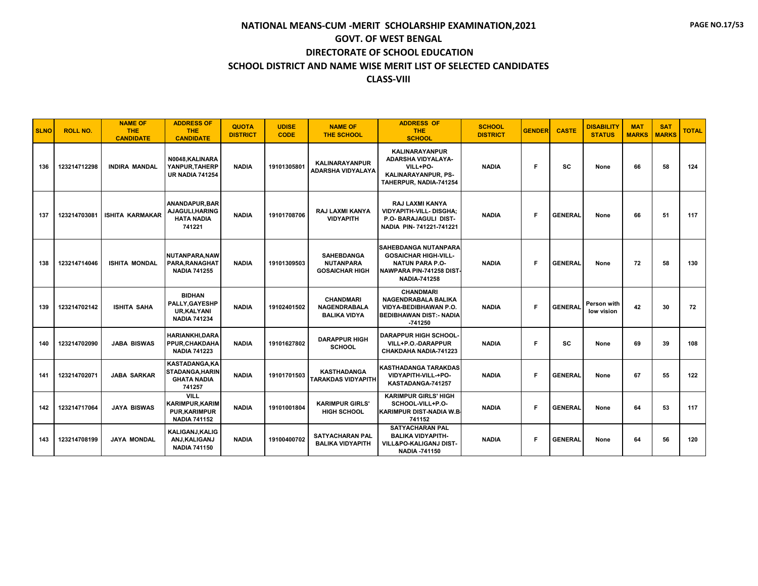| <b>SLNO</b> | <b>ROLL NO.</b> | <b>NAME OF</b><br>THE.<br><b>CANDIDATE</b> | <b>ADDRESS OF</b><br><b>THE</b><br><b>CANDIDATE</b>                                  | <b>QUOTA</b><br><b>DISTRICT</b> | <b>UDISE</b><br><b>CODE</b> | <b>NAME OF</b><br><b>THE SCHOOL</b>                            | <b>ADDRESS OF</b><br>THE.<br><b>SCHOOL</b>                                                                                       | <b>SCHOOL</b><br><b>DISTRICT</b> | <b>GENDER</b> | <b>CASTE</b>   | <b>DISABILITY</b><br><b>STATUS</b> | <b>MAT</b><br><b>MARKS</b> | <b>SAT</b><br><b>MARKS</b> | <b>TOTAL</b> |
|-------------|-----------------|--------------------------------------------|--------------------------------------------------------------------------------------|---------------------------------|-----------------------------|----------------------------------------------------------------|----------------------------------------------------------------------------------------------------------------------------------|----------------------------------|---------------|----------------|------------------------------------|----------------------------|----------------------------|--------------|
| 136         | 123214712298    | <b>INDIRA MANDAL</b>                       | N0048, KALINARA<br>YANPUR, TAHERP<br><b>UR NADIA 741254</b>                          | <b>NADIA</b>                    | 19101305801                 | <b>KALINARAYANPUR</b><br><b>ADARSHA VIDYALAYA</b>              | <b>KALINARAYANPUR</b><br>ADARSHA VIDYALAYA-<br>VILL+PO-<br><b>KALINARAYANPUR, PS-</b><br>TAHERPUR, NADIA-741254                  | <b>NADIA</b>                     | F             | <b>SC</b>      | None                               | 66                         | 58                         | 124          |
| 137         | 123214703081    | <b>ISHITA KARMAKAR</b>                     | ANANDAPUR, BAR<br>AJAGULI, HARING<br><b>HATA NADIA</b><br>741221                     | <b>NADIA</b>                    | 19101708706                 | RAJ LAXMI KANYA<br><b>VIDYAPITH</b>                            | RAJ LAXMI KANYA<br><b>VIDYAPITH-VILL-DISGHA;</b><br>P.O- BARAJAGULI DIST-<br>NADIA PIN-741221-741221                             | <b>NADIA</b>                     | F             | <b>GENERAL</b> | None                               | 66                         | 51                         | 117          |
| 138         | 123214714046    | <b>ISHITA MONDAL</b>                       | NUTANPARA.NAW<br>PARA, RANAGHAT<br><b>NADIA 741255</b>                               | <b>NADIA</b>                    | 19101309503                 | <b>SAHEBDANGA</b><br><b>NUTANPARA</b><br><b>GOSAICHAR HIGH</b> | SAHEBDANGA NUTANPARA<br><b>GOSAICHAR HIGH-VILL-</b><br><b>NATUN PARA P.O-</b><br>NAWPARA PIN-741258 DIST-<br><b>NADIA-741258</b> | <b>NADIA</b>                     | F             | <b>GENERAL</b> | None                               | 72                         | 58                         | 130          |
| 139         | 123214702142    | <b>ISHITA SAHA</b>                         | <b>BIDHAN</b><br>PALLY, GAYESHP<br><b>UR.KALYANI</b><br><b>NADIA 741234</b>          | <b>NADIA</b>                    | 19102401502                 | <b>CHANDMARI</b><br><b>NAGENDRABALA</b><br><b>BALIKA VIDYA</b> | <b>CHANDMARI</b><br>NAGENDRABALA BALIKA<br>VIDYA-BEDIBHAWAN P.O.<br><b>BEDIBHAWAN DIST: - NADIA</b><br>$-741250$                 | <b>NADIA</b>                     | F             | <b>GENERAL</b> | Person with<br>low vision          | 42                         | 30                         | 72           |
| 140         | 123214702090    | <b>JABA BISWAS</b>                         | <b>HARIANKHI.DARA</b><br>PPUR, CHAKDAHA<br><b>NADIA 741223</b>                       | <b>NADIA</b>                    | 19101627802                 | <b>DARAPPUR HIGH</b><br><b>SCHOOL</b>                          | <b>DARAPPUR HIGH SCHOOL-</b><br>VILL+P.O.-DARAPPUR<br>CHAKDAHA NADIA-741223                                                      | <b>NADIA</b>                     | F             | <b>SC</b>      | None                               | 69                         | 39                         | 108          |
| 141         | 123214702071    | <b>JABA SARKAR</b>                         | <b>KASTADANGA,KA</b><br><b>STADANGA, HARIN</b><br><b>GHATA NADIA</b><br>741257       | <b>NADIA</b>                    | 19101701503                 | <b>KASTHADANGA</b><br><b>TARAKDAS VIDYAPITH</b>                | KASTHADANGA TARAKDAS<br>VIDYAPITH-VILL-+PO-<br>KASTADANGA-741257                                                                 | <b>NADIA</b>                     | F             | <b>GENERAL</b> | None                               | 67                         | 55                         | 122          |
| 142         | 123214717064    | <b>JAYA BISWAS</b>                         | <b>VILL</b><br><b>KARIMPUR, KARIM</b><br><b>PUR, KARIMPUR</b><br><b>NADIA 741152</b> | <b>NADIA</b>                    | 19101001804                 | <b>KARIMPUR GIRLS'</b><br><b>HIGH SCHOOL</b>                   | <b>KARIMPUR GIRLS' HIGH</b><br>SCHOOL-VILL+P.O-<br>KARIMPUR DIST-NADIA W.B.<br>741152                                            | <b>NADIA</b>                     | F             | <b>GENERAL</b> | None                               | 64                         | 53                         | 117          |
| 143         | 123214708199    | <b>JAYA MONDAL</b>                         | KALIGANJ, KALIG<br>ANJ, KALIGANJ<br><b>NADIA 741150</b>                              | <b>NADIA</b>                    | 19100400702                 | <b>SATYACHARAN PAL</b><br><b>BALIKA VIDYAPITH</b>              | <b>SATYACHARAN PAL</b><br><b>BALIKA VIDYAPITH-</b><br>VILL&PO-KALIGANJ DIST-<br><b>NADIA -741150</b>                             | <b>NADIA</b>                     | F             | <b>GENERAL</b> | None                               | 64                         | 56                         | 120          |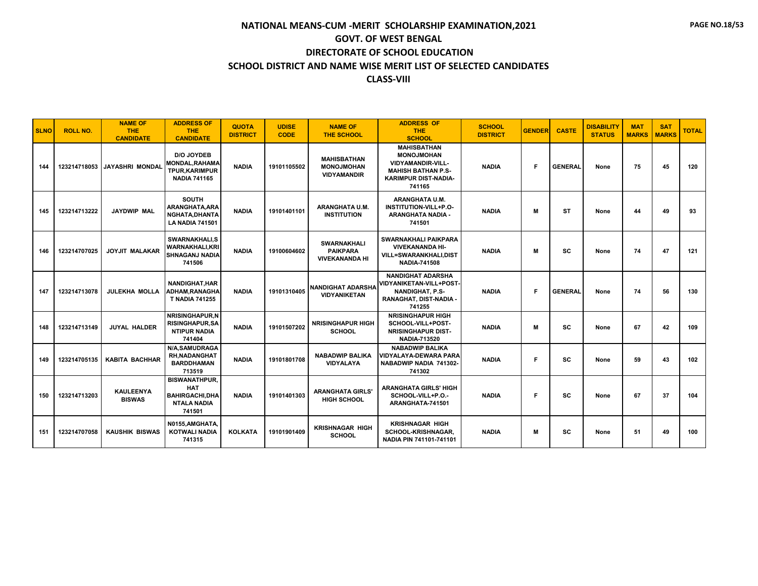| <b>SLNO</b> | <b>ROLL NO.</b> | <b>NAME OF</b><br><b>THE</b><br><b>CANDIDATE</b> | <b>ADDRESS OF</b><br><b>THE</b><br><b>CANDIDATE</b>                                  | <b>QUOTA</b><br><b>DISTRICT</b> | <b>UDISE</b><br><b>CODE</b> | <b>NAME OF</b><br><b>THE SCHOOL</b>                            | <b>ADDRESS OF</b><br><b>THE</b><br><b>SCHOOL</b>                                                                                          | <b>SCHOOL</b><br><b>DISTRICT</b> | <b>GENDER</b> | <b>CASTE</b>   | <b>DISABILITY</b><br><b>STATUS</b> | <b>MAT</b><br><b>MARKS</b> | <b>SAT</b><br><b>MARKS</b> | <b>TOTAL</b> |
|-------------|-----------------|--------------------------------------------------|--------------------------------------------------------------------------------------|---------------------------------|-----------------------------|----------------------------------------------------------------|-------------------------------------------------------------------------------------------------------------------------------------------|----------------------------------|---------------|----------------|------------------------------------|----------------------------|----------------------------|--------------|
| 144         | 123214718053    | <b>JAYASHRI MONDAL</b>                           | D/O JOYDEB<br><b>MONDAL, RAHAMA</b><br>TPUR, KARIMPUR<br><b>NADIA 741165</b>         | <b>NADIA</b>                    | 19101105502                 | <b>MAHISBATHAN</b><br><b>MONOJMOHAN</b><br><b>VIDYAMANDIR</b>  | <b>MAHISBATHAN</b><br><b>MONOJMOHAN</b><br><b>VIDYAMANDIR-VILL-</b><br><b>MAHISH BATHAN P.S-</b><br><b>KARIMPUR DIST-NADIA-</b><br>741165 | <b>NADIA</b>                     | Е             | <b>GENERAL</b> | None                               | 75                         | 45                         | 120          |
| 145         | 123214713222    | <b>JAYDWIP MAL</b>                               | <b>SOUTH</b><br>ARANGHATA.ARA<br>NGHATA, DHANTA<br><b>LA NADIA 741501</b>            | <b>NADIA</b>                    | 19101401101                 | <b>ARANGHATA U.M.</b><br><b>INSTITUTION</b>                    | <b>ARANGHATA U.M.</b><br>INSTITUTION-VILL+P.O-<br>ARANGHATA NADIA -<br>741501                                                             | <b>NADIA</b>                     | M             | ST             | None                               | 44                         | 49                         | 93           |
| 146         | 123214707025    | <b>JOYJIT MALAKAR</b>                            | <b>SWARNAKHALI.S</b><br><b>WARNAKHALI.KRI</b><br><b>SHNAGANJ NADIA</b><br>741506     | <b>NADIA</b>                    | 19100604602                 | <b>SWARNAKHALI</b><br><b>PAIKPARA</b><br><b>VIVEKANANDA HI</b> | <b>SWARNAKHALI PAIKPARA</b><br><b>VIVEKANANDA HI-</b><br><b>VILL=SWARANKHALI,DIST</b><br><b>NADIA-741508</b>                              | <b>NADIA</b>                     | M             | <b>SC</b>      | None                               | 74                         | 47                         | 121          |
| 147         | 123214713078    | <b>JULEKHA MOLLA</b>                             | <b>NANDIGHAT, HAR</b><br>ADHAM, RANAGHA<br><b>T NADIA 741255</b>                     | <b>NADIA</b>                    | 19101310405                 | <b>NANDIGHAT ADARSHA</b><br><b>VIDYANIKETAN</b>                | <b>NANDIGHAT ADARSHA</b><br>VIDYANIKETAN-VILL+POST-<br><b>NANDIGHAT, P.S-</b><br>RANAGHAT, DIST-NADIA<br>741255                           | <b>NADIA</b>                     | F             | <b>GENERAL</b> | None                               | 74                         | 56                         | 130          |
| 148         | 123214713149    | <b>JUYAL HALDER</b>                              | <b>NRISINGHAPUR.N</b><br><b>RISINGHAPUR, SA</b><br><b>NTIPUR NADIA</b><br>741404     | <b>NADIA</b>                    | 19101507202                 | <b>NRISINGHAPUR HIGH</b><br><b>SCHOOL</b>                      | <b>NRISINGHAPUR HIGH</b><br>SCHOOL-VILL+POST-<br><b>NRISINGHAPUR DIST-</b><br>NADIA-713520                                                | <b>NADIA</b>                     | м             | SC             | None                               | 67                         | 42                         | 109          |
| 149         | 123214705135    | <b>KABITA BACHHAR</b>                            | <b>N/A.SAMUDRAGA</b><br><b>RH, NADANGHAT</b><br><b>BARDDHAMAN</b><br>713519          | <b>NADIA</b>                    | 19101801708                 | <b>NABADWIP BALIKA</b><br><b>VIDYALAYA</b>                     | <b>NABADWIP BALIKA</b><br><b>VIDYALAYA-DEWARA PARA</b><br>NABADWIP NADIA 741302-<br>741302                                                | <b>NADIA</b>                     | F             | <b>SC</b>      | None                               | 59                         | 43                         | 102          |
| 150         | 123214713203    | <b>KAULEENYA</b><br><b>BISWAS</b>                | <b>BISWANATHPUR.</b><br>HAT<br><b>BAHIRGACHI,DHA</b><br><b>NTALA NADIA</b><br>741501 | <b>NADIA</b>                    | 19101401303                 | <b>ARANGHATA GIRLS'</b><br><b>HIGH SCHOOL</b>                  | <b>ARANGHATA GIRLS' HIGH</b><br>SCHOOL-VILL+P.O.-<br>ARANGHATA-741501                                                                     | <b>NADIA</b>                     | F             | SC             | None                               | 67                         | 37                         | 104          |
| 151         | 123214707058    | <b>KAUSHIK BISWAS</b>                            | N0155,AMGHATA,<br><b>KOTWALI NADIA</b><br>741315                                     | <b>KOLKATA</b>                  | 19101901409                 | <b>KRISHNAGAR HIGH</b><br><b>SCHOOL</b>                        | <b>KRISHNAGAR HIGH</b><br>SCHOOL-KRISHNAGAR,<br>NADIA PIN 741101-741101                                                                   | <b>NADIA</b>                     | М             | SC             | None                               | 51                         | 49                         | 100          |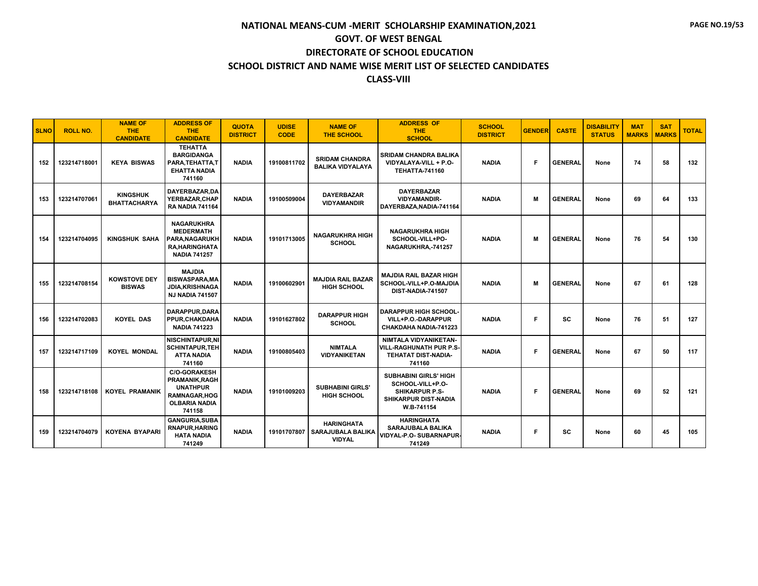| <b>SLNO</b> | <b>ROLL NO.</b> | <b>NAME OF</b><br><b>THE</b><br><b>CANDIDATE</b> | <b>ADDRESS OF</b><br><b>THE</b><br><b>CANDIDATE</b>                                                                | <b>QUOTA</b><br><b>DISTRICT</b> | <b>UDISE</b><br><b>CODE</b> | <b>NAME OF</b><br><b>THE SCHOOL</b>                                 | <b>ADDRESS OF</b><br><b>THE</b><br><b>SCHOOL</b>                                                                | <b>SCHOOL</b><br><b>DISTRICT</b> | <b>GENDER</b> | <b>CASTE</b>   | <b>DISABILITY</b><br><b>STATUS</b> | <b>MAT</b><br><b>MARKS</b> | <b>SAT</b><br><b>MARKS</b> | <b>TOTAL</b> |
|-------------|-----------------|--------------------------------------------------|--------------------------------------------------------------------------------------------------------------------|---------------------------------|-----------------------------|---------------------------------------------------------------------|-----------------------------------------------------------------------------------------------------------------|----------------------------------|---------------|----------------|------------------------------------|----------------------------|----------------------------|--------------|
| 152         | 123214718001    | <b>KEYA BISWAS</b>                               | <b>TEHATTA</b><br><b>BARGIDANGA</b><br>PARA.TEHATTA.T<br><b>EHATTA NADIA</b><br>741160                             | <b>NADIA</b>                    | 19100811702                 | <b>SRIDAM CHANDRA</b><br><b>BALIKA VIDYALAYA</b>                    | <b>SRIDAM CHANDRA BALIKA</b><br>VIDYALAYA-VILL + P.O-<br><b>TEHATTA-741160</b>                                  | <b>NADIA</b>                     | Е             | <b>GENERAL</b> | None                               | 74                         | 58                         | 132          |
| 153         | 123214707061    | <b>KINGSHUK</b><br><b>BHATTACHARYA</b>           | DAYERBAZAR.DA<br>YERBAZAR, CHAP<br><b>RA NADIA 741164</b>                                                          | <b>NADIA</b>                    | 19100509004                 | <b>DAYERBAZAR</b><br><b>VIDYAMANDIR</b>                             | <b>DAYERBAZAR</b><br><b>VIDYAMANDIR-</b><br>DAYERBAZA, NADIA-741164                                             | <b>NADIA</b>                     | м             | <b>GENERAL</b> | None                               | 69                         | 64                         | 133          |
| 154         | 123214704095    | <b>KINGSHUK SAHA</b>                             | <b>NAGARUKHRA</b><br><b>MEDERMATH</b><br>PARA, NAGARUKH<br><b>RA, HARINGHATA</b><br><b>NADIA 741257</b>            | <b>NADIA</b>                    | 19101713005                 | <b>NAGARUKHRA HIGH</b><br><b>SCHOOL</b>                             | <b>NAGARUKHRA HIGH</b><br>SCHOOL-VILL+PO-<br>NAGARUKHRA,-741257                                                 | <b>NADIA</b>                     | M             | <b>GENERAL</b> | None                               | 76                         | 54                         | 130          |
| 155         | 123214708154    | <b>KOWSTOVE DEY</b><br><b>BISWAS</b>             | <b>MAJDIA</b><br><b>BISWASPARA, MA</b><br>JDIA, KRISHNAGA<br><b>NJ NADIA 741507</b>                                | <b>NADIA</b>                    | 19100602901                 | <b>MAJDIA RAIL BAZAR</b><br><b>HIGH SCHOOL</b>                      | <b>MAJDIA RAIL BAZAR HIGH</b><br>SCHOOL-VILL+P.O-MAJDIA<br>DIST-NADIA-741507                                    | <b>NADIA</b>                     | M             | <b>GENERAL</b> | None                               | 67                         | 61                         | 128          |
| 156         | 123214702083    | <b>KOYEL DAS</b>                                 | DARAPPUR.DARA<br>PPUR, CHAKDAHA<br><b>NADIA 741223</b>                                                             | <b>NADIA</b>                    | 19101627802                 | <b>DARAPPUR HIGH</b><br><b>SCHOOL</b>                               | <b>DARAPPUR HIGH SCHOOL-</b><br>VILL+P.O.-DARAPPUR<br>CHAKDAHA NADIA-741223                                     | <b>NADIA</b>                     | Е             | <b>SC</b>      | None                               | 76                         | 51                         | 127          |
| 157         | 123214717109    | <b>KOYEL MONDAL</b>                              | <b>NISCHINTAPUR.NI</b><br><b>SCHINTAPUR, TEH</b><br><b>ATTA NADIA</b><br>741160                                    | <b>NADIA</b>                    | 19100805403                 | <b>NIMTALA</b><br><b>VIDYANIKETAN</b>                               | NIMTALA VIDYANIKETAN-<br><b>VILL-RAGHUNATH PUR P.S-</b><br><b>TEHATAT DIST-NADIA-</b><br>741160                 | <b>NADIA</b>                     | Е             | <b>GENERAL</b> | None                               | 67                         | 50                         | 117          |
| 158         | 123214718108    | <b>KOYEL PRAMANIK</b>                            | <b>C/O-GORAKESH</b><br>PRAMANIK, RAGH<br><b>UNATHPUR</b><br><b>RAMNAGAR, HOG</b><br><b>OLBARIA NADIA</b><br>741158 | <b>NADIA</b>                    | 19101009203                 | <b>SUBHABINI GIRLS'</b><br><b>HIGH SCHOOL</b>                       | <b>SUBHABINI GIRLS' HIGH</b><br>SCHOOL-VILL+P.O-<br><b>SHIKARPUR P.S-</b><br>SHIKARPUR DIST-NADIA<br>W.B-741154 | <b>NADIA</b>                     | Е             | <b>GENERAL</b> | None                               | 69                         | 52                         | 121          |
| 159         | 123214704079    | <b>KOYENA BYAPARI</b>                            | <b>GANGURIA.SUBA</b><br><b>RNAPUR, HARING</b><br><b>HATA NADIA</b><br>741249                                       | <b>NADIA</b>                    |                             | <b>HARINGHATA</b><br>19101707807 SARAJUBALA BALIKA<br><b>VIDYAL</b> | <b>HARINGHATA</b><br><b>SARAJUBALA BALIKA</b><br>VIDYAL-P.O- SUBARNAPUR-<br>741249                              | <b>NADIA</b>                     | F             | <b>SC</b>      | None                               | 60                         | 45                         | 105          |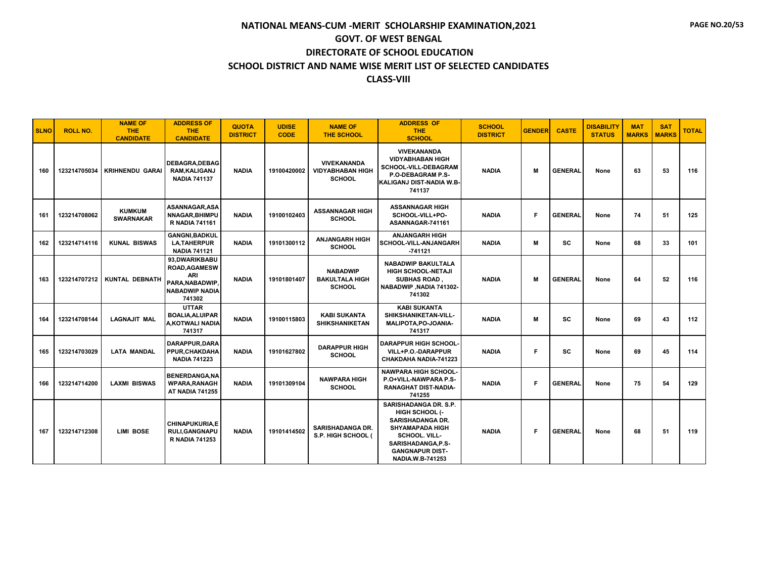| <b>SLNO</b> | <b>ROLL NO.</b> | <b>NAME OF</b><br>THE.<br><b>CANDIDATE</b> | <b>ADDRESS OF</b><br><b>THE</b><br><b>CANDIDATE</b>                                                       | <b>QUOTA</b><br><b>DISTRICT</b> | <b>UDISE</b><br><b>CODE</b> | <b>NAME OF</b><br><b>THE SCHOOL</b>                            | <b>ADDRESS OF</b><br><b>THE</b><br><b>SCHOOL</b>                                                                                                                                                | <b>SCHOOL</b><br><b>DISTRICT</b> | <b>GENDER</b> | <b>CASTE</b>   | <b>DISABILITY</b><br><b>STATUS</b> | <b>MAT</b><br><b>MARKS</b> | <b>SAT</b><br><b>MARKS</b> | <b>TOTAL</b> |
|-------------|-----------------|--------------------------------------------|-----------------------------------------------------------------------------------------------------------|---------------------------------|-----------------------------|----------------------------------------------------------------|-------------------------------------------------------------------------------------------------------------------------------------------------------------------------------------------------|----------------------------------|---------------|----------------|------------------------------------|----------------------------|----------------------------|--------------|
| 160         | 123214705034    | <b>KRIHNENDU GARAI</b>                     | <b>DEBAGRA.DEBAG</b><br>RAM, KALIGANJ<br><b>NADIA 741137</b>                                              | <b>NADIA</b>                    | 19100420002                 | <b>VIVEKANANDA</b><br><b>VIDYABHABAN HIGH</b><br><b>SCHOOL</b> | <b>VIVEKANANDA</b><br><b>VIDYABHABAN HIGH</b><br><b>SCHOOL-VILL-DEBAGRAM</b><br>P.O-DEBAGRAM P.S-<br>KALIGANJ DIST-NADIA W.B-<br>741137                                                         | <b>NADIA</b>                     | м             | <b>GENERAL</b> | None                               | 63                         | 53                         | 116          |
| 161         | 123214708062    | <b>KUMKUM</b><br><b>SWARNAKAR</b>          | ASANNAGAR, ASA<br>NNAGAR, BHIMPU<br><b>R NADIA 741161</b>                                                 | <b>NADIA</b>                    | 19100102403                 | <b>ASSANNAGAR HIGH</b><br><b>SCHOOL</b>                        | <b>ASSANNAGAR HIGH</b><br>SCHOOL-VILL+PO-<br>ASANNAGAR-741161                                                                                                                                   | <b>NADIA</b>                     | Е             | <b>GENERAL</b> | None                               | 74                         | 51                         | 125          |
| 162         | 123214714116    | <b>KUNAL BISWAS</b>                        | <b>GANGNI.BADKUL</b><br><b>LA, TAHERPUR</b><br><b>NADIA 741121</b>                                        | <b>NADIA</b>                    | 19101300112                 | <b>ANJANGARH HIGH</b><br><b>SCHOOL</b>                         | <b>ANJANGARH HIGH</b><br>SCHOOL-VILL-ANJANGARH<br>$-741121$                                                                                                                                     | <b>NADIA</b>                     | м             | <b>SC</b>      | None                               | 68                         | 33                         | 101          |
| 163         | 123214707212    | KUNTAL DEBNATH                             | 93,DWARIKBABU<br><b>ROAD, AGAMESW</b><br><b>ARI</b><br>PARA, NABADWIP,<br><b>NABADWIP NADIA</b><br>741302 | <b>NADIA</b>                    | 19101801407                 | <b>NABADWIP</b><br><b>BAKULTALA HIGH</b><br><b>SCHOOL</b>      | <b>NABADWIP BAKULTALA</b><br>HIGH SCHOOL-NETAJI<br>SUBHAS ROAD,<br>NABADWIP, NADIA 741302-<br>741302                                                                                            | <b>NADIA</b>                     | м             | <b>GENERAL</b> | None                               | 64                         | 52                         | 116          |
| 164         | 123214708144    | <b>LAGNAJIT MAL</b>                        | <b>UTTAR</b><br><b>BOALIA, ALUIPAR</b><br>A,KOTWALI NADIA<br>741317                                       | <b>NADIA</b>                    | 19100115803                 | <b>KABI SUKANTA</b><br><b>SHIKSHANIKETAN</b>                   | <b>KABI SUKANTA</b><br>SHIKSHANIKETAN-VILL-<br>MALIPOTA, PO-JOANIA-<br>741317                                                                                                                   | <b>NADIA</b>                     | м             | <b>SC</b>      | None                               | 69                         | 43                         | 112          |
| 165         | 123214703029    | <b>LATA MANDAL</b>                         | DARAPPUR, DARA<br>PPUR.CHAKDAHA<br><b>NADIA 741223</b>                                                    | <b>NADIA</b>                    | 19101627802                 | <b>DARAPPUR HIGH</b><br><b>SCHOOL</b>                          | <b>DARAPPUR HIGH SCHOOL-</b><br>VILL+P.O.-DARAPPUR<br>CHAKDAHA NADIA-741223                                                                                                                     | <b>NADIA</b>                     | F.            | <b>SC</b>      | None                               | 69                         | 45                         | 114          |
| 166         | 123214714200    | <b>LAXMI BISWAS</b>                        | <b>BENERDANGA, NA</b><br><b>WPARA, RANAGH</b><br><b>AT NADIA 741255</b>                                   | <b>NADIA</b>                    | 19101309104                 | <b>NAWPARA HIGH</b><br><b>SCHOOL</b>                           | <b>NAWPARA HIGH SCHOOL-</b><br>P.O+VILL-NAWPARA P.S-<br>RANAGHAT DIST-NADIA-<br>741255                                                                                                          | <b>NADIA</b>                     | Е             | <b>GENERAL</b> | None                               | 75                         | 54                         | 129          |
| 167         | 123214712308    | <b>LIMI BOSE</b>                           | <b>CHINAPUKURIA,E</b><br><b>RULI, GANGNAPU</b><br><b>R NADIA 741253</b>                                   | <b>NADIA</b>                    | 19101414502                 | <b>SARISHADANGA DR.</b><br>S.P. HIGH SCHOOL (                  | SARISHADANGA DR. S.P.<br>HIGH SCHOOL (-<br><b>SARISHADANGA DR.</b><br><b>SHYAMAPADA HIGH</b><br><b>SCHOOL, VILL-</b><br>SARISHADANGA, P.S-<br><b>GANGNAPUR DIST-</b><br><b>NADIA.W.B-741253</b> | <b>NADIA</b>                     | F.            | <b>GENERAL</b> | None                               | 68                         | 51                         | 119          |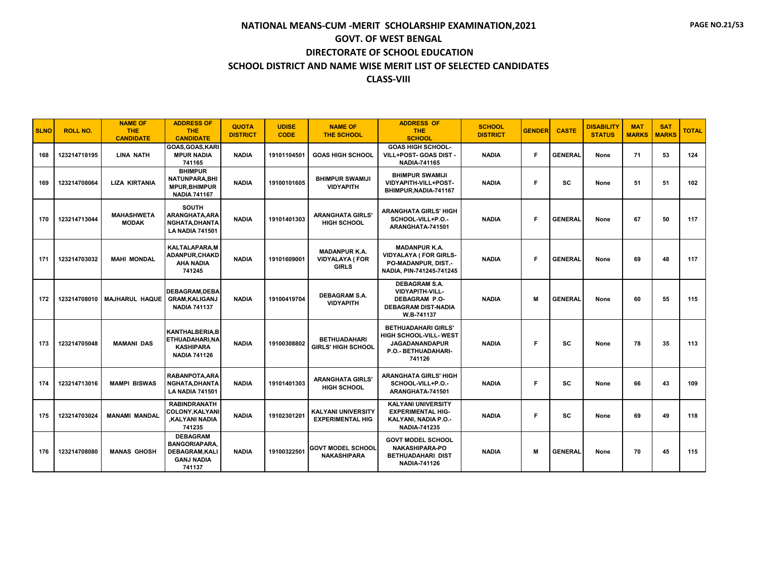| <b>SLNO</b> | <b>ROLL NO.</b> | <b>NAME OF</b><br><b>THE</b><br><b>CANDIDATE</b> | <b>ADDRESS OF</b><br><b>THE</b><br><b>CANDIDATE</b>                                             | <b>QUOTA</b><br><b>DISTRICT</b> | <b>UDISE</b><br><b>CODE</b> | <b>NAME OF</b><br><b>THE SCHOOL</b>                           | <b>ADDRESS OF</b><br><b>THE</b><br><b>SCHOOL</b>                                                                   | <b>SCHOOL</b><br><b>DISTRICT</b> | <b>GENDER</b> | <b>CASTE</b>   | <b>DISABILITY</b><br><b>STATUS</b> | <b>MAT</b><br><b>MARKS</b> | <b>SAT</b><br><b>MARKS</b> | <b>TOTAL</b> |
|-------------|-----------------|--------------------------------------------------|-------------------------------------------------------------------------------------------------|---------------------------------|-----------------------------|---------------------------------------------------------------|--------------------------------------------------------------------------------------------------------------------|----------------------------------|---------------|----------------|------------------------------------|----------------------------|----------------------------|--------------|
| 168         | 123214718195    | <b>LINA NATH</b>                                 | GOAS, GOAS, KARI<br><b>MPUR NADIA</b><br>741165                                                 | <b>NADIA</b>                    | 19101104501                 | <b>GOAS HIGH SCHOOL</b>                                       | <b>GOAS HIGH SCHOOL-</b><br>VILL+POST- GOAS DIST -<br><b>NADIA-741165</b>                                          | <b>NADIA</b>                     | F             | <b>GENERAL</b> | None                               | 71                         | 53                         | 124          |
| 169         | 123214708064    | <b>LIZA KIRTANIA</b>                             | <b>BHIMPUR</b><br><b>NATUNPARA, BHI</b><br><b>MPUR, BHIMPUR</b><br><b>NADIA 741167</b>          | <b>NADIA</b>                    | 19100101605                 | <b>BHIMPUR SWAMIJI</b><br><b>VIDYAPITH</b>                    | <b>BHIMPUR SWAMIJI</b><br>VIDYAPITH-VILL+POST-<br>BHIMPUR, NADIA-741167                                            | <b>NADIA</b>                     | F             | SC             | None                               | 51                         | 51                         | 102          |
| 170         | 123214713044    | <b>MAHASHWETA</b><br><b>MODAK</b>                | <b>SOUTH</b><br>ARANGHATA, ARA<br>NGHATA, DHANTA<br><b>LA NADIA 741501</b>                      | <b>NADIA</b>                    | 19101401303                 | <b>ARANGHATA GIRLS'</b><br><b>HIGH SCHOOL</b>                 | <b>ARANGHATA GIRLS' HIGH</b><br>SCHOOL-VILL+P.O.-<br>ARANGHATA-741501                                              | <b>NADIA</b>                     | Е             | <b>GENERAL</b> | None                               | 67                         | 50                         | 117          |
| 171         | 123214703032    | <b>MAHI MONDAL</b>                               | <b>KALTALAPARA,M</b><br>ADANPUR, CHAKD<br><b>AHA NADIA</b><br>741245                            | <b>NADIA</b>                    | 19101609001                 | <b>MADANPUR K.A.</b><br><b>VIDYALAYA (FOR</b><br><b>GIRLS</b> | <b>MADANPUR K.A.</b><br><b>VIDYALAYA ( FOR GIRLS-</b><br>PO-MADANPUR, DIST.-<br>NADIA, PIN-741245-741245           | <b>NADIA</b>                     | Е             | <b>GENERAL</b> | None                               | 69                         | 48                         | 117          |
| 172         |                 | 123214708010   MAJHARUL HAQUE                    | <b>DEBAGRAM.DEBA</b><br><b>GRAM, KALIGANJ</b><br><b>NADIA 741137</b>                            | <b>NADIA</b>                    | 19100419704                 | <b>DEBAGRAM S.A.</b><br><b>VIDYAPITH</b>                      | <b>DEBAGRAM S.A.</b><br><b>VIDYAPITH-VILL-</b><br><b>DEBAGRAM P.O-</b><br><b>DEBAGRAM DIST-NADIA</b><br>W.B-741137 | <b>NADIA</b>                     | м             | <b>GENERAL</b> | None                               | 60                         | 55                         | 115          |
| 173         | 123214705048    | <b>MAMANI DAS</b>                                | <b>KANTHALBERIA.B</b><br>ETHUADAHARI, NA<br><b>KASHIPARA</b><br><b>NADIA 741126</b>             | <b>NADIA</b>                    | 19100308802                 | <b>BETHUADAHARI</b><br><b>GIRLS' HIGH SCHOOL</b>              | <b>BETHUADAHARI GIRLS'</b><br>HIGH SCHOOL-VILL- WEST<br><b>JAGADANANDAPUR</b><br>P.O.- BETHUADAHARI-<br>741126     | <b>NADIA</b>                     | F             | sc             | None                               | 78                         | 35                         | 113          |
| 174         | 123214713016    | <b>MAMPI BISWAS</b>                              | <b>RABANPOTA, ARA</b><br>NGHATA.DHANTA<br><b>LA NADIA 741501</b>                                | <b>NADIA</b>                    | 19101401303                 | <b>ARANGHATA GIRLS'</b><br><b>HIGH SCHOOL</b>                 | <b>ARANGHATA GIRLS' HIGH</b><br>SCHOOL-VILL+P.O.-<br>ARANGHATA-741501                                              | <b>NADIA</b>                     | F             | SC             | None                               | 66                         | 43                         | 109          |
| 175         | 123214703024    | <b>MANAMI MANDAL</b>                             | <b>RABINDRANATH</b><br><b>COLONY, KALYAN</b><br>KALYANI NADIA<br>741235                         | <b>NADIA</b>                    | 19102301201                 | <b>KALYANI UNIVERSITY</b><br><b>EXPERIMENTAL HIG</b>          | <b>KALYANI UNIVERSITY</b><br><b>EXPERIMENTAL HIG-</b><br>KALYANI, NADIA P.O.-<br><b>NADIA-741235</b>               | <b>NADIA</b>                     | Е             | SC             | None                               | 69                         | 49                         | 118          |
| 176         | 123214708080    | <b>MANAS GHOSH</b>                               | <b>DEBAGRAM</b><br><b>BANGORIAPARA.</b><br><b>DEBAGRAM, KALI</b><br><b>GANJ NADIA</b><br>741137 | <b>NADIA</b>                    | 19100322501                 | <b>GOVT MODEL SCHOOL</b><br><b>NAKASHIPARA</b>                | <b>GOVT MODEL SCHOOL</b><br><b>NAKASHIPARA-PO</b><br><b>BETHUADAHARI DIST</b><br><b>NADIA-741126</b>               | <b>NADIA</b>                     | м             | <b>GENERAL</b> | None                               | 70                         | 45                         | 115          |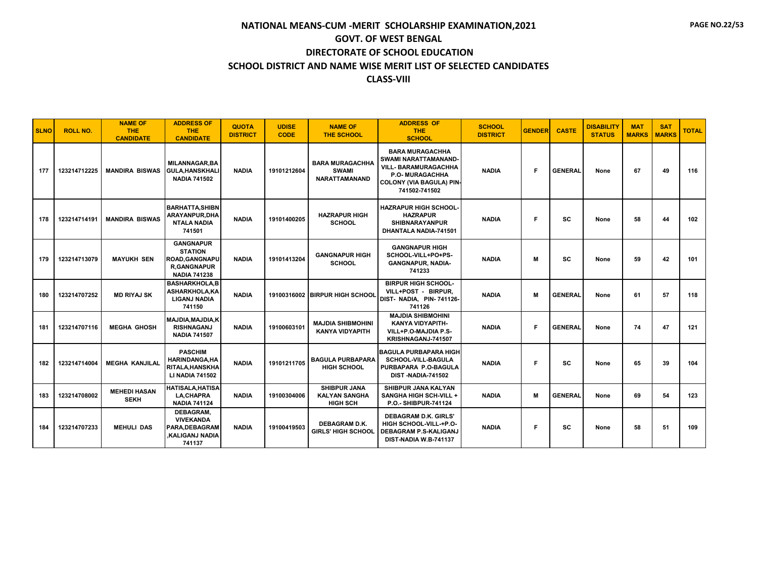| <b>SLNO</b> | <b>ROLL NO.</b> | <b>NAME OF</b><br><b>THE</b><br><b>CANDIDATE</b> | <b>ADDRESS OF</b><br><b>THE</b><br><b>CANDIDATE</b>                                               | <b>QUOTA</b><br><b>DISTRICT</b> | <b>UDISE</b><br><b>CODE</b> | <b>NAME OF</b><br><b>THE SCHOOL</b>                            | <b>ADDRESS OF</b><br>THE.<br><b>SCHOOL</b>                                                                                                           | <b>SCHOOL</b><br><b>DISTRICT</b> | <b>GENDER</b> | <b>CASTE</b>   | <b>DISABILITY</b><br><b>STATUS</b> | <b>MAT</b><br><b>MARKS</b> | <b>SAT</b><br><b>MARKS</b> | <b>TOTAL</b> |
|-------------|-----------------|--------------------------------------------------|---------------------------------------------------------------------------------------------------|---------------------------------|-----------------------------|----------------------------------------------------------------|------------------------------------------------------------------------------------------------------------------------------------------------------|----------------------------------|---------------|----------------|------------------------------------|----------------------------|----------------------------|--------------|
| 177         | 123214712225    | <b>MANDIRA BISWAS</b>                            | <b>MILANNAGAR.BA</b><br><b>GULA, HANSKHALI</b><br><b>NADIA 741502</b>                             | <b>NADIA</b>                    | 19101212604                 | <b>BARA MURAGACHHA</b><br><b>SWAMI</b><br><b>NARATTAMANAND</b> | <b>BARA MURAGACHHA</b><br>SWAMI NARATTAMANAND-<br><b>VILL- BARAMURAGACHHA</b><br>P.O- MURAGACHHA<br><b>COLONY (VIA BAGULA) PIN-</b><br>741502-741502 | <b>NADIA</b>                     | Е             | <b>GENERAL</b> | None                               | 67                         | 49                         | 116          |
| 178         | 123214714191    | <b>MANDIRA BISWAS</b>                            | <b>BARHATTA, SHIBN</b><br>ARAYANPUR, DHA<br><b>NTALA NADIA</b><br>741501                          | <b>NADIA</b>                    | 19101400205                 | <b>HAZRAPUR HIGH</b><br><b>SCHOOL</b>                          | <b>HAZRAPUR HIGH SCHOOL-</b><br><b>HAZRAPUR</b><br><b>SHIBNARAYANPUR</b><br>DHANTALA NADIA-741501                                                    | <b>NADIA</b>                     | Е             | <b>SC</b>      | None                               | 58                         | 44                         | 102          |
| 179         | 123214713079    | <b>MAYUKH SEN</b>                                | <b>GANGNAPUR</b><br><b>STATION</b><br>ROAD, GANGNAPU<br><b>R.GANGNAPUR</b><br><b>NADIA 741238</b> | <b>NADIA</b>                    | 19101413204                 | <b>GANGNAPUR HIGH</b><br><b>SCHOOL</b>                         | <b>GANGNAPUR HIGH</b><br>SCHOOL-VILL+PO+PS-<br><b>GANGNAPUR, NADIA-</b><br>741233                                                                    | <b>NADIA</b>                     | м             | <b>SC</b>      | None                               | 59                         | 42                         | 101          |
| 180         | 123214707252    | <b>MD RIYAJ SK</b>                               | <b>BASHARKHOLA.B</b><br>ASHARKHOLA, KA<br><b>LIGANJ NADIA</b><br>741150                           | <b>NADIA</b>                    |                             | 19100316002 BIRPUR HIGH SCHOOL                                 | <b>BIRPUR HIGH SCHOOL-</b><br>VILL+POST - BIRPUR,<br>DIST- NADIA, PIN-741126-<br>741126                                                              | <b>NADIA</b>                     | M             | <b>GENERAL</b> | None                               | 61                         | 57                         | 118          |
| 181         | 123214707116    | <b>MEGHA GHOSH</b>                               | MAJDIA, MAJDIA, K<br><b>RISHNAGANJ</b><br><b>NADIA 741507</b>                                     | <b>NADIA</b>                    | 19100603101                 | <b>MAJDIA SHIBMOHINI</b><br><b>KANYA VIDYAPITH</b>             | <b>MAJDIA SHIBMOHINI</b><br>KANYA VIDYAPITH-<br>VILL+P.O-MAJDIA P.S-<br>KRISHNAGANJ-741507                                                           | <b>NADIA</b>                     | Е             | <b>GENERAL</b> | None                               | 74                         | 47                         | 121          |
| 182         | 123214714004    | <b>MEGHA KANJILAL</b>                            | <b>PASCHIM</b><br><b>HARINDANGA, HA</b><br>RITALA, HANSKHA<br><b>LI NADIA 741502</b>              | <b>NADIA</b>                    | 19101211705                 | <b>BAGULA PURBAPARA</b><br><b>HIGH SCHOOL</b>                  | <b>BAGULA PURBAPARA HIGH</b><br><b>SCHOOL-VILL-BAGULA</b><br>PURBAPARA P.O-BAGULA<br><b>DIST-NADIA-741502</b>                                        | <b>NADIA</b>                     | Е             | <b>SC</b>      | None                               | 65                         | 39                         | 104          |
| 183         | 123214708002    | <b>MEHEDI HASAN</b><br><b>SEKH</b>               | <b>HATISALA, HATISA</b><br><b>LA,CHAPRA</b><br><b>NADIA 741124</b>                                | <b>NADIA</b>                    | 19100304006                 | <b>SHIBPUR JANA</b><br><b>KALYAN SANGHA</b><br><b>HIGH SCH</b> | SHIBPUR JANA KALYAN<br><b>SANGHA HIGH SCH-VILL +</b><br>P.O.- SHIBPUR-741124                                                                         | <b>NADIA</b>                     | M             | <b>GENERAL</b> | None                               | 69                         | 54                         | 123          |
| 184         | 123214707233    | <b>MEHULI DAS</b>                                | DEBAGRAM,<br><b>VIVEKANDA</b><br>PARA.DEBAGRAM<br>.KALIGANJ NADIA<br>741137                       | <b>NADIA</b>                    | 19100419503                 | <b>DEBAGRAM D.K.</b><br><b>GIRLS' HIGH SCHOOL</b>              | <b>DEBAGRAM D.K. GIRLS'</b><br>HIGH SCHOOL-VILL-+P.O-<br><b>DEBAGRAM P.S-KALIGANJ</b><br>DIST-NADIA W.B-741137                                       | <b>NADIA</b>                     | F             | <b>SC</b>      | None                               | 58                         | 51                         | 109          |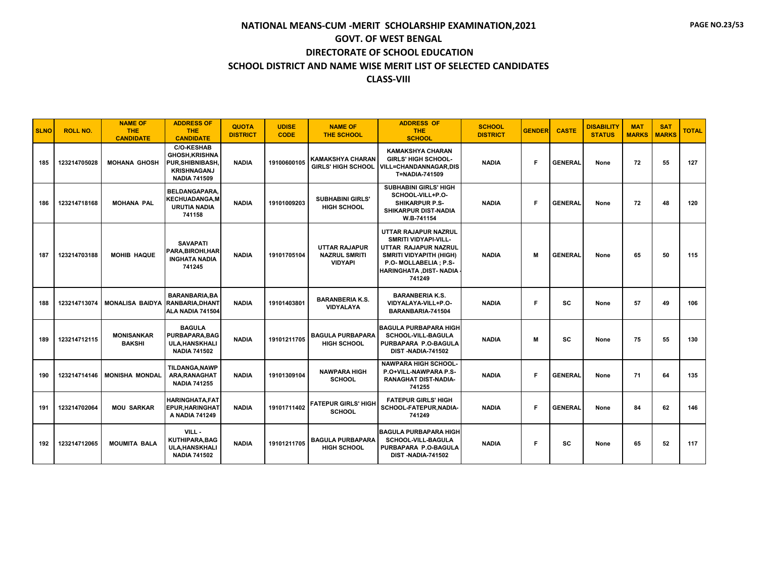| <b>SLNO</b> | <b>ROLL NO.</b> | <b>NAME OF</b><br><b>THE</b><br><b>CANDIDATE</b> | <b>ADDRESS OF</b><br><b>THE</b><br><b>CANDIDATE</b>                                                         | <b>QUOTA</b><br><b>DISTRICT</b> | <b>UDISE</b><br><b>CODE</b> | <b>NAME OF</b><br><b>THE SCHOOL</b>                            | <b>ADDRESS OF</b><br><b>THE</b><br><b>SCHOOL</b>                                                                                                                              | <b>SCHOOL</b><br><b>DISTRICT</b> | <b>GENDER</b> | <b>CASTE</b>   | <b>DISABILITY</b><br><b>STATUS</b> | <b>MAT</b><br><b>MARKS</b> | <b>SAT</b><br><b>MARKS</b> | <b>TOTAL</b> |
|-------------|-----------------|--------------------------------------------------|-------------------------------------------------------------------------------------------------------------|---------------------------------|-----------------------------|----------------------------------------------------------------|-------------------------------------------------------------------------------------------------------------------------------------------------------------------------------|----------------------------------|---------------|----------------|------------------------------------|----------------------------|----------------------------|--------------|
| 185         | 123214705028    | <b>MOHANA GHOSH</b>                              | <b>C/O-KESHAB</b><br><b>GHOSH, KRISHNA</b><br>PUR, SHIBNIBASH,<br><b>KRISHNAGANJ</b><br><b>NADIA 741509</b> | <b>NADIA</b>                    | 19100600105                 | <b>KAMAKSHYA CHARAN</b><br><b>GIRLS' HIGH SCHOOL</b>           | <b>KAMAKSHYA CHARAN</b><br><b>GIRLS' HIGH SCHOOL-</b><br><b>VILL=CHANDANNAGAR.DIS</b><br>T=NADIA-741509                                                                       | <b>NADIA</b>                     | F             | <b>GENERAL</b> | None                               | 72                         | 55                         | 127          |
| 186         | 123214718168    | <b>MOHANA PAL</b>                                | <b>BELDANGAPARA.</b><br><b>KECHUADANGA,M</b><br><b>URUTIA NADIA</b><br>741158                               | <b>NADIA</b>                    | 19101009203                 | <b>SUBHABINI GIRLS'</b><br><b>HIGH SCHOOL</b>                  | <b>SUBHABINI GIRLS' HIGH</b><br>SCHOOL-VILL+P.O-<br><b>SHIKARPUR P.S-</b><br><b>SHIKARPUR DIST-NADIA</b><br>W.B-741154                                                        | <b>NADIA</b>                     | Е             | <b>GENERAL</b> | None                               | 72                         | 48                         | 120          |
| 187         | 123214703188    | <b>MOHIB HAQUE</b>                               | <b>SAVAPATI</b><br>PARA.BIROHI.HAR<br><b>INGHATA NADIA</b><br>741245                                        | <b>NADIA</b>                    | 19101705104                 | <b>UTTAR RAJAPUR</b><br><b>NAZRUL SMRITI</b><br><b>VIDYAPI</b> | UTTAR RAJAPUR NAZRUL<br><b>SMRITI VIDYAPI-VILL-</b><br>UTTAR RAJAPUR NAZRUL<br><b>SMRITI VIDYAPITH (HIGH)</b><br>P.O- MOLLABELIA ; P.S-<br>HARINGHATA , DIST- NADIA<br>741249 | <b>NADIA</b>                     | м             | <b>GENERAL</b> | None                               | 65                         | 50                         | 115          |
| 188         | 123214713074    | <b>MONALISA BAIDYA</b>                           | <b>BARANBARIA.BA</b><br><b>RANBARIA, DHANT</b><br>ALA NADIA 741504                                          | <b>NADIA</b>                    | 19101403801                 | <b>BARANBERIA K.S.</b><br><b>VIDYALAYA</b>                     | <b>BARANBERIA K.S.</b><br>VIDYALAYA-VILL+P.O-<br>BARANBARIA-741504                                                                                                            | <b>NADIA</b>                     | Е             | SC             | None                               | 57                         | 49                         | 106          |
| 189         | 123214712115    | <b>MONISANKAR</b><br><b>BAKSHI</b>               | <b>BAGULA</b><br><b>PURBAPARA, BAG</b><br><b>ULA.HANSKHALI</b><br><b>NADIA 741502</b>                       | <b>NADIA</b>                    | 19101211705                 | <b>BAGULA PURBAPARA</b><br><b>HIGH SCHOOL</b>                  | <b>BAGULA PURBAPARA HIGH</b><br><b>SCHOOL-VILL-BAGULA</b><br>PURBAPARA P.O-BAGULA<br><b>DIST-NADIA-741502</b>                                                                 | <b>NADIA</b>                     | м             | SC             | None                               | 75                         | 55                         | 130          |
| 190         | 123214714146    | <b>MONISHA MONDAL</b>                            | <b>TILDANGA.NAWP</b><br>ARA, RANAGHAT<br><b>NADIA 741255</b>                                                | <b>NADIA</b>                    | 19101309104                 | <b>NAWPARA HIGH</b><br><b>SCHOOL</b>                           | <b>NAWPARA HIGH SCHOOL-</b><br>P.O+VILL-NAWPARA P.S-<br><b>RANAGHAT DIST-NADIA-</b><br>741255                                                                                 | <b>NADIA</b>                     | F             | <b>GENERAL</b> | None                               | 71                         | 64                         | 135          |
| 191         | 123214702064    | <b>MOU SARKAR</b>                                | <b>HARINGHATA.FAT</b><br><b>EPUR, HARINGHAT</b><br>A NADIA 741249                                           | <b>NADIA</b>                    | 19101711402                 | <b>FATEPUR GIRLS' HIGH</b><br><b>SCHOOL</b>                    | <b>FATEPUR GIRLS' HIGH</b><br>SCHOOL-FATEPUR, NADIA-<br>741249                                                                                                                | <b>NADIA</b>                     | F             | <b>GENERAL</b> | None                               | 84                         | 62                         | 146          |
| 192         | 123214712065    | <b>MOUMITA BALA</b>                              | VILL -<br><b>KUTHIPARA, BAG</b><br><b>ULA, HANSKHALI</b><br><b>NADIA 741502</b>                             | <b>NADIA</b>                    | 19101211705                 | <b>BAGULA PURBAPARA</b><br><b>HIGH SCHOOL</b>                  | <b>BAGULA PURBAPARA HIGH</b><br><b>SCHOOL-VILL-BAGULA</b><br>PURBAPARA P.O-BAGULA<br><b>DIST-NADIA-741502</b>                                                                 | <b>NADIA</b>                     | F             | SC             | None                               | 65                         | 52                         | 117          |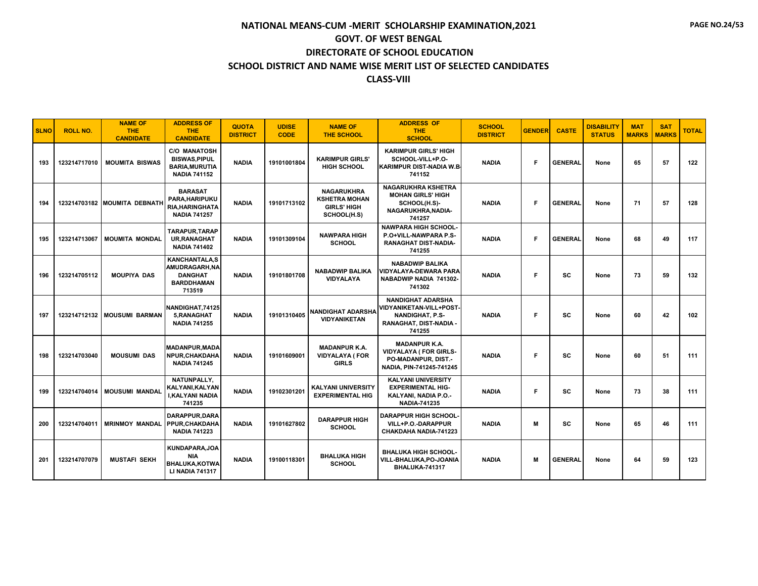| <b>SLNO</b> | <b>ROLL NO.</b> | <b>NAME OF</b><br>THE.<br><b>CANDIDATE</b> | <b>ADDRESS OF</b><br><b>THE</b><br><b>CANDIDATE</b>                                         | <b>QUOTA</b><br><b>DISTRICT</b> | <b>UDISE</b><br><b>CODE</b> | <b>NAME OF</b><br><b>THE SCHOOL</b>                                            | <b>ADDRESS OF</b><br><b>THE</b><br><b>SCHOOL</b>                                                                  | <b>SCHOOL</b><br><b>DISTRICT</b> | <b>GENDER</b> | <b>CASTE</b>   | <b>DISABILITY</b><br><b>STATUS</b> | <b>MAT</b><br><b>MARKS</b> | <b>SAT</b><br><b>MARKS</b> | <b>TOTAL</b> |
|-------------|-----------------|--------------------------------------------|---------------------------------------------------------------------------------------------|---------------------------------|-----------------------------|--------------------------------------------------------------------------------|-------------------------------------------------------------------------------------------------------------------|----------------------------------|---------------|----------------|------------------------------------|----------------------------|----------------------------|--------------|
| 193         | 123214717010    | <b>MOUMITA BISWAS</b>                      | <b>C/O MANATOSH</b><br><b>BISWAS, PIPUL</b><br><b>BARIA, MURUTIA</b><br><b>NADIA 741152</b> | <b>NADIA</b>                    | 19101001804                 | <b>KARIMPUR GIRLS'</b><br><b>HIGH SCHOOL</b>                                   | <b>KARIMPUR GIRLS' HIGH</b><br>SCHOOL-VILL+P.O-<br><b>KARIMPUR DIST-NADIA W.B.</b><br>741152                      | <b>NADIA</b>                     | Е             | <b>GENERAL</b> | None                               | 65                         | 57                         | 122          |
| 194         |                 | 123214703182 MOUMITA DEBNATH               | <b>BARASAT</b><br>PARA, HARIPUKU<br><b>RIA.HARINGHATA</b><br><b>NADIA 741257</b>            | <b>NADIA</b>                    | 19101713102                 | <b>NAGARUKHRA</b><br><b>KSHETRA MOHAN</b><br><b>GIRLS' HIGH</b><br>SCHOOL(H.S) | <b>NAGARUKHRA KSHETRA</b><br><b>MOHAN GIRLS' HIGH</b><br>SCHOOL(H.S)-<br>NAGARUKHRA, NADIA-<br>741257             | <b>NADIA</b>                     | Е             | <b>GENERAL</b> | None                               | 71                         | 57                         | 128          |
| 195         | 123214713067    | <b>MOUMITA MONDAL</b>                      | <b>TARAPUR.TARAP</b><br><b>UR.RANAGHAT</b><br><b>NADIA 741402</b>                           | <b>NADIA</b>                    | 19101309104                 | <b>NAWPARA HIGH</b><br><b>SCHOOL</b>                                           | <b>NAWPARA HIGH SCHOOL-</b><br>P.O+VILL-NAWPARA P.S-<br><b>RANAGHAT DIST-NADIA-</b><br>741255                     | <b>NADIA</b>                     | Е             | <b>GENERAL</b> | None                               | 68                         | 49                         | 117          |
| 196         | 123214705112    | <b>MOUPIYA DAS</b>                         | <b>KANCHANTALA.S</b><br>AMUDRAGARH, NA<br><b>DANGHAT</b><br><b>BARDDHAMAN</b><br>713519     | <b>NADIA</b>                    | 19101801708                 | <b>NABADWIP BALIKA</b><br><b>VIDYALAYA</b>                                     | <b>NABADWIP BALIKA</b><br><b>VIDYALAYA-DEWARA PARA</b><br>NABADWIP NADIA 741302-<br>741302                        | <b>NADIA</b>                     | F.            | <b>SC</b>      | None                               | 73                         | 59                         | 132          |
| 197         | 123214712132    | <b>MOUSUMI BARMAN</b>                      | NANDIGHAT.74125<br>5, RANAGHAT<br><b>NADIA 741255</b>                                       | <b>NADIA</b>                    | 19101310405                 | NANDIGHAT ADARSHA<br><b>VIDYANIKETAN</b>                                       | <b>NANDIGHAT ADARSHA</b><br>VIDYANIKETAN-VILL+POST-<br><b>NANDIGHAT, P.S-</b><br>RANAGHAT, DIST-NADIA -<br>741255 | <b>NADIA</b>                     | F.            | SC             | None                               | 60                         | 42                         | 102          |
| 198         | 123214703040    | <b>MOUSUMI DAS</b>                         | <b>MADANPUR, MADA</b><br>NPUR, CHAKDAHA<br><b>NADIA 741245</b>                              | <b>NADIA</b>                    | 19101609001                 | <b>MADANPUR K.A.</b><br><b>VIDYALAYA (FOR</b><br><b>GIRLS</b>                  | <b>MADANPUR K.A.</b><br><b>VIDYALAYA ( FOR GIRLS-</b><br>PO-MADANPUR, DIST.-<br>NADIA, PIN-741245-741245          | <b>NADIA</b>                     | F.            | SC             | None                               | 60                         | 51                         | 111          |
| 199         | 123214704014    | <b>MOUSUMI MANDAL</b>                      | NATUNPALLY,<br>KALYANI.KALYAN<br><b>I.KALYANI NADIA</b><br>741235                           | <b>NADIA</b>                    | 19102301201                 | <b>KALYANI UNIVERSITY</b><br><b>EXPERIMENTAL HIG</b>                           | <b>KALYANI UNIVERSITY</b><br><b>EXPERIMENTAL HIG-</b><br>KALYANI, NADIA P.O.-<br><b>NADIA-741235</b>              | <b>NADIA</b>                     | F.            | <b>SC</b>      | None                               | 73                         | 38                         | 111          |
| 200         | 123214704011    | <b>MRINMOY MANDAL</b>                      | <b>DARAPPUR.DARA</b><br>PPUR.CHAKDAHA<br><b>NADIA 741223</b>                                | <b>NADIA</b>                    | 19101627802                 | <b>DARAPPUR HIGH</b><br><b>SCHOOL</b>                                          | <b>DARAPPUR HIGH SCHOOL-</b><br>VILL+P.O.-DARAPPUR<br>CHAKDAHA NADIA-741223                                       | <b>NADIA</b>                     | м             | <b>SC</b>      | None                               | 65                         | 46                         | 111          |
| 201         | 123214707079    | <b>MUSTAFI SEKH</b>                        | KUNDAPARA.JOA<br>NIA<br><b>BHALUKA,KOTWA</b><br><b>LI NADIA 741317</b>                      | <b>NADIA</b>                    | 19100118301                 | <b>BHALUKA HIGH</b><br><b>SCHOOL</b>                                           | <b>BHALUKA HIGH SCHOOL-</b><br>VILL-BHALUKA,PO-JOANIA<br><b>BHALUKA-741317</b>                                    | <b>NADIA</b>                     | м             | <b>GENERAL</b> | None                               | 64                         | 59                         | 123          |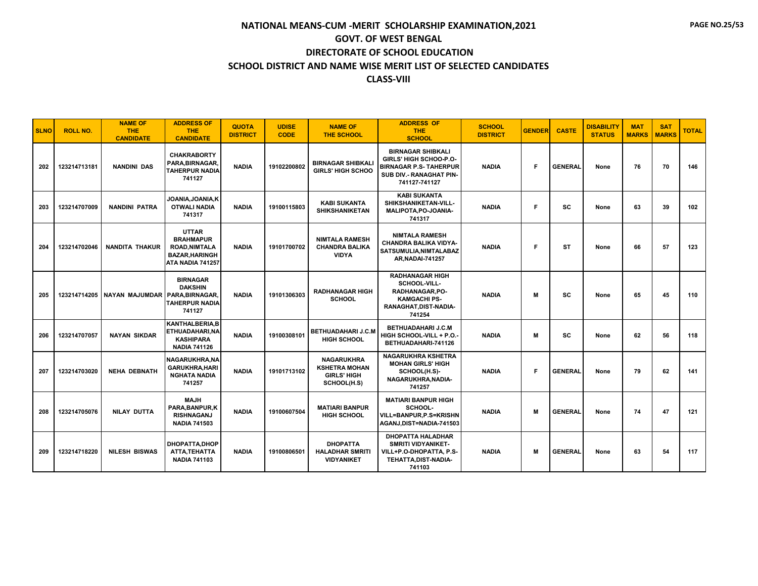#### **CLASS-VIII**

| <b>SLNO</b> | <b>ROLL NO.</b> | <b>NAME OF</b><br><b>THE</b><br><b>CANDIDATE</b> | <b>ADDRESS OF</b><br><b>THE</b><br><b>CANDIDATE</b>                                                   | <b>QUOTA</b><br><b>DISTRICT</b> | <b>UDISE</b><br><b>CODE</b> | <b>NAME OF</b><br><b>THE SCHOOL</b>                                     | <b>ADDRESS OF</b><br><b>THE</b><br><b>SCHOOL</b>                                                                                       | <b>SCHOOL</b><br><b>DISTRICT</b> | <b>GENDER</b> | <b>CASTE</b>   | <b>DISABILITY</b><br><b>STATUS</b> | <b>MAT</b><br><b>MARKS</b> | <b>SAT</b><br><b>MARKS</b> | <b>TOTAL</b> |
|-------------|-----------------|--------------------------------------------------|-------------------------------------------------------------------------------------------------------|---------------------------------|-----------------------------|-------------------------------------------------------------------------|----------------------------------------------------------------------------------------------------------------------------------------|----------------------------------|---------------|----------------|------------------------------------|----------------------------|----------------------------|--------------|
| 202         | 123214713181    | <b>NANDINI DAS</b>                               | <b>CHAKRABORTY</b><br>PARA.BIRNAGAR.<br><b>TAHERPUR NADIA</b><br>741127                               | <b>NADIA</b>                    | 19102200802                 | <b>BIRNAGAR SHIBKALI</b><br><b>GIRLS' HIGH SCHOO</b>                    | <b>BIRNAGAR SHIBKALI</b><br>GIRLS' HIGH SCHOO-P.O-<br><b>BIRNAGAR P.S- TAHERPUR</b><br><b>SUB DIV.- RANAGHAT PIN-</b><br>741127-741127 | <b>NADIA</b>                     | Е             | <b>GENERAL</b> | None                               | 76                         | 70                         | 146          |
| 203         | 123214707009    | <b>NANDINI PATRA</b>                             | JOANIA, JOANIA, K<br><b>OTWALI NADIA</b><br>741317                                                    | <b>NADIA</b>                    | 19100115803                 | <b>KABI SUKANTA</b><br><b>SHIKSHANIKETAN</b>                            | <b>KABI SUKANTA</b><br>SHIKSHANIKETAN-VILL-<br>MALIPOTA, PO-JOANIA-<br>741317                                                          | <b>NADIA</b>                     | F.            | SC             | None                               | 63                         | 39                         | 102          |
| 204         | 123214702046    | <b>NANDITA THAKUR</b>                            | <b>UTTAR</b><br><b>BRAHMAPUR</b><br><b>ROAD, NIMTALA</b><br><b>BAZAR, HARINGH</b><br>ATA NADIA 741257 | <b>NADIA</b>                    | 19101700702                 | <b>NIMTALA RAMESH</b><br><b>CHANDRA BALIKA</b><br><b>VIDYA</b>          | <b>NIMTALA RAMESH</b><br>CHANDRA BALIKA VIDYA-<br>SATSUMULIA, NIMTALABAZ<br><b>AR.NADAI-741257</b>                                     | <b>NADIA</b>                     | F.            | <b>ST</b>      | None                               | 66                         | 57                         | 123          |
| 205         | 123214714205    | <b>NAYAN MAJUMDAR</b>                            | <b>BIRNAGAR</b><br><b>DAKSHIN</b><br>PARA, BIRNAGAR,<br><b>TAHERPUR NADIA</b><br>741127               | <b>NADIA</b>                    | 19101306303                 | <b>RADHANAGAR HIGH</b><br><b>SCHOOL</b>                                 | <b>RADHANAGAR HIGH</b><br>SCHOOL-VILL-<br>RADHANAGAR, PO-<br><b>KAMGACHI PS-</b><br>RANAGHAT, DIST-NADIA-<br>741254                    | <b>NADIA</b>                     | M             | <b>SC</b>      | None                               | 65                         | 45                         | 110          |
| 206         | 123214707057    | <b>NAYAN SIKDAR</b>                              | <b>KANTHALBERIA.B</b><br>ETHUADAHARI, NA<br>KASHIPARA<br><b>NADIA 741126</b>                          | <b>NADIA</b>                    | 19100308101                 | <b>BETHUADAHARI J.C.M</b><br><b>HIGH SCHOOL</b>                         | <b>BETHUADAHARI J.C.M</b><br>HIGH SCHOOL-VILL + P.O.<br>BETHUADAHARI-741126                                                            | <b>NADIA</b>                     | м             | <b>SC</b>      | None                               | 62                         | 56                         | 118          |
| 207         | 123214703020    | <b>NEHA DEBNATH</b>                              | NAGARUKHRA, NA<br><b>GARUKHRA, HARI</b><br><b>NGHATA NADIA</b><br>741257                              | <b>NADIA</b>                    | 19101713102                 | NAGARUKHRA<br><b>KSHETRA MOHAN</b><br><b>GIRLS' HIGH</b><br>SCHOOL(H.S) | <b>NAGARUKHRA KSHETRA</b><br><b>MOHAN GIRLS' HIGH</b><br>SCHOOL(H.S)-<br>NAGARUKHRA, NADIA-<br>741257                                  | <b>NADIA</b>                     | Е             | <b>GENERAL</b> | None                               | 79                         | 62                         | 141          |
| 208         | 123214705076    | <b>NILAY DUTTA</b>                               | <b>MAJH</b><br>PARA.BANPUR.K<br><b>RISHNAGANJ</b><br><b>NADIA 741503</b>                              | <b>NADIA</b>                    | 19100607504                 | <b>MATIARI BANPUR</b><br><b>HIGH SCHOOL</b>                             | <b>MATIARI BANPUR HIGH</b><br>SCHOOL-<br>VILL=BANPUR,P.S=KRISHN<br>AGANJ, DIST=NADIA-741503                                            | <b>NADIA</b>                     | м             | <b>GENERAL</b> | None                               | 74                         | 47                         | 121          |
| 209         | 123214718220    | <b>NILESH BISWAS</b>                             | <b>DHOPATTA,DHOP</b><br>ATTA, TEHATTA<br><b>NADIA 741103</b>                                          | <b>NADIA</b>                    | 19100806501                 | <b>DHOPATTA</b><br><b>HALADHAR SMRITI</b><br><b>VIDYANIKET</b>          | <b>DHOPATTA HALADHAR</b><br><b>SMRITI VIDYANIKET-</b><br>VILL+P.O-DHOPATTA, P.S-<br>TEHATTA, DIST-NADIA-<br>741103                     | <b>NADIA</b>                     | м             | <b>GENERAL</b> | None                               | 63                         | 54                         | 117          |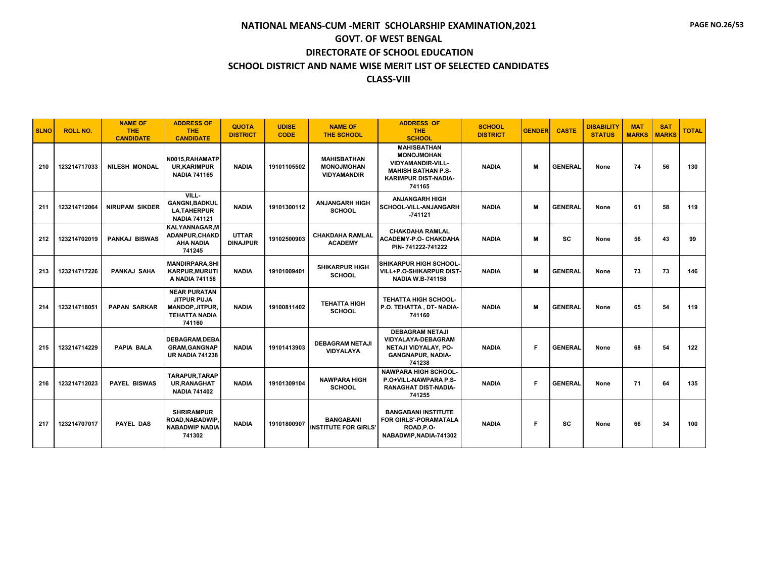| <b>SLNO</b> | <b>ROLL NO.</b> | <b>NAME OF</b><br><b>THE</b><br><b>CANDIDATE</b> | <b>ADDRESS OF</b><br><b>THE</b><br><b>CANDIDATE</b>                                                   | <b>QUOTA</b><br><b>DISTRICT</b> | <b>UDISE</b><br><b>CODE</b> | <b>NAME OF</b><br><b>THE SCHOOL</b>                           | <b>ADDRESS OF</b><br><b>THE</b><br><b>SCHOOL</b>                                                                                          | <b>SCHOOL</b><br><b>DISTRICT</b> | <b>GENDER</b> | <b>CASTE</b>   | <b>DISABILITY</b><br><b>STATUS</b> | <b>MAT</b><br><b>MARKS</b> | <b>SAT</b><br><b>MARKS</b> | <b>TOTAL</b> |
|-------------|-----------------|--------------------------------------------------|-------------------------------------------------------------------------------------------------------|---------------------------------|-----------------------------|---------------------------------------------------------------|-------------------------------------------------------------------------------------------------------------------------------------------|----------------------------------|---------------|----------------|------------------------------------|----------------------------|----------------------------|--------------|
| 210         | 123214717033    | <b>NILESH MONDAL</b>                             | N0015, RAHAMATP<br><b>UR,KARIMPUR</b><br><b>NADIA 741165</b>                                          | <b>NADIA</b>                    | 19101105502                 | <b>MAHISBATHAN</b><br><b>MONOJMOHAN</b><br><b>VIDYAMANDIR</b> | <b>MAHISBATHAN</b><br><b>MONOJMOHAN</b><br><b>VIDYAMANDIR-VILL-</b><br><b>MAHISH BATHAN P.S-</b><br><b>KARIMPUR DIST-NADIA-</b><br>741165 | <b>NADIA</b>                     | M             | <b>GENERAL</b> | None                               | 74                         | 56                         | 130          |
| 211         | 123214712064    | <b>NIRUPAM SIKDER</b>                            | VILL-<br><b>GANGNI.BADKUL</b><br><b>LA, TAHERPUR</b><br><b>NADIA 741121</b>                           | <b>NADIA</b>                    | 19101300112                 | <b>ANJANGARH HIGH</b><br><b>SCHOOL</b>                        | <b>ANJANGARH HIGH</b><br><b>SCHOOL-VILL-ANJANGARH</b><br>$-741121$                                                                        | <b>NADIA</b>                     | м             | <b>GENERAL</b> | None                               | 61                         | 58                         | 119          |
| 212         | 123214702019    | <b>PANKAJ BISWAS</b>                             | <b>KALYANNAGAR.M</b><br>ADANPUR.CHAKD<br><b>AHA NADIA</b><br>741245                                   | <b>UTTAR</b><br><b>DINAJPUR</b> | 19102500903                 | <b>CHAKDAHA RAMLAL</b><br><b>ACADEMY</b>                      | <b>CHAKDAHA RAMLAL</b><br>ACADEMY-P.O- CHAKDAHA<br>PIN-741222-741222                                                                      | <b>NADIA</b>                     | м             | SC             | None                               | 56                         | 43                         | 99           |
| 213         | 123214717226    | PANKAJ SAHA                                      | <b>MANDIRPARA, SHI</b><br><b>KARPUR.MURUTI</b><br>A NADIA 741158                                      | <b>NADIA</b>                    | 19101009401                 | <b>SHIKARPUR HIGH</b><br><b>SCHOOL</b>                        | SHIKARPUR HIGH SCHOOL-<br><b>VILL+P.O-SHIKARPUR DIST-</b><br><b>NADIA W.B-741158</b>                                                      | <b>NADIA</b>                     | M             | <b>GENERAL</b> | None                               | 73                         | 73                         | 146          |
| 214         | 123214718051    | <b>PAPAN SARKAR</b>                              | <b>NEAR PURATAN</b><br><b>JITPUR PUJA</b><br><b>MANDOP, JITPUR,</b><br><b>TEHATTA NADIA</b><br>741160 | <b>NADIA</b>                    | 19100811402                 | <b>TEHATTA HIGH</b><br><b>SCHOOL</b>                          | TEHATTA HIGH SCHOOL-<br>P.O. TEHATTA, DT- NADIA-<br>741160                                                                                | <b>NADIA</b>                     | M             | <b>GENERAL</b> | None                               | 65                         | 54                         | 119          |
| 215         | 123214714229    | <b>PAPIA BALA</b>                                | <b>DEBAGRAM.DEBA</b><br><b>GRAM, GANGNAP</b><br><b>UR NADIA 741238</b>                                | <b>NADIA</b>                    | 19101413903                 | <b>DEBAGRAM NETAJI</b><br><b>VIDYALAYA</b>                    | <b>DEBAGRAM NETAJI</b><br><b>VIDYALAYA-DEBAGRAM</b><br>NETAJI VIDYALAY, PO-<br><b>GANGNAPUR, NADIA-</b><br>741238                         | <b>NADIA</b>                     | Е             | <b>GENERAL</b> | None                               | 68                         | 54                         | 122          |
| 216         | 123214712023    | <b>PAYEL BISWAS</b>                              | <b>TARAPUR.TARAP</b><br>UR, RANAGHAT<br><b>NADIA 741402</b>                                           | <b>NADIA</b>                    | 19101309104                 | <b>NAWPARA HIGH</b><br><b>SCHOOL</b>                          | <b>NAWPARA HIGH SCHOOL-</b><br>P.O+VILL-NAWPARA P.S-<br><b>RANAGHAT DIST-NADIA-</b><br>741255                                             | <b>NADIA</b>                     | F             | <b>GENERAL</b> | None                               | 71                         | 64                         | 135          |
| 217         | 123214707017    | <b>PAYEL DAS</b>                                 | <b>SHRIRAMPUR</b><br><b>ROAD.NABADWIP</b><br><b>NABADWIP NADIA</b><br>741302                          | <b>NADIA</b>                    | 19101800907                 | <b>BANGABANI</b><br><b>INSTITUTE FOR GIRLS'</b>               | <b>BANGABANI INSTITUTE</b><br>FOR GIRLS'-PORAMATALA<br>ROAD.P.O-<br>NABADWIP, NADIA-741302                                                | <b>NADIA</b>                     | F             | <b>SC</b>      | None                               | 66                         | 34                         | 100          |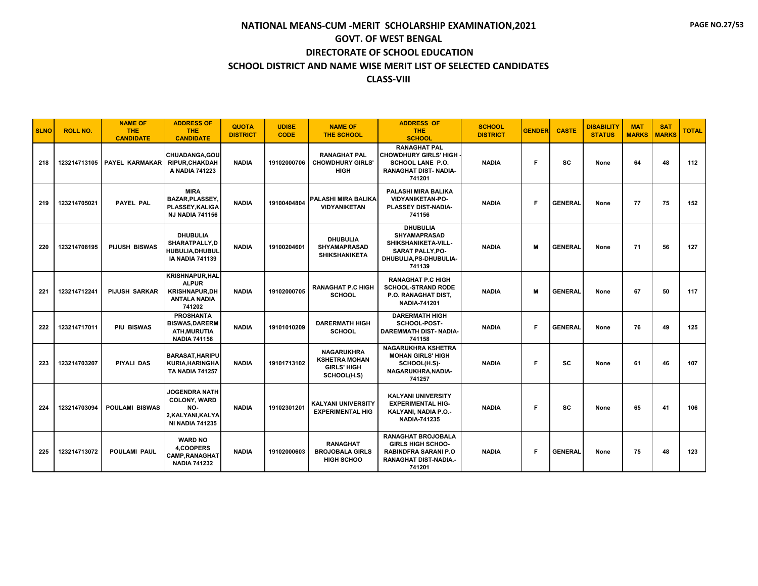| <b>SLNO</b> | <b>ROLL NO.</b> | <b>NAME OF</b><br>THE.<br><b>CANDIDATE</b> | <b>ADDRESS OF</b><br><b>THE</b><br><b>CANDIDATE</b>                                               | <b>QUOTA</b><br><b>DISTRICT</b> | <b>UDISE</b><br><b>CODE</b> | <b>NAME OF</b><br><b>THE SCHOOL</b>                                            | <b>ADDRESS OF</b><br><b>THE</b><br><b>SCHOOL</b>                                                                               | <b>SCHOOL</b><br><b>DISTRICT</b> | <b>GENDER</b> | <b>CASTE</b>   | <b>DISABILITY</b><br><b>STATUS</b> | <b>MAT</b><br><b>MARKS</b> | <b>SAT</b><br><b>MARKS</b> | <b>TOTAL</b> |
|-------------|-----------------|--------------------------------------------|---------------------------------------------------------------------------------------------------|---------------------------------|-----------------------------|--------------------------------------------------------------------------------|--------------------------------------------------------------------------------------------------------------------------------|----------------------------------|---------------|----------------|------------------------------------|----------------------------|----------------------------|--------------|
| 218         | 123214713105    | <b>PAYEL KARMAKAR</b>                      | CHUADANGA, GOU<br><b>RIPUR.CHAKDAH</b><br>A NADIA 741223                                          | <b>NADIA</b>                    | 19102000706                 | <b>RANAGHAT PAL</b><br><b>CHOWDHURY GIRLS'</b><br><b>HIGH</b>                  | <b>RANAGHAT PAL</b><br><b>CHOWDHURY GIRLS' HIGH</b><br>SCHOOL LANE P.O.<br>RANAGHAT DIST-NADIA-<br>741201                      | <b>NADIA</b>                     | F.            | SC             | None                               | 64                         | 48                         | 112          |
| 219         | 123214705021    | PAYEL PAL                                  | <b>MIRA</b><br><b>BAZAR.PLASSEY</b><br>PLASSEY, KALIGA<br><b>NJ NADIA 741156</b>                  | <b>NADIA</b>                    | 19100404804                 | PALASHI MIRA BALIKA<br><b>VIDYANIKETAN</b>                                     | <b>PALASHI MIRA BALIKA</b><br><b>VIDYANIKETAN-PO-</b><br>PLASSEY DIST-NADIA-<br>741156                                         | <b>NADIA</b>                     | F.            | <b>GENERAL</b> | None                               | 77                         | 75                         | 152          |
| 220         | 123214708195    | <b>PIJUSH BISWAS</b>                       | <b>DHUBULIA</b><br>SHARATPALLY.D<br>HUBULIA, DHUBUL<br><b>IA NADIA 741139</b>                     | <b>NADIA</b>                    | 19100204601                 | <b>DHUBULIA</b><br><b>SHYAMAPRASAD</b><br><b>SHIKSHANIKETA</b>                 | <b>DHUBULIA</b><br><b>SHYAMAPRASAD</b><br>SHIKSHANIKETA-VILL-<br>SARAT PALLY, PO-<br>DHUBULIA, PS-DHUBULIA-<br>741139          | <b>NADIA</b>                     | м             | <b>GENERAL</b> | None                               | 71                         | 56                         | 127          |
| 221         | 123214712241    | <b>PIJUSH SARKAR</b>                       | <b>KRISHNAPUR.HAL</b><br><b>ALPUR</b><br><b>KRISHNAPUR.DH</b><br><b>ANTALA NADIA</b><br>741202    | <b>NADIA</b>                    | 19102000705                 | <b>RANAGHAT P.C HIGH</b><br><b>SCHOOL</b>                                      | <b>RANAGHAT P.C HIGH</b><br><b>SCHOOL-STRAND RODE</b><br>P.O. RANAGHAT DIST,<br><b>NADIA-741201</b>                            | <b>NADIA</b>                     | М             | <b>GENERAL</b> | None                               | 67                         | 50                         | 117          |
| 222         | 123214717011    | <b>PIU BISWAS</b>                          | <b>PROSHANTA</b><br><b>BISWAS.DARERM</b><br><b>ATH, MURUTIA</b><br><b>NADIA 741158</b>            | <b>NADIA</b>                    | 19101010209                 | <b>DARERMATH HIGH</b><br><b>SCHOOL</b>                                         | <b>DARERMATH HIGH</b><br>SCHOOL-POST-<br><b>DAREMMATH DIST- NADIA-</b><br>741158                                               | <b>NADIA</b>                     | Е             | <b>GENERAL</b> | None                               | 76                         | 49                         | 125          |
| 223         | 123214703207    | PIYALI DAS                                 | <b>BARASAT, HARIPU</b><br>KURIA, HARINGHA<br><b>TA NADIA 741257</b>                               | <b>NADIA</b>                    | 19101713102                 | <b>NAGARUKHRA</b><br><b>KSHETRA MOHAN</b><br><b>GIRLS' HIGH</b><br>SCHOOL(H.S) | <b>NAGARUKHRA KSHETRA</b><br><b>MOHAN GIRLS' HIGH</b><br>SCHOOL(H.S)-<br>NAGARUKHRA.NADIA-<br>741257                           | <b>NADIA</b>                     | F.            | SC             | None                               | 61                         | 46                         | 107          |
| 224         | 123214703094    | <b>POULAMI BISWAS</b>                      | <b>JOGENDRA NATH</b><br><b>COLONY, WARD</b><br>NO-<br>2, KALYANI, KALYA<br><b>NI NADIA 741235</b> | <b>NADIA</b>                    | 19102301201                 | <b>KALYANI UNIVERSITY</b><br><b>EXPERIMENTAL HIG</b>                           | <b>KALYANI UNIVERSITY</b><br><b>EXPERIMENTAL HIG-</b><br>KALYANI, NADIA P.O.-<br><b>NADIA-741235</b>                           | <b>NADIA</b>                     | F.            | SC             | None                               | 65                         | 41                         | 106          |
| 225         | 123214713072    | <b>POULAMI PAUL</b>                        | <b>WARD NO</b><br>4.COOPERS<br><b>CAMP, RANAGHAT</b><br><b>NADIA 741232</b>                       | <b>NADIA</b>                    | 19102000603                 | <b>RANAGHAT</b><br><b>BROJOBALA GIRLS</b><br><b>HIGH SCHOO</b>                 | <b>RANAGHAT BROJOBALA</b><br><b>GIRLS HIGH SCHOO-</b><br><b>RABINDFRA SARANI P.O</b><br><b>RANAGHAT DIST-NADIA.-</b><br>741201 | <b>NADIA</b>                     | F.            | <b>GENERAL</b> | None                               | 75                         | 48                         | 123          |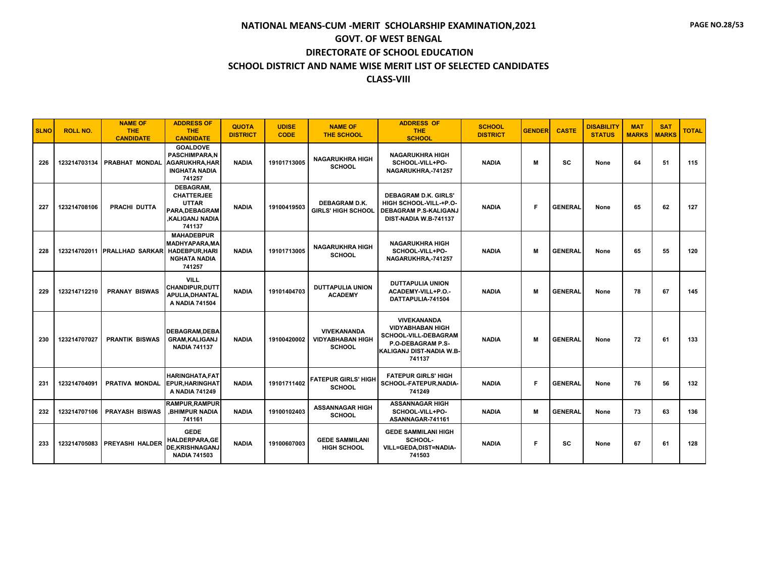| <b>SLNO</b> | <b>ROLL NO.</b> | <b>NAME OF</b><br><b>THE</b><br><b>CANDIDATE</b> | <b>ADDRESS OF</b><br><b>THE</b><br><b>CANDIDATE</b>                                                 | <b>QUOTA</b><br><b>DISTRICT</b> | <b>UDISE</b><br><b>CODE</b> | <b>NAME OF</b><br><b>THE SCHOOL</b>                            | <b>ADDRESS OF</b><br><b>THE</b><br><b>SCHOOL</b>                                                                                 | <b>SCHOOL</b><br><b>DISTRICT</b> | <b>GENDER</b> | <b>CASTE</b>   | <b>DISABILITY</b><br><b>STATUS</b> | <b>MAT</b><br><b>MARKS</b> | <b>SAT</b><br><b>MARKS</b> | <b>TOTAL</b> |
|-------------|-----------------|--------------------------------------------------|-----------------------------------------------------------------------------------------------------|---------------------------------|-----------------------------|----------------------------------------------------------------|----------------------------------------------------------------------------------------------------------------------------------|----------------------------------|---------------|----------------|------------------------------------|----------------------------|----------------------------|--------------|
| 226         | 123214703134    | PRABHAT MONDAL                                   | <b>GOALDOVE</b><br><b>PASCHIMPARA.N</b><br><b>AGARUKHRA, HAR</b><br><b>INGHATA NADIA</b><br>741257  | <b>NADIA</b>                    | 19101713005                 | <b>NAGARUKHRA HIGH</b><br><b>SCHOOL</b>                        | <b>NAGARUKHRA HIGH</b><br>SCHOOL-VILL+PO-<br>NAGARUKHRA,-741257                                                                  | <b>NADIA</b>                     | M             | <b>SC</b>      | None                               | 64                         | 51                         | 115          |
| 227         | 123214708106    | PRACHI DUTTA                                     | DEBAGRAM,<br><b>CHATTERJEE</b><br><b>UTTAR</b><br>PARA, DEBAGRAM<br>.KALIGANJ NADIA<br>741137       | <b>NADIA</b>                    | 19100419503                 | <b>DEBAGRAM D.K.</b><br><b>GIRLS' HIGH SCHOOL</b>              | <b>DEBAGRAM D.K. GIRLS'</b><br>HIGH SCHOOL-VILL-+P.O-<br>DEBAGRAM P.S-KALIGANJ<br>DIST-NADIA W.B-741137                          | <b>NADIA</b>                     | E             | <b>GENERAL</b> | None                               | 65                         | 62                         | 127          |
| 228         |                 | 123214702011 PRALLHAD SARKAR                     | <b>MAHADEBPUR</b><br><b>MADHYAPARA.MA</b><br><b>HADEBPUR, HARI</b><br><b>NGHATA NADIA</b><br>741257 | <b>NADIA</b>                    | 19101713005                 | <b>NAGARUKHRA HIGH</b><br><b>SCHOOL</b>                        | <b>NAGARUKHRA HIGH</b><br>SCHOOL-VILL+PO-<br>NAGARUKHRA,-741257                                                                  | <b>NADIA</b>                     | N             | <b>GENERAL</b> | None                               | 65                         | 55                         | 120          |
| 229         | 123214712210    | <b>PRANAY BISWAS</b>                             | <b>VILL</b><br><b>CHANDIPUR.DUTT</b><br>APULIA, DHANTAL<br>A NADIA 741504                           | <b>NADIA</b>                    | 19101404703                 | <b>DUTTAPULIA UNION</b><br><b>ACADEMY</b>                      | <b>DUTTAPULIA UNION</b><br>ACADEMY-VILL+P.O.-<br>DATTAPULIA-741504                                                               | <b>NADIA</b>                     | M             | <b>GENERAL</b> | None                               | 78                         | 67                         | 145          |
| 230         | 123214707027    | <b>PRANTIK BISWAS</b>                            | <b>DEBAGRAM.DEBA</b><br><b>GRAM, KALIGANJ</b><br><b>NADIA 741137</b>                                | <b>NADIA</b>                    | 19100420002                 | <b>VIVEKANANDA</b><br><b>VIDYABHABAN HIGH</b><br><b>SCHOOL</b> | <b>VIVEKANANDA</b><br><b>VIDYABHABAN HIGH</b><br>SCHOOL-VILL-DEBAGRAM<br>P.O-DEBAGRAM P.S-<br>KALIGANJ DIST-NADIA W.B-<br>741137 | <b>NADIA</b>                     | M             | <b>GENERAL</b> | None                               | 72                         | 61                         | 133          |
| 231         | 123214704091    | <b>PRATIVA MONDAL</b>                            | <b>HARINGHATA,FAT</b><br><b>EPUR.HARINGHAT</b><br>A NADIA 741249                                    | <b>NADIA</b>                    | 19101711402                 | <b>FATEPUR GIRLS' HIGH</b><br><b>SCHOOL</b>                    | <b>FATEPUR GIRLS' HIGH</b><br>SCHOOL-FATEPUR, NADIA-<br>741249                                                                   | <b>NADIA</b>                     | F             | <b>GENERAL</b> | None                               | 76                         | 56                         | 132          |
| 232         | 123214707106    | <b>PRAYASH BISWAS</b>                            | <b>RAMPUR.RAMPUR</b><br><b>.BHIMPUR NADIA</b><br>741161                                             | <b>NADIA</b>                    | 19100102403                 | <b>ASSANNAGAR HIGH</b><br><b>SCHOOL</b>                        | <b>ASSANNAGAR HIGH</b><br>SCHOOL-VILL+PO-<br>ASANNAGAR-741161                                                                    | <b>NADIA</b>                     | M             | <b>GENERAL</b> | None                               | 73                         | 63                         | 136          |
| 233         | 123214705083    | <b>PREYASHI HALDER</b>                           | <b>GEDE</b><br><b>HALDERPARA,GE</b><br><b>DE.KRISHNAGANJ</b><br><b>NADIA 741503</b>                 | <b>NADIA</b>                    | 19100607003                 | <b>GEDE SAMMILANI</b><br><b>HIGH SCHOOL</b>                    | <b>GEDE SAMMILANI HIGH</b><br>SCHOOL-<br>VILL=GEDA.DIST=NADIA-<br>741503                                                         | <b>NADIA</b>                     | F             | sc             | None                               | 67                         | 61                         | 128          |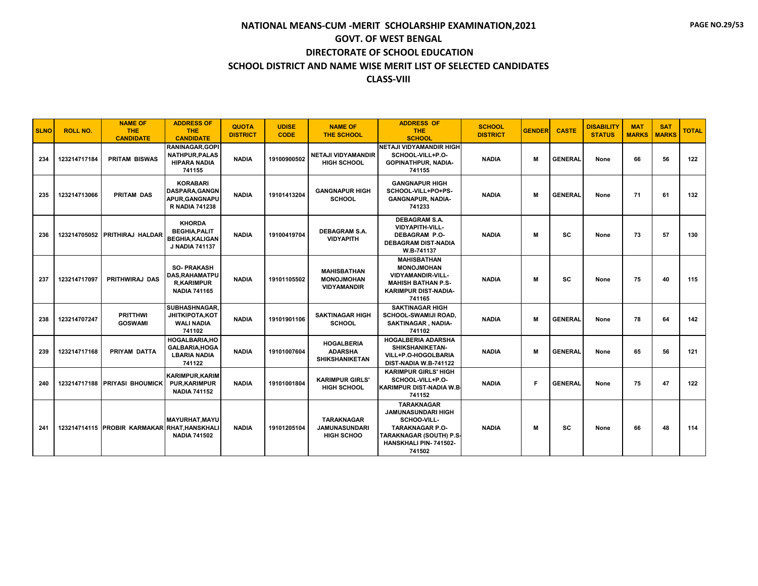| <b>SLNO</b> | <b>ROLL NO.</b> | <b>NAME OF</b><br>THE.<br><b>CANDIDATE</b>   | <b>ADDRESS OF</b><br><b>THE</b><br><b>CANDIDATE</b>                                      | <b>QUOTA</b><br><b>DISTRICT</b> | <b>UDISE</b><br><b>CODE</b> | <b>NAME OF</b><br><b>THE SCHOOL</b>                            | <b>ADDRESS OF</b><br><b>THE</b><br><b>SCHOOL</b>                                                                                                      | <b>SCHOOL</b><br><b>DISTRICT</b> | <b>GENDER</b> | <b>CASTE</b>   | <b>DISABILITY</b><br><b>STATUS</b> | <b>MAT</b><br><b>MARKS</b> | <b>SAT</b><br><b>MARKS</b> | <b>TOTAL</b> |
|-------------|-----------------|----------------------------------------------|------------------------------------------------------------------------------------------|---------------------------------|-----------------------------|----------------------------------------------------------------|-------------------------------------------------------------------------------------------------------------------------------------------------------|----------------------------------|---------------|----------------|------------------------------------|----------------------------|----------------------------|--------------|
| 234         | 123214717184    | <b>PRITAM BISWAS</b>                         | RANINAGAR, GOPI<br><b>NATHPUR, PALAS</b><br><b>HIPARA NADIA</b><br>741155                | <b>NADIA</b>                    | 19100900502                 | NETAJI VIDYAMANDIR<br><b>HIGH SCHOOL</b>                       | NETAJI VIDYAMANDIR HIGH<br>SCHOOL-VILL+P.O-<br><b>GOPINATHPUR, NADIA-</b><br>741155                                                                   | <b>NADIA</b>                     | м             | <b>GENERAL</b> | None                               | 66                         | 56                         | 122          |
| 235         | 123214713066    | <b>PRITAM DAS</b>                            | <b>KORABARI</b><br><b>DASPARA.GANGN</b><br>APUR.GANGNAPU<br><b>R NADIA 741238</b>        | <b>NADIA</b>                    | 19101413204                 | <b>GANGNAPUR HIGH</b><br><b>SCHOOL</b>                         | <b>GANGNAPUR HIGH</b><br>SCHOOL-VILL+PO+PS-<br><b>GANGNAPUR, NADIA-</b><br>741233                                                                     | <b>NADIA</b>                     | М             | <b>GENERAL</b> | None                               | 71                         | 61                         | 132          |
| 236         | 123214705052    | PRITHIRAJ HALDAR                             | <b>KHORDA</b><br><b>BEGHIA, PALIT</b><br><b>BEGHIA, KALIGAN</b><br><b>J NADIA 741137</b> | <b>NADIA</b>                    | 19100419704                 | <b>DEBAGRAM S.A.</b><br><b>VIDYAPITH</b>                       | <b>DEBAGRAM S.A.</b><br><b>VIDYAPITH-VILL-</b><br><b>DEBAGRAM P.O-</b><br><b>DEBAGRAM DIST-NADIA</b><br>W.B-741137                                    | <b>NADIA</b>                     | м             | SC             | None                               | 73                         | 57                         | 130          |
| 237         | 123214717097    | <b>PRITHWIRAJ DAS</b>                        | <b>SO-PRAKASH</b><br><b>DAS.RAHAMATPU</b><br><b>R,KARIMPUR</b><br><b>NADIA 741165</b>    | <b>NADIA</b>                    | 19101105502                 | <b>MAHISBATHAN</b><br><b>MONOJMOHAN</b><br><b>VIDYAMANDIR</b>  | <b>MAHISBATHAN</b><br><b>MONOJMOHAN</b><br><b>VIDYAMANDIR-VILL-</b><br><b>MAHISH BATHAN P.S-</b><br><b>KARIMPUR DIST-NADIA-</b><br>741165             | <b>NADIA</b>                     | м             | <b>SC</b>      | None                               | 75                         | 40                         | 115          |
| 238         | 123214707247    | <b>PRITTHWI</b><br><b>GOSWAMI</b>            | SUBHASHNAGAR.<br><b>JHITKIPOTA,KOT</b><br><b>WALI NADIA</b><br>741102                    | <b>NADIA</b>                    | 19101901106                 | <b>SAKTINAGAR HIGH</b><br><b>SCHOOL</b>                        | <b>SAKTINAGAR HIGH</b><br><b>SCHOOL-SWAMIJI ROAD.</b><br>SAKTINAGAR, NADIA-<br>741102                                                                 | <b>NADIA</b>                     | М             | <b>GENERAL</b> | None                               | 78                         | 64                         | 142          |
| 239         | 123214717168    | PRIYAM DATTA                                 | <b>HOGALBARIA, HO</b><br><b>GALBARIA, HOGA</b><br><b>LBARIA NADIA</b><br>741122          | <b>NADIA</b>                    | 19101007604                 | <b>HOGALBERIA</b><br><b>ADARSHA</b><br><b>SHIKSHANIKETAN</b>   | <b>HOGALBERIA ADARSHA</b><br>SHIKSHANIKETAN-<br>VILL+P.O-HOGOLBARIA<br>DIST-NADIA W.B-741122                                                          | <b>NADIA</b>                     | М             | <b>GENERAL</b> | None                               | 65                         | 56                         | 121          |
| 240         |                 | 123214717188 PRIYASI BHOUMICK                | <b>KARIMPUR, KARIM</b><br><b>PUR, KARIMPUR</b><br><b>NADIA 741152</b>                    | <b>NADIA</b>                    | 19101001804                 | <b>KARIMPUR GIRLS'</b><br><b>HIGH SCHOOL</b>                   | <b>KARIMPUR GIRLS' HIGH</b><br>SCHOOL-VILL+P.O-<br><b>KARIMPUR DIST-NADIA W.B.</b><br>741152                                                          | <b>NADIA</b>                     | Е             | <b>GENERAL</b> | None                               | 75                         | 47                         | 122          |
| 241         |                 | 123214714115 PROBIR KARMAKAR RHAT, HANSKHALI | MAYURHAT, MAYU<br><b>NADIA 741502</b>                                                    | <b>NADIA</b>                    | 19101205104                 | <b>TARAKNAGAR</b><br><b>JAMUNASUNDARI</b><br><b>HIGH SCHOO</b> | <b>TARAKNAGAR</b><br><b>JAMUNASUNDARI HIGH</b><br>SCHOO-VILL-<br><b>TARAKNAGAR P.O-</b><br>TARAKNAGAR (SOUTH) P.S-<br>HANSKHALI PIN-741502-<br>741502 | <b>NADIA</b>                     | м             | <b>SC</b>      | None                               | 66                         | 48                         | 114          |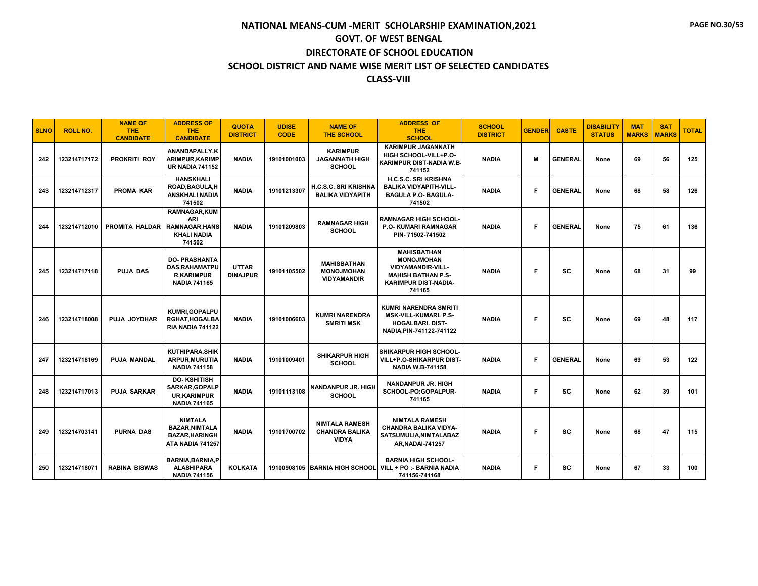| <b>SLNO</b> | <b>ROLL NO.</b> | <b>NAME OF</b><br><b>THE</b><br><b>CANDIDATE</b> | <b>ADDRESS OF</b><br><b>THE</b><br><b>CANDIDATE</b>                                        | <b>QUOTA</b><br><b>DISTRICT</b> | <b>UDISE</b><br><b>CODE</b> | <b>NAME OF</b><br><b>THE SCHOOL</b>                            | <b>ADDRESS OF</b><br>THE.<br><b>SCHOOL</b>                                                                                                | <b>SCHOOL</b><br><b>DISTRICT</b> | <b>GENDER</b> | <b>CASTE</b>   | <b>DISABILITY</b><br><b>STATUS</b> | <b>MAT</b><br><b>MARKS</b> | <b>SAT</b><br><b>MARKS</b> | <b>TOTAL</b> |
|-------------|-----------------|--------------------------------------------------|--------------------------------------------------------------------------------------------|---------------------------------|-----------------------------|----------------------------------------------------------------|-------------------------------------------------------------------------------------------------------------------------------------------|----------------------------------|---------------|----------------|------------------------------------|----------------------------|----------------------------|--------------|
| 242         | 123214717172    | <b>PROKRITI ROY</b>                              | ANANDAPALLY.K<br>ARIMPUR.KARIMP<br><b>UR NADIA 741152</b>                                  | <b>NADIA</b>                    | 19101001003                 | <b>KARIMPUR</b><br><b>JAGANNATH HIGH</b><br><b>SCHOOL</b>      | <b>KARIMPUR JAGANNATH</b><br>HIGH SCHOOL-VILL+P.O-<br>KARIMPUR DIST-NADIA W.B.<br>741152                                                  | <b>NADIA</b>                     | м             | <b>GENERAL</b> | None                               | 69                         | 56                         | 125          |
| 243         | 123214712317    | <b>PROMA KAR</b>                                 | <b>HANSKHALI</b><br>ROAD, BAGULA, H<br><b>ANSKHALI NADIA</b><br>741502                     | <b>NADIA</b>                    | 19101213307                 | <b>H.C.S.C. SRI KRISHNA</b><br><b>BALIKA VIDYAPITH</b>         | <b>H.C.S.C. SRI KRISHNA</b><br><b>BALIKA VIDYAPITH-VILL-</b><br><b>BAGULA P.O- BAGULA-</b><br>741502                                      | <b>NADIA</b>                     | E             | <b>GENERAL</b> | None                               | 68                         | 58                         | 126          |
| 244         | 123214712010    | PROMITA HALDAR                                   | <b>RAMNAGAR, KUM</b><br><b>ARI</b><br><b>RAMNAGAR.HANS</b><br><b>KHALI NADIA</b><br>741502 | <b>NADIA</b>                    | 19101209803                 | <b>RAMNAGAR HIGH</b><br><b>SCHOOL</b>                          | <b>RAMNAGAR HIGH SCHOOL-</b><br><b>P.O. KUMARI RAMNAGAR</b><br>PIN-71502-741502                                                           | <b>NADIA</b>                     | F             | <b>GENERAL</b> | None                               | 75                         | 61                         | 136          |
| 245         | 123214717118    | <b>PUJA DAS</b>                                  | <b>DO-PRASHANTA</b><br><b>DAS, RAHAMATPU</b><br><b>R,KARIMPUR</b><br><b>NADIA 741165</b>   | <b>UTTAR</b><br><b>DINAJPUR</b> | 19101105502                 | <b>MAHISBATHAN</b><br><b>MONOJMOHAN</b><br><b>VIDYAMANDIR</b>  | <b>MAHISBATHAN</b><br><b>MONOJMOHAN</b><br><b>VIDYAMANDIR-VILL-</b><br><b>MAHISH BATHAN P.S-</b><br><b>KARIMPUR DIST-NADIA-</b><br>741165 | <b>NADIA</b>                     | F.            | SC             | None                               | 68                         | 31                         | 99           |
| 246         | 123214718008    | <b>PUJA JOYDHAR</b>                              | KUMRI, GOPALPU<br><b>RGHAT, HOGALBA</b><br><b>RIA NADIA 741122</b>                         | <b>NADIA</b>                    | 19101006603                 | <b>KUMRI NARENDRA</b><br><b>SMRITI MSK</b>                     | KUMRI NARENDRA SMRITI<br><b>MSK-VILL-KUMARI, P.S-</b><br><b>HOGALBARI, DIST-</b><br>NADIA.PIN-741122-741122                               | <b>NADIA</b>                     | F.            | sc             | None                               | 69                         | 48                         | 117          |
| 247         | 123214718169    | <b>PUJA MANDAL</b>                               | <b>KUTHIPARA, SHIK</b><br>ARPUR, MURUTIA<br><b>NADIA 741158</b>                            | <b>NADIA</b>                    | 19101009401                 | <b>SHIKARPUR HIGH</b><br><b>SCHOOL</b>                         | <b>SHIKARPUR HIGH SCHOOL-</b><br>VILL+P.O-SHIKARPUR DIST-<br><b>NADIA W.B-741158</b>                                                      | <b>NADIA</b>                     | F             | <b>GENERAL</b> | None                               | 69                         | 53                         | 122          |
| 248         | 123214717013    | <b>PUJA SARKAR</b>                               | <b>DO-KSHITISH</b><br><b>SARKAR, GOPALP</b><br><b>UR,KARIMPUR</b><br><b>NADIA 741165</b>   | <b>NADIA</b>                    | 19101113108                 | <b>NANDANPUR JR. HIGH</b><br><b>SCHOOL</b>                     | NANDANPUR JR. HIGH<br>SCHOOL-PO:GOPALPUR-<br>741165                                                                                       | <b>NADIA</b>                     | F             | sc             | None                               | 62                         | 39                         | 101          |
| 249         | 123214703141    | <b>PURNA DAS</b>                                 | <b>NIMTALA</b><br><b>BAZAR, NIMTALA</b><br><b>BAZAR, HARINGH</b><br>ATA NADIA 741257       | <b>NADIA</b>                    | 19101700702                 | <b>NIMTALA RAMESH</b><br><b>CHANDRA BALIKA</b><br><b>VIDYA</b> | <b>NIMTALA RAMESH</b><br>CHANDRA BALIKA VIDYA-<br>SATSUMULIA, NIMTALABAZ<br><b>AR, NADAI-741257</b>                                       | <b>NADIA</b>                     | F.            | SC             | None                               | 68                         | 47                         | 115          |
| 250         | 123214718071    | <b>RABINA BISWAS</b>                             | <b>BARNIA, BARNIA, P</b><br><b>ALASHIPARA</b><br><b>NADIA 741156</b>                       | <b>KOLKATA</b>                  |                             | 19100908105 BARNIA HIGH SCHOOL                                 | <b>BARNIA HIGH SCHOOL-</b><br>VILL + PO :- BARNIA NADIA<br>741156-741168                                                                  | <b>NADIA</b>                     | F.            | <b>SC</b>      | None                               | 67                         | 33                         | 100          |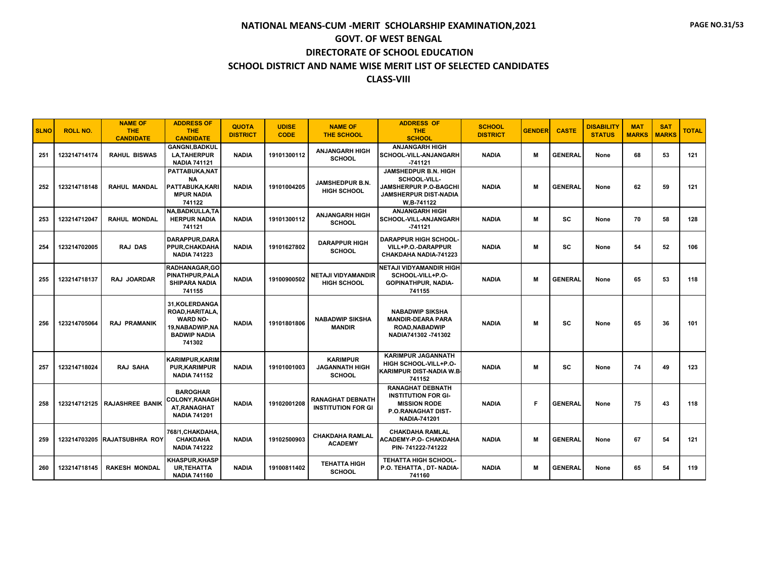| <b>SLNO</b> | <b>ROLL NO.</b> | <b>NAME OF</b><br><b>THE</b><br><b>CANDIDATE</b> | <b>ADDRESS OF</b><br><b>THE</b><br><b>CANDIDATE</b>                                                      | <b>QUOTA</b><br><b>DISTRICT</b> | <b>UDISE</b><br><b>CODE</b> | <b>NAME OF</b><br><b>THE SCHOOL</b>                       | <b>ADDRESS OF</b><br>THE.<br><b>SCHOOL</b>                                                                                       | <b>SCHOOL</b><br><b>DISTRICT</b> | <b>GENDER</b> | <b>CASTE</b>   | <b>DISABILITY</b><br><b>STATUS</b> | <b>MAT</b><br><b>MARKS</b> | <b>SAT</b><br><b>MARKS</b> | <b>TOTAL</b> |
|-------------|-----------------|--------------------------------------------------|----------------------------------------------------------------------------------------------------------|---------------------------------|-----------------------------|-----------------------------------------------------------|----------------------------------------------------------------------------------------------------------------------------------|----------------------------------|---------------|----------------|------------------------------------|----------------------------|----------------------------|--------------|
| 251         | 123214714174    | <b>RAHUL BISWAS</b>                              | <b>GANGNI, BADKUL</b><br><b>LA, TAHERPUR</b><br><b>NADIA 741121</b>                                      | <b>NADIA</b>                    | 19101300112                 | <b>ANJANGARH HIGH</b><br><b>SCHOOL</b>                    | <b>ANJANGARH HIGH</b><br>SCHOOL-VILL-ANJANGARH<br>$-741121$                                                                      | <b>NADIA</b>                     | M             | <b>GENERAL</b> | None                               | 68                         | 53                         | 121          |
| 252         | 123214718148    | <b>RAHUL MANDAL</b>                              | PATTABUKA, NAT<br><b>NA</b><br>PATTABUKA, KARI<br><b>MPUR NADIA</b><br>741122                            | <b>NADIA</b>                    | 19101004205                 | <b>JAMSHEDPUR B.N.</b><br><b>HIGH SCHOOL</b>              | JAMSHEDPUR B.N. HIGH<br>SCHOOL-VILL-<br><b>JAMSHERPUR P.O-BAGCHI</b><br>JAMSHERPUR DIST-NADIA<br>W.B-741122                      | <b>NADIA</b>                     | M             | <b>GENERAL</b> | None                               | 62                         | 59                         | 121          |
| 253         | 123214712047    | <b>RAHUL MONDAL</b>                              | NA, BADKULLA, TA<br><b>HERPUR NADIA</b><br>741121                                                        | <b>NADIA</b>                    | 19101300112                 | <b>ANJANGARH HIGH</b><br><b>SCHOOL</b>                    | <b>ANJANGARH HIGH</b><br>SCHOOL-VILL-ANJANGARH<br>$-741121$                                                                      | <b>NADIA</b>                     | M             | <b>SC</b>      | None                               | 70                         | 58                         | 128          |
| 254         | 123214702005    | <b>RAJ DAS</b>                                   | DARAPPUR, DARA<br>PPUR, CHAKDAHA<br><b>NADIA 741223</b>                                                  | <b>NADIA</b>                    | 19101627802                 | <b>DARAPPUR HIGH</b><br><b>SCHOOL</b>                     | <b>DARAPPUR HIGH SCHOOL</b><br>VILL+P.O.-DARAPPUR<br>CHAKDAHA NADIA-741223                                                       | <b>NADIA</b>                     | M             | sc             | None                               | 54                         | 52                         | 106          |
| 255         | 123214718137    | RAJ JOARDAR                                      | RADHANAGAR.GO<br>PINATHPUR, PALA<br><b>SHIPARA NADIA</b><br>741155                                       | <b>NADIA</b>                    | 19100900502                 | <b>NETAJI VIDYAMANDIR</b><br><b>HIGH SCHOOL</b>           | <b>NETAJI VIDYAMANDIR HIGH</b><br>SCHOOL-VILL+P.O-<br>GOPINATHPUR, NADIA-<br>741155                                              | <b>NADIA</b>                     | M             | <b>GENERAL</b> | None                               | 65                         | 53                         | 118          |
| 256         | 123214705064    | <b>RAJ PRAMANIK</b>                              | 31.KOLERDANGA<br>ROAD, HARITALA,<br><b>WARD NO-</b><br>19, NABADWIP, NA<br><b>BADWIP NADIA</b><br>741302 | <b>NADIA</b>                    | 19101801806                 | <b>NABADWIP SIKSHA</b><br><b>MANDIR</b>                   | <b>NABADWIP SIKSHA</b><br><b>MANDIR-DEARA PARA</b><br>ROAD, NABADWIP<br>NADIA741302-741302                                       | <b>NADIA</b>                     | M             | SC             | None                               | 65                         | 36                         | 101          |
| 257         | 123214718024    | <b>RAJ SAHA</b>                                  | <b>KARIMPUR.KARIM</b><br>PUR,KARIMPUR<br><b>NADIA 741152</b>                                             | <b>NADIA</b>                    | 19101001003                 | <b>KARIMPUR</b><br><b>JAGANNATH HIGH</b><br><b>SCHOOL</b> | <b>KARIMPUR JAGANNATH</b><br>HIGH SCHOOL-VILL+P.O-<br>KARIMPUR DIST-NADIA W.B.<br>741152                                         | <b>NADIA</b>                     | M             | <b>SC</b>      | None                               | 74                         | 49                         | 123          |
| 258         |                 | <b>123214712125 RAJASHREE BANIK</b>              | <b>BAROGHAR</b><br><b>COLONY.RANAGHI</b><br>AT, RANAGHAT<br><b>NADIA 741201</b>                          | <b>NADIA</b>                    | 19102001208                 | <b>RANAGHAT DEBNATH</b><br><b>INSTITUTION FOR GI</b>      | <b>RANAGHAT DEBNATH</b><br><b>INSTITUTION FOR GI-</b><br><b>MISSION RODE</b><br><b>P.O.RANAGHAT DIST-</b><br><b>NADIA-741201</b> | <b>NADIA</b>                     | F             | <b>GENERAL</b> | None                               | 75                         | 43                         | 118          |
| 259         |                 | 123214703205 RAJATSUBHRA ROY                     | 768/1. CHAKDAHA.<br><b>CHAKDAHA</b><br><b>NADIA 741222</b>                                               | <b>NADIA</b>                    | 19102500903                 | <b>CHAKDAHA RAMLAL</b><br><b>ACADEMY</b>                  | <b>CHAKDAHA RAMLAL</b><br><b>ACADEMY-P.O- CHAKDAHA</b><br>PIN-741222-741222                                                      | <b>NADIA</b>                     | M             | <b>GENERAL</b> | None                               | 67                         | 54                         | 121          |
| 260         | 123214718145    | <b>RAKESH MONDAL</b>                             | <b>KHASPUR, KHASP</b><br>UR,TEHATTA<br><b>NADIA 741160</b>                                               | <b>NADIA</b>                    | 19100811402                 | <b>TEHATTA HIGH</b><br><b>SCHOOL</b>                      | <b>TEHATTA HIGH SCHOOL-</b><br>P.O. TEHATTA, DT-NADIA-<br>741160                                                                 | <b>NADIA</b>                     | M             | <b>GENERAL</b> | None                               | 65                         | 54                         | 119          |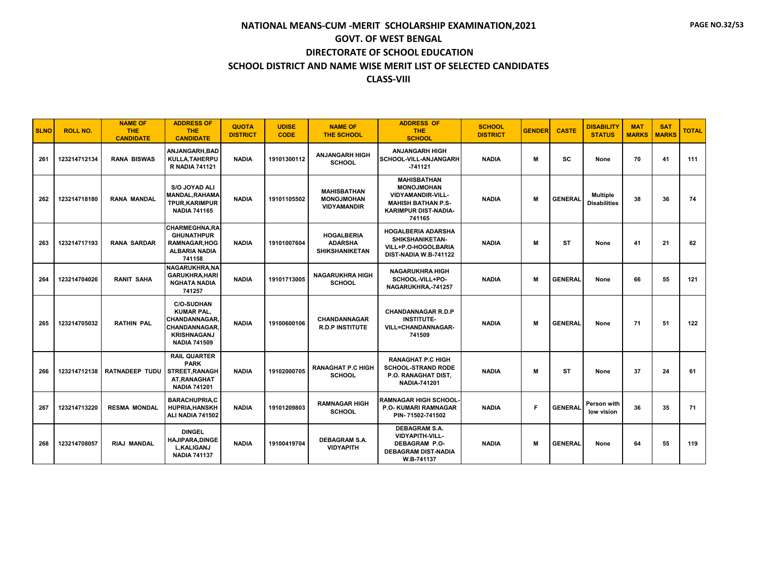| <b>SLNO</b> | <b>ROLL NO.</b> | <b>NAME OF</b><br><b>THE</b><br><b>CANDIDATE</b> | <b>ADDRESS OF</b><br><b>THE</b><br><b>CANDIDATE</b>                                                                                | <b>QUOTA</b><br><b>DISTRICT</b> | <b>UDISE</b><br><b>CODE</b> | <b>NAME OF</b><br><b>THE SCHOOL</b>                           | <b>ADDRESS OF</b><br><b>THE</b><br><b>SCHOOL</b>                                                                                          | <b>SCHOOL</b><br><b>DISTRICT</b> | <b>GENDER</b> | <b>CASTE</b>   | <b>DISABILITY</b><br><b>STATUS</b>     | <b>MAT</b><br><b>MARKS</b> | <b>SAT</b><br><b>MARKS</b> | <b>TOTAL</b> |
|-------------|-----------------|--------------------------------------------------|------------------------------------------------------------------------------------------------------------------------------------|---------------------------------|-----------------------------|---------------------------------------------------------------|-------------------------------------------------------------------------------------------------------------------------------------------|----------------------------------|---------------|----------------|----------------------------------------|----------------------------|----------------------------|--------------|
| 261         | 123214712134    | <b>RANA BISWAS</b>                               | ANJANGARH, BAD<br>KULLA, TAHERPU<br><b>R NADIA 741121</b>                                                                          | <b>NADIA</b>                    | 19101300112                 | <b>ANJANGARH HIGH</b><br><b>SCHOOL</b>                        | <b>ANJANGARH HIGH</b><br>SCHOOL-VILL-ANJANGARH<br>$-741121$                                                                               | <b>NADIA</b>                     | м             | SC             | None                                   | 70                         | 41                         | 111          |
| 262         | 123214718180    | <b>RANA MANDAL</b>                               | S/O JOYAD ALI<br><b>MANDAL, RAHAMA</b><br><b>TPUR, KARIMPUR</b><br><b>NADIA 741165</b>                                             | <b>NADIA</b>                    | 19101105502                 | <b>MAHISBATHAN</b><br><b>MONOJMOHAN</b><br><b>VIDYAMANDIR</b> | <b>MAHISBATHAN</b><br><b>MONOJMOHAN</b><br><b>VIDYAMANDIR-VILL-</b><br><b>MAHISH BATHAN P.S-</b><br><b>KARIMPUR DIST-NADIA-</b><br>741165 | <b>NADIA</b>                     | м             | <b>GENERAL</b> | <b>Multiple</b><br><b>Disabilities</b> | 38                         | 36                         | 74           |
| 263         | 123214717193    | <b>RANA SARDAR</b>                               | <b>CHARMEGHNA,RA</b><br><b>GHUNATHPUR</b><br><b>RAMNAGAR, HOG</b><br><b>ALBARIA NADIA</b><br>741158                                | <b>NADIA</b>                    | 19101007604                 | <b>HOGALBERIA</b><br><b>ADARSHA</b><br><b>SHIKSHANIKETAN</b>  | <b>HOGALBERIA ADARSHA</b><br><b>SHIKSHANIKETAN-</b><br>VILL+P.O-HOGOLBARIA<br>DIST-NADIA W.B-741122                                       | <b>NADIA</b>                     | м             | <b>ST</b>      | None                                   | 41                         | 21                         | 62           |
| 264         | 123214704026    | <b>RANIT SAHA</b>                                | NAGARUKHRA.NA<br><b>GARUKHRA, HARI</b><br><b>NGHATA NADIA</b><br>741257                                                            | <b>NADIA</b>                    | 19101713005                 | <b>NAGARUKHRA HIGH</b><br><b>SCHOOL</b>                       | <b>NAGARUKHRA HIGH</b><br>SCHOOL-VILL+PO-<br>NAGARUKHRA,-741257                                                                           | <b>NADIA</b>                     | М             | <b>GENERAL</b> | None                                   | 66                         | 55                         | 121          |
| 265         | 123214705032    | <b>RATHIN PAL</b>                                | <b>C/O-SUDHAN</b><br><b>KUMAR PAL.</b><br><b>CHANDANNAGAR.</b><br><b>CHANDANNAGAR</b><br><b>KRISHNAGANJ</b><br><b>NADIA 741509</b> | <b>NADIA</b>                    | 19100600106                 | <b>CHANDANNAGAR</b><br><b>R.D.P INSTITUTE</b>                 | <b>CHANDANNAGAR R.D.P</b><br><b>INSTITUTE-</b><br><b>VILL=CHANDANNAGAR-</b><br>741509                                                     | <b>NADIA</b>                     | м             | <b>GENERAL</b> | None                                   | 71                         | 51                         | 122          |
| 266         | 123214712138    | RATNADEEP TUDU                                   | <b>RAIL QUARTER</b><br><b>PARK</b><br><b>STREET.RANAGH</b><br>AT.RANAGHAT<br><b>NADIA 741201</b>                                   | <b>NADIA</b>                    | 19102000705                 | <b>RANAGHAT P.C HIGH</b><br><b>SCHOOL</b>                     | <b>RANAGHAT P.C HIGH</b><br><b>SCHOOL-STRAND RODE</b><br>P.O. RANAGHAT DIST,<br><b>NADIA-741201</b>                                       | <b>NADIA</b>                     | м             | ST             | None                                   | 37                         | 24                         | 61           |
| 267         | 123214713220    | <b>RESMA MONDAL</b>                              | <b>BARACHUPRIA.C</b><br><b>HUPRIA, HANSKH</b><br>ALI NADIA 741502                                                                  | <b>NADIA</b>                    | 19101209803                 | <b>RAMNAGAR HIGH</b><br><b>SCHOOL</b>                         | <b>RAMNAGAR HIGH SCHOOL-</b><br><b>P.O. KUMARI RAMNAGAR</b><br>PIN-71502-741502                                                           | <b>NADIA</b>                     | E             | <b>GENERAL</b> | Person with<br>low vision              | 36                         | 35                         | 71           |
| 268         | 123214708057    | <b>RIAJ MANDAL</b>                               | <b>DINGEL</b><br><b>HAJIPARA, DINGE</b><br><b>L,KALIGANJ</b><br><b>NADIA 741137</b>                                                | <b>NADIA</b>                    | 19100419704                 | <b>DEBAGRAM S.A.</b><br><b>VIDYAPITH</b>                      | <b>DEBAGRAM S.A.</b><br>VIDYAPITH-VILL-<br><b>DEBAGRAM P.O-</b><br><b>DEBAGRAM DIST-NADIA</b><br>W.B-741137                               | <b>NADIA</b>                     | м             | <b>GENERAL</b> | None                                   | 64                         | 55                         | 119          |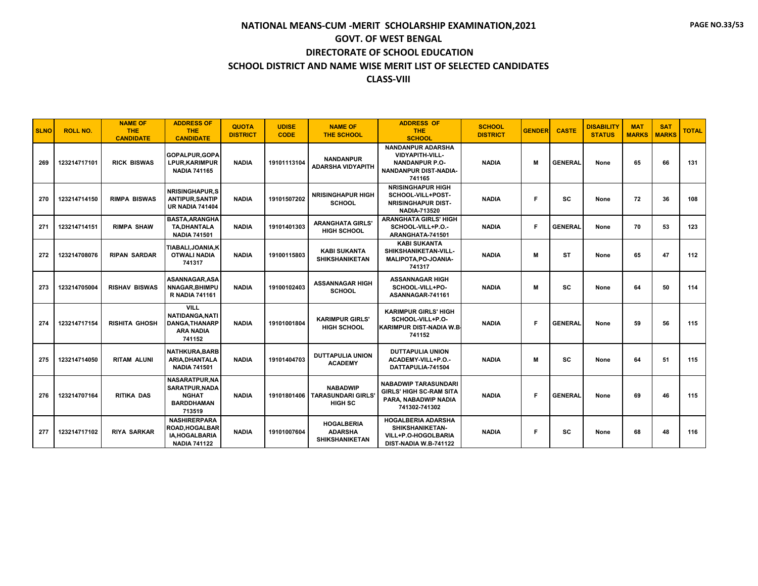| <b>SLNO</b> | <b>ROLL NO.</b> | <b>NAME OF</b><br><b>THE</b><br><b>CANDIDATE</b> | <b>ADDRESS OF</b><br><b>THE</b><br><b>CANDIDATE</b>                                    | <b>QUOTA</b><br><b>DISTRICT</b> | <b>UDISE</b><br><b>CODE</b> | <b>NAME OF</b><br><b>THE SCHOOL</b>                          | <b>ADDRESS OF</b><br><b>THE</b><br><b>SCHOOL</b>                                                        | <b>SCHOOL</b><br><b>DISTRICT</b> | <b>GENDER</b> | <b>CASTE</b>   | <b>DISABILITY</b><br><b>STATUS</b> | <b>MAT</b><br><b>MARKS</b> | <b>SAT</b><br><b>MARKS</b> | <b>TOTAL</b> |
|-------------|-----------------|--------------------------------------------------|----------------------------------------------------------------------------------------|---------------------------------|-----------------------------|--------------------------------------------------------------|---------------------------------------------------------------------------------------------------------|----------------------------------|---------------|----------------|------------------------------------|----------------------------|----------------------------|--------------|
| 269         | 123214717101    | <b>RICK BISWAS</b>                               | GOPALPUR.GOPA<br><b>LPUR.KARIMPUR</b><br><b>NADIA 741165</b>                           | <b>NADIA</b>                    | 19101113104                 | <b>NANDANPUR</b><br><b>ADARSHA VIDYAPITH</b>                 | <b>NANDANPUR ADARSHA</b><br>VIDYAPITH-VILL-<br><b>NANDANPUR P.O-</b><br>NANDANPUR DIST-NADIA-<br>741165 | <b>NADIA</b>                     | M             | <b>GENERAL</b> | None                               | 65                         | 66                         | 131          |
| 270         | 123214714150    | <b>RIMPA BISWAS</b>                              | <b>NRISINGHAPUR.S</b><br><b>ANTIPUR, SANTIP</b><br><b>UR NADIA 741404</b>              | <b>NADIA</b>                    | 19101507202                 | <b>NRISINGHAPUR HIGH</b><br><b>SCHOOL</b>                    | <b>NRISINGHAPUR HIGH</b><br>SCHOOL-VILL+POST-<br><b>NRISINGHAPUR DIST-</b><br><b>NADIA-713520</b>       | <b>NADIA</b>                     | F             | <b>SC</b>      | None                               | 72                         | 36                         | 108          |
| 271         | 123214714151    | <b>RIMPA SHAW</b>                                | <b>BASTA.ARANGHA</b><br>TA, DHANTALA<br><b>NADIA 741501</b>                            | <b>NADIA</b>                    | 19101401303                 | <b>ARANGHATA GIRLS'</b><br><b>HIGH SCHOOL</b>                | <b>ARANGHATA GIRLS' HIGH</b><br>SCHOOL-VILL+P.O.-<br>ARANGHATA-741501                                   | <b>NADIA</b>                     | F             | <b>GENERAL</b> | None                               | 70                         | 53                         | 123          |
| 272         | 123214708076    | <b>RIPAN SARDAR</b>                              | TIABALI, JOANIA, K<br><b>OTWALI NADIA</b><br>741317                                    | <b>NADIA</b>                    | 19100115803                 | <b>KABI SUKANTA</b><br><b>SHIKSHANIKETAN</b>                 | <b>KABI SUKANTA</b><br>SHIKSHANIKETAN-VILL-<br>MALIPOTA, PO-JOANIA-<br>741317                           | <b>NADIA</b>                     | M             | <b>ST</b>      | None                               | 65                         | 47                         | 112          |
| 273         | 123214705004    | <b>RISHAV BISWAS</b>                             | ASANNAGAR, ASA<br>NNAGAR, BHIMPU<br><b>R NADIA 741161</b>                              | <b>NADIA</b>                    | 19100102403                 | <b>ASSANNAGAR HIGH</b><br><b>SCHOOL</b>                      | <b>ASSANNAGAR HIGH</b><br>SCHOOL-VILL+PO-<br>ASANNAGAR-741161                                           | <b>NADIA</b>                     | M             | <b>SC</b>      | None                               | 64                         | 50                         | 114          |
| 274         | 123214717154    | <b>RISHITA GHOSH</b>                             | <b>VILL</b><br>NATIDANGA, NATI<br>DANGA, THANARP<br><b>ARA NADIA</b><br>741152         | <b>NADIA</b>                    | 19101001804                 | <b>KARIMPUR GIRLS'</b><br><b>HIGH SCHOOL</b>                 | <b>KARIMPUR GIRLS' HIGH</b><br>SCHOOL-VILL+P.O-<br>KARIMPUR DIST-NADIA W.B.<br>741152                   | <b>NADIA</b>                     | F             | <b>GENERAL</b> | None                               | 59                         | 56                         | 115          |
| 275         | 123214714050    | <b>RITAM ALUNI</b>                               | <b>NATHKURA.BARB</b><br><b>ARIA, DHANTALA</b><br><b>NADIA 741501</b>                   | <b>NADIA</b>                    | 19101404703                 | <b>DUTTAPULIA UNION</b><br><b>ACADEMY</b>                    | <b>DUTTAPULIA UNION</b><br>ACADEMY-VILL+P.O.-<br>DATTAPULIA-741504                                      | <b>NADIA</b>                     | М             | <b>SC</b>      | None                               | 64                         | 51                         | 115          |
| 276         | 123214707164    | <b>RITIKA DAS</b>                                | NASARATPUR, NA<br><b>SARATPUR, NADA</b><br><b>NGHAT</b><br><b>BARDDHAMAN</b><br>713519 | <b>NADIA</b>                    | 19101801406                 | <b>NABADWIP</b><br>TARASUNDARI GIRLS'<br><b>HIGH SC</b>      | <b>NABADWIP TARASUNDARI</b><br><b>GIRLS' HIGH SC-RAM SITA</b><br>PARA, NABADWIP NADIA<br>741302-741302  | <b>NADIA</b>                     | F             | <b>GENERAL</b> | None                               | 69                         | 46                         | 115          |
| 277         | 123214717102    | <b>RIYA SARKAR</b>                               | <b>NASHIRERPARA</b><br><b>ROAD, HOGALBAR</b><br>IA, HOGAL BARIA<br><b>NADIA 741122</b> | <b>NADIA</b>                    | 19101007604                 | <b>HOGALBERIA</b><br><b>ADARSHA</b><br><b>SHIKSHANIKETAN</b> | <b>HOGALBERIA ADARSHA</b><br><b>SHIKSHANIKETAN-</b><br>VILL+P.O-HOGOLBARIA<br>DIST-NADIA W.B-741122     | <b>NADIA</b>                     | F             | <b>SC</b>      | None                               | 68                         | 48                         | 116          |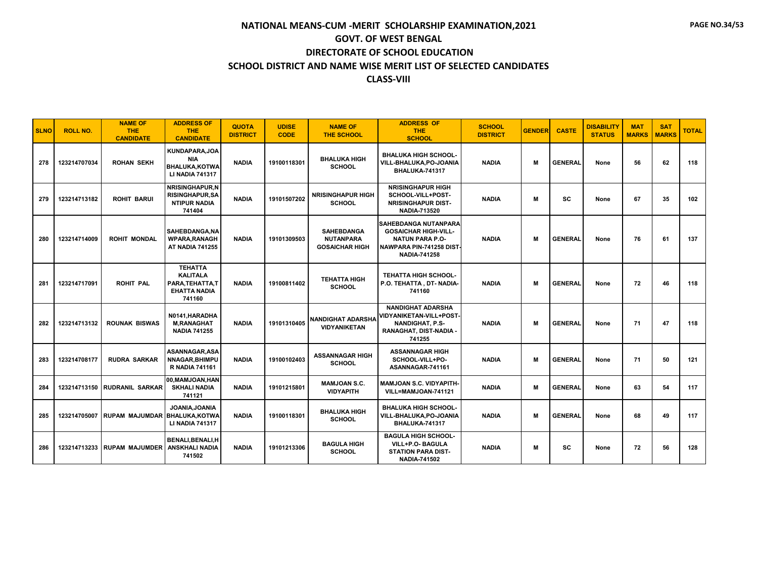| <b>SLNO</b> | <b>ROLL NO.</b> | <b>NAME OF</b><br>THE.<br><b>CANDIDATE</b> | <b>ADDRESS OF</b><br><b>THE</b><br><b>CANDIDATE</b>                                    | <b>QUOTA</b><br><b>DISTRICT</b> | <b>UDISE</b><br><b>CODE</b> | <b>NAME OF</b><br><b>THE SCHOOL</b>                            | <b>ADDRESS OF</b><br><b>THE</b><br><b>SCHOOL</b>                                                                                 | <b>SCHOOL</b><br><b>DISTRICT</b> | <b>GENDER</b> | <b>CASTE</b>   | <b>DISABILITY</b><br><b>STATUS</b> | <b>MAT</b><br><b>MARKS</b> | <b>SAT</b><br><b>MARKS</b> | <b>TOTAL</b> |
|-------------|-----------------|--------------------------------------------|----------------------------------------------------------------------------------------|---------------------------------|-----------------------------|----------------------------------------------------------------|----------------------------------------------------------------------------------------------------------------------------------|----------------------------------|---------------|----------------|------------------------------------|----------------------------|----------------------------|--------------|
| 278         | 123214707034    | <b>ROHAN SEKH</b>                          | KUNDAPARA, JOA<br><b>NIA</b><br><b>BHALUKA, KOTWA</b><br><b>LI NADIA 741317</b>        | <b>NADIA</b>                    | 19100118301                 | <b>BHALUKA HIGH</b><br><b>SCHOOL</b>                           | <b>BHALUKA HIGH SCHOOL-</b><br>VILL-BHALUKA,PO-JOANIA<br>BHALUKA-741317                                                          | <b>NADIA</b>                     | м             | <b>GENERAL</b> | None                               | 56                         | 62                         | 118          |
| 279         | 123214713182    | <b>ROHIT BARUI</b>                         | <b>NRISINGHAPUR.N</b><br><b>RISINGHAPUR, SA</b><br><b>NTIPUR NADIA</b><br>741404       | <b>NADIA</b>                    | 19101507202                 | <b>NRISINGHAPUR HIGH</b><br><b>SCHOOL</b>                      | <b>NRISINGHAPUR HIGH</b><br>SCHOOL-VILL+POST-<br><b>NRISINGHAPUR DIST-</b><br><b>NADIA-713520</b>                                | <b>NADIA</b>                     | M             | <b>SC</b>      | None                               | 67                         | 35                         | 102          |
| 280         | 123214714009    | <b>ROHIT MONDAL</b>                        | <b>SAHEBDANGA.NA</b><br><b>WPARA.RANAGH</b><br><b>AT NADIA 741255</b>                  | <b>NADIA</b>                    | 19101309503                 | <b>SAHEBDANGA</b><br><b>NUTANPARA</b><br><b>GOSAICHAR HIGH</b> | SAHEBDANGA NUTANPARA<br><b>GOSAICHAR HIGH-VILL-</b><br><b>NATUN PARA P.O-</b><br>NAWPARA PIN-741258 DIST-<br><b>NADIA-741258</b> | <b>NADIA</b>                     | M             | <b>GENERAL</b> | None                               | 76                         | 61                         | 137          |
| 281         | 123214717091    | <b>ROHIT PAL</b>                           | <b>TEHATTA</b><br><b>KALITALA</b><br>PARA, TEHATTA, T<br><b>EHATTA NADIA</b><br>741160 | <b>NADIA</b>                    | 19100811402                 | <b>TEHATTA HIGH</b><br><b>SCHOOL</b>                           | <b>TEHATTA HIGH SCHOOL-</b><br>P.O. TEHATTA, DT-NADIA-<br>741160                                                                 | <b>NADIA</b>                     | м             | <b>GENERAL</b> | None                               | 72                         | 46                         | 118          |
| 282         | 123214713132    | <b>ROUNAK BISWAS</b>                       | N0141, HARADHA<br><b>M,RANAGHAT</b><br><b>NADIA 741255</b>                             | <b>NADIA</b>                    | 19101310405                 | <b>NANDIGHAT ADARSHA</b><br><b>VIDYANIKETAN</b>                | <b>NANDIGHAT ADARSHA</b><br>VIDYANIKETAN-VILL+POST-<br><b>NANDIGHAT, P.S-</b><br>RANAGHAT, DIST-NADIA -<br>741255                | <b>NADIA</b>                     | M             | <b>GENERAL</b> | None                               | 71                         | 47                         | 118          |
| 283         | 123214708177    | <b>RUDRA SARKAR</b>                        | ASANNAGAR.ASA<br>NNAGAR, BHIMPU<br><b>R NADIA 741161</b>                               | <b>NADIA</b>                    | 19100102403                 | <b>ASSANNAGAR HIGH</b><br><b>SCHOOL</b>                        | <b>ASSANNAGAR HIGH</b><br>SCHOOL-VILL+PO-<br>ASANNAGAR-741161                                                                    | <b>NADIA</b>                     | M             | <b>GENERAL</b> | None                               | 71                         | 50                         | 121          |
| 284         | 123214713150    | <b>RUDRANIL SARKAR</b>                     | 00.MAMJOAN.HAN<br><b>SKHALI NADIA</b><br>741121                                        | <b>NADIA</b>                    | 19101215801                 | <b>MAMJOAN S.C.</b><br><b>VIDYAPITH</b>                        | <b>MAMJOAN S.C. VIDYAPITH-</b><br>VILL=MAMJOAN-741121                                                                            | <b>NADIA</b>                     | M             | <b>GENERAL</b> | None                               | 63                         | 54                         | 117          |
| 285         | 123214705007    | RUPAM_MAJUMDAR   BHALUKA.KOTWA             | JOANIA, JOANIA<br><b>LI NADIA 741317</b>                                               | <b>NADIA</b>                    | 19100118301                 | <b>BHALUKA HIGH</b><br><b>SCHOOL</b>                           | <b>BHALUKA HIGH SCHOOL-</b><br>VILL-BHALUKA.PO-JOANIA<br>BHALUKA-741317                                                          | <b>NADIA</b>                     | M             | <b>GENERAL</b> | None                               | 68                         | 49                         | 117          |
| 286         | 123214713233    | <b>RUPAM MAJUMDER</b>                      | BENALI, BENALI, H<br><b>ANSKHALI NADIA</b><br>741502                                   | <b>NADIA</b>                    | 19101213306                 | <b>BAGULA HIGH</b><br><b>SCHOOL</b>                            | <b>BAGULA HIGH SCHOOL-</b><br>VILL+P.O- BAGULA<br><b>STATION PARA DIST-</b><br><b>NADIA-741502</b>                               | <b>NADIA</b>                     | M             | <b>SC</b>      | None                               | 72                         | 56                         | 128          |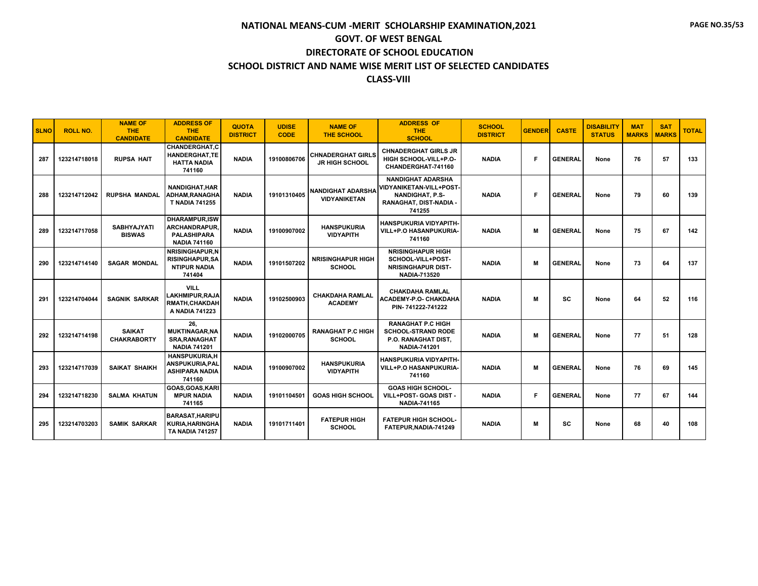| <b>SLNO</b> | <b>ROLL NO.</b> | <b>NAME OF</b><br><b>THE</b><br><b>CANDIDATE</b> | <b>ADDRESS OF</b><br><b>THE</b><br><b>CANDIDATE</b>                                       | <b>QUOTA</b><br><b>DISTRICT</b> | <b>UDISE</b><br><b>CODE</b> | <b>NAME OF</b><br><b>THE SCHOOL</b>               | <b>ADDRESS OF</b><br><b>THE</b><br><b>SCHOOL</b>                                                                         | <b>SCHOOL</b><br><b>DISTRICT</b> | <b>GENDER</b> | <b>CASTE</b>   | <b>DISABILITY</b><br><b>STATUS</b> | <b>MAT</b><br><b>MARKS</b> | <b>SAT</b><br><b>MARKS</b> | <b>TOTAL</b> |
|-------------|-----------------|--------------------------------------------------|-------------------------------------------------------------------------------------------|---------------------------------|-----------------------------|---------------------------------------------------|--------------------------------------------------------------------------------------------------------------------------|----------------------------------|---------------|----------------|------------------------------------|----------------------------|----------------------------|--------------|
| 287         | 123214718018    | <b>RUPSA HAIT</b>                                | <b>CHANDERGHAT.C</b><br><b>HANDERGHAT,TE</b><br><b>HATTA NADIA</b><br>741160              | <b>NADIA</b>                    | 19100806706                 | <b>CHNADERGHAT GIRLS</b><br><b>JR HIGH SCHOOL</b> | <b>CHNADERGHAT GIRLS JR</b><br>HIGH SCHOOL-VILL+P.O-<br>CHANDERGHAT-741160                                               | <b>NADIA</b>                     | F             | <b>GENERAL</b> | None                               | 76                         | 57                         | 133          |
| 288         | 123214712042    | <b>RUPSHA MANDAL</b>                             | <b>NANDIGHAT, HAR</b><br><b>ADHAM.RANAGHA</b><br><b>T NADIA 741255</b>                    | <b>NADIA</b>                    | 19101310405                 | <b>NANDIGHAT ADARSHA</b><br><b>VIDYANIKETAN</b>   | <b>NANDIGHAT ADARSHA</b><br><b>VIDYANIKETAN-VILL+POST-</b><br><b>NANDIGHAT, P.S-</b><br>RANAGHAT, DIST-NADIA -<br>741255 | <b>NADIA</b>                     | Е             | <b>GENERAL</b> | None                               | 79                         | 60                         | 139          |
| 289         | 123214717058    | <b>SABHYAJYATI</b><br><b>BISWAS</b>              | <b>DHARAMPUR.ISW</b><br><b>ARCHANDRAPUR.</b><br><b>PALASHIPARA</b><br><b>NADIA 741160</b> | <b>NADIA</b>                    | 19100907002                 | <b>HANSPUKURIA</b><br><b>VIDYAPITH</b>            | <b>HANSPUKURIA VIDYAPITH-</b><br>VILL+P.O HASANPUKURIA-<br>741160                                                        | <b>NADIA</b>                     | M             | <b>GENERAL</b> | None                               | 75                         | 67                         | 142          |
| 290         | 123214714140    | <b>SAGAR MONDAL</b>                              | NRISINGHAPUR.N<br><b>RISINGHAPUR, SA</b><br><b>NTIPUR NADIA</b><br>741404                 | <b>NADIA</b>                    | 19101507202                 | <b>NRISINGHAPUR HIGH</b><br><b>SCHOOL</b>         | <b>NRISINGHAPUR HIGH</b><br>SCHOOL-VILL+POST-<br><b>NRISINGHAPUR DIST-</b><br><b>NADIA-713520</b>                        | <b>NADIA</b>                     | м             | <b>GENERAL</b> | None                               | 73                         | 64                         | 137          |
| 291         | 123214704044    | <b>SAGNIK SARKAR</b>                             | <b>VILL</b><br>LAKHMIPUR, RAJA<br><b>RMATH, CHAKDAH</b><br>A NADIA 741223                 | <b>NADIA</b>                    | 19102500903                 | <b>CHAKDAHA RAMLAL</b><br><b>ACADEMY</b>          | <b>CHAKDAHA RAMLAL</b><br><b>ACADEMY-P.O- CHAKDAHA</b><br>PIN-741222-741222                                              | <b>NADIA</b>                     | м             | <b>SC</b>      | None                               | 64                         | 52                         | 116          |
| 292         | 123214714198    | <b>SAIKAT</b><br><b>CHAKRABORTY</b>              | 26.<br><b>MUKTINAGAR, NA</b><br><b>SRA.RANAGHAT</b><br><b>NADIA 741201</b>                | <b>NADIA</b>                    | 19102000705                 | <b>RANAGHAT P.C HIGH</b><br><b>SCHOOL</b>         | <b>RANAGHAT P.C HIGH</b><br><b>SCHOOL-STRAND RODE</b><br><b>P.O. RANAGHAT DIST.</b><br><b>NADIA-741201</b>               | <b>NADIA</b>                     | м             | <b>GENERAL</b> | None                               | 77                         | 51                         | 128          |
| 293         | 123214717039    | <b>SAIKAT SHAIKH</b>                             | <b>HANSPUKURIA.H</b><br>ANSPUKURIA, PAL<br><b>ASHIPARA NADIA</b><br>741160                | <b>NADIA</b>                    | 19100907002                 | <b>HANSPUKURIA</b><br><b>VIDYAPITH</b>            | <b>HANSPUKURIA VIDYAPITH-</b><br>VILL+P.O HASANPUKURIA-<br>741160                                                        | <b>NADIA</b>                     | м             | <b>GENERAL</b> | None                               | 76                         | 69                         | 145          |
| 294         | 123214718230    | <b>SALMA KHATUN</b>                              | GOAS.GOAS.KARI<br><b>MPUR NADIA</b><br>741165                                             | <b>NADIA</b>                    | 19101104501                 | <b>GOAS HIGH SCHOOL</b>                           | <b>GOAS HIGH SCHOOL-</b><br>VILL+POST- GOAS DIST -<br><b>NADIA-741165</b>                                                | <b>NADIA</b>                     | F             | <b>GENERAL</b> | None                               | 77                         | 67                         | 144          |
| 295         | 123214703203    | <b>SAMIK SARKAR</b>                              | <b>BARASAT, HARIPU</b><br><b>KURIA, HARINGHA</b><br><b>TA NADIA 741257</b>                | <b>NADIA</b>                    | 19101711401                 | <b>FATEPUR HIGH</b><br><b>SCHOOL</b>              | <b>FATEPUR HIGH SCHOOL-</b><br>FATEPUR, NADIA-741249                                                                     | <b>NADIA</b>                     | м             | <b>SC</b>      | None                               | 68                         | 40                         | 108          |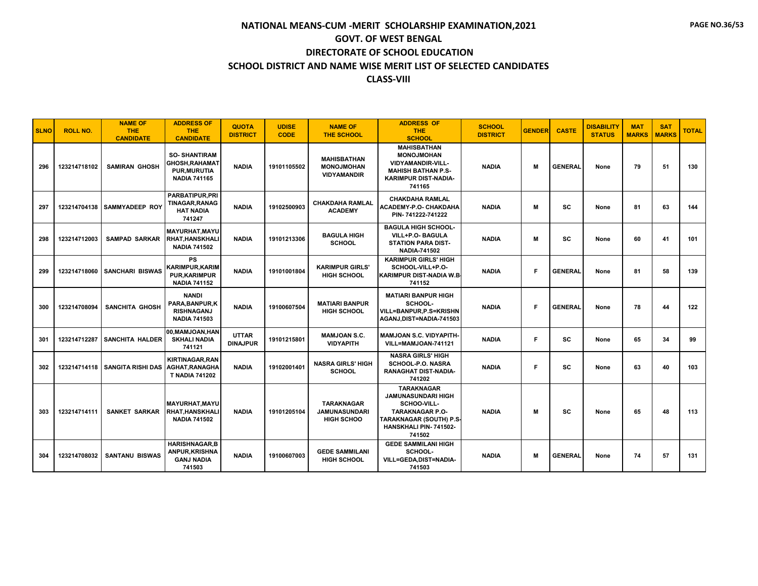| <b>SLNO</b> | <b>ROLL NO.</b> | <b>NAME OF</b><br>THE.<br><b>CANDIDATE</b> | <b>ADDRESS OF</b><br><b>THE</b><br><b>CANDIDATE</b>                                 | <b>QUOTA</b><br><b>DISTRICT</b> | <b>UDISE</b><br><b>CODE</b> | <b>NAME OF</b><br><b>THE SCHOOL</b>                            | <b>ADDRESS OF</b><br>THE.<br><b>SCHOOL</b>                                                                                                            | <b>SCHOOL</b><br><b>DISTRICT</b> | <b>GENDER</b> | <b>CASTE</b>   | <b>DISABILITY</b><br><b>STATUS</b> | <b>MAT</b><br><b>MARKS</b> | <b>SAT</b><br><b>MARKS</b> | <b>TOTAL</b> |
|-------------|-----------------|--------------------------------------------|-------------------------------------------------------------------------------------|---------------------------------|-----------------------------|----------------------------------------------------------------|-------------------------------------------------------------------------------------------------------------------------------------------------------|----------------------------------|---------------|----------------|------------------------------------|----------------------------|----------------------------|--------------|
| 296         | 123214718102    | <b>SAMIRAN GHOSH</b>                       | <b>SO-SHANTIRAM</b><br>GHOSH, RAHAMAT<br><b>PUR, MURUTIA</b><br><b>NADIA 741165</b> | <b>NADIA</b>                    | 19101105502                 | <b>MAHISBATHAN</b><br><b>MONOJMOHAN</b><br><b>VIDYAMANDIR</b>  | <b>MAHISBATHAN</b><br><b>MONOJMOHAN</b><br><b>VIDYAMANDIR-VILL-</b><br><b>MAHISH BATHAN P.S-</b><br><b>KARIMPUR DIST-NADIA-</b><br>741165             | <b>NADIA</b>                     | м             | <b>GENERAL</b> | None                               | 79                         | 51                         | 130          |
| 297         |                 | 123214704138 SAMMYADEEP ROY                | <b>PARBATIPUR, PRI</b><br><b>TINAGAR, RANAG</b><br><b>HAT NADIA</b><br>741247       | <b>NADIA</b>                    | 19102500903                 | <b>CHAKDAHA RAMLAL</b><br><b>ACADEMY</b>                       | <b>CHAKDAHA RAMLAL</b><br><b>ACADEMY-P.O- CHAKDAHA</b><br>PIN-741222-741222                                                                           | <b>NADIA</b>                     | M             | <b>SC</b>      | None                               | 81                         | 63                         | 144          |
| 298         | 123214712003    | <b>SAMPAD SARKAR</b>                       | <b>MAYURHAT, MAYU</b><br><b>RHAT.HANSKHALI</b><br><b>NADIA 741502</b>               | <b>NADIA</b>                    | 19101213306                 | <b>BAGULA HIGH</b><br><b>SCHOOL</b>                            | <b>BAGULA HIGH SCHOOL-</b><br>VILL+P.O- BAGULA<br><b>STATION PARA DIST-</b><br><b>NADIA-741502</b>                                                    | <b>NADIA</b>                     | м             | <b>SC</b>      | None                               | 60                         | 41                         | 101          |
| 299         | 123214718060    | <b>SANCHARI BISWAS</b>                     | <b>PS</b><br><b>KARIMPUR.KARIM</b><br><b>PUR.KARIMPUR</b><br><b>NADIA 741152</b>    | <b>NADIA</b>                    | 19101001804                 | <b>KARIMPUR GIRLS'</b><br><b>HIGH SCHOOL</b>                   | <b>KARIMPUR GIRLS' HIGH</b><br>SCHOOL-VILL+P.O-<br><b>KARIMPUR DIST-NADIA W.B.</b><br>741152                                                          | <b>NADIA</b>                     | F             | <b>GENERAL</b> | None                               | 81                         | 58                         | 139          |
| 300         | 123214708094    | <b>SANCHITA GHOSH</b>                      | <b>NANDI</b><br>PARA, BANPUR, K<br><b>RISHNAGANJ</b><br><b>NADIA 741503</b>         | <b>NADIA</b>                    | 19100607504                 | <b>MATIARI BANPUR</b><br><b>HIGH SCHOOL</b>                    | <b>MATIARI BANPUR HIGH</b><br>SCHOOL-<br><b>VILL=BANPUR,P.S=KRISHN</b><br>AGANJ, DIST=NADIA-741503                                                    | <b>NADIA</b>                     | F             | <b>GENERAL</b> | None                               | 78                         | 44                         | 122          |
| 301         | 123214712287    | <b>SANCHITA HALDER</b>                     | 00.MAMJOAN.HAN<br><b>SKHALI NADIA</b><br>741121                                     | <b>UTTAR</b><br><b>DINAJPUR</b> | 19101215801                 | <b>MAMJOAN S.C.</b><br><b>VIDYAPITH</b>                        | MAMJOAN S.C. VIDYAPITH-<br>VILL=MAMJOAN-741121                                                                                                        | <b>NADIA</b>                     | F             | <b>SC</b>      | None                               | 65                         | 34                         | 99           |
| 302         |                 | <b>123214714118   SANGITA RISHI DAS</b>    | <b>KIRTINAGAR.RAN</b><br>AGHAT, RANAGHA<br><b>T NADIA 741202</b>                    | <b>NADIA</b>                    | 19102001401                 | <b>NASRA GIRLS' HIGH</b><br><b>SCHOOL</b>                      | <b>NASRA GIRLS' HIGH</b><br>SCHOOL-P.O. NASRA<br><b>RANAGHAT DIST-NADIA-</b><br>741202                                                                | <b>NADIA</b>                     | F             | SC             | None                               | 63                         | 40                         | 103          |
| 303         | 123214714111    | <b>SANKET SARKAR</b>                       | <b>MAYURHAT, MAYU</b><br>RHAT, HANSKHALI<br><b>NADIA 741502</b>                     | <b>NADIA</b>                    | 19101205104                 | <b>TARAKNAGAR</b><br><b>JAMUNASUNDARI</b><br><b>HIGH SCHOO</b> | <b>TARAKNAGAR</b><br><b>JAMUNASUNDARI HIGH</b><br>SCHOO-VILL-<br><b>TARAKNAGAR P.O-</b><br>TARAKNAGAR (SOUTH) P.S.<br>HANSKHALI PIN-741502-<br>741502 | <b>NADIA</b>                     | м             | <b>SC</b>      | None                               | 65                         | 48                         | 113          |
| 304         | 123214708032    | <b>SANTANU BISWAS</b>                      | <b>HARISHNAGAR.B</b><br>ANPUR, KRISHNA<br><b>GANJ NADIA</b><br>741503               | <b>NADIA</b>                    | 19100607003                 | <b>GEDE SAMMILANI</b><br><b>HIGH SCHOOL</b>                    | <b>GEDE SAMMILANI HIGH</b><br>SCHOOL-<br>VILL=GEDA,DIST=NADIA-<br>741503                                                                              | <b>NADIA</b>                     | M             | <b>GENERAL</b> | None                               | 74                         | 57                         | 131          |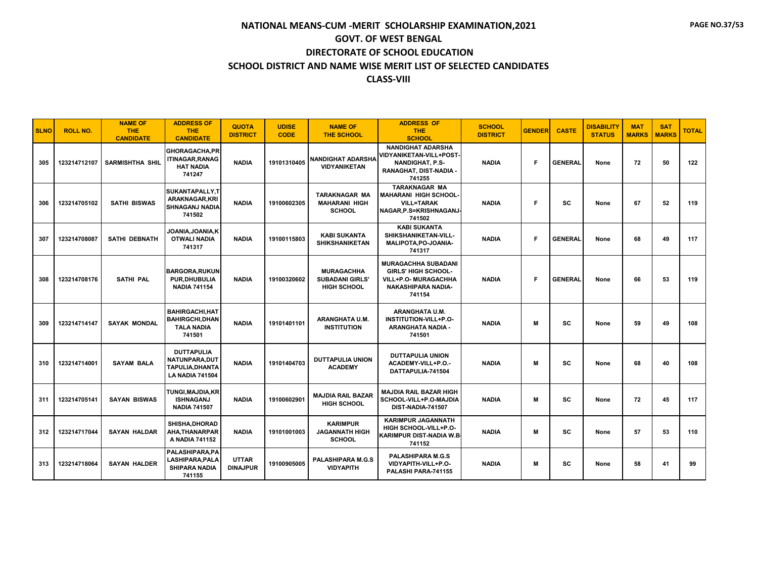| <b>SLNO</b> | <b>ROLL NO.</b> | <b>NAME OF</b><br><b>THE</b><br><b>CANDIDATE</b> | <b>ADDRESS OF</b><br><b>THE</b><br><b>CANDIDATE</b>                             | <b>QUOTA</b><br><b>DISTRICT</b> | <b>UDISE</b><br><b>CODE</b> | <b>NAME OF</b><br><b>THE SCHOOL</b>                              | <b>ADDRESS OF</b><br><b>THE</b><br><b>SCHOOL</b>                                                                               | <b>SCHOOL</b><br><b>DISTRICT</b> | <b>GENDER</b> | <b>CASTE</b>   | <b>DISABILITY</b><br><b>STATUS</b> | <b>MAT</b><br><b>MARKS</b> | <b>SAT</b><br><b>MARKS</b> | <b>TOTAL</b> |
|-------------|-----------------|--------------------------------------------------|---------------------------------------------------------------------------------|---------------------------------|-----------------------------|------------------------------------------------------------------|--------------------------------------------------------------------------------------------------------------------------------|----------------------------------|---------------|----------------|------------------------------------|----------------------------|----------------------------|--------------|
| 305         | 123214712107    | SARMISHTHA SHIL                                  | GHORAGACHA, PR<br><b>ITINAGAR, RANAG</b><br><b>HAT NADIA</b><br>741247          | <b>NADIA</b>                    | 19101310405                 | <b>NANDIGHAT ADARSHA</b><br><b>VIDYANIKETAN</b>                  | <b>NANDIGHAT ADARSHA</b><br><b>VIDYANIKETAN-VILL+POST-</b><br><b>NANDIGHAT, P.S-</b><br>RANAGHAT, DIST-NADIA<br>741255         | <b>NADIA</b>                     | Е             | <b>GENERAL</b> | None                               | 72                         | 50                         | 122          |
| 306         | 123214705102    | <b>SATHI BISWAS</b>                              | SUKANTAPALLY, T<br>ARAKNAGAR, KRI<br><b>SHNAGANJ NADIA</b><br>741502            | <b>NADIA</b>                    | 19100602305                 | <b>TARAKNAGAR MA</b><br><b>MAHARANI HIGH</b><br><b>SCHOOL</b>    | <b>TARAKNAGAR MA</b><br><b>MAHARANI HIGH SCHOOL-</b><br><b>VILL=TARAK</b><br>NAGAR.P.S=KRISHNAGANJ-<br>741502                  | <b>NADIA</b>                     | Е             | <b>SC</b>      | None                               | 67                         | 52                         | 119          |
| 307         | 123214708087    | <b>SATHI DEBNATH</b>                             | JOANIA, JOANIA, K<br><b>OTWALI NADIA</b><br>741317                              | <b>NADIA</b>                    | 19100115803                 | <b>KABI SUKANTA</b><br><b>SHIKSHANIKETAN</b>                     | <b>KABI SUKANTA</b><br>SHIKSHANIKETAN-VILL-<br>MALIPOTA, PO-JOANIA-<br>741317                                                  | <b>NADIA</b>                     | Е             | <b>GENERAL</b> | None                               | 68                         | 49                         | 117          |
| 308         | 123214708176    | <b>SATHI PAL</b>                                 | <b>BARGORA, RUKUN</b><br><b>PUR.DHUBULIA</b><br><b>NADIA 741154</b>             | <b>NADIA</b>                    | 19100320602                 | <b>MURAGACHHA</b><br><b>SUBADANI GIRLS</b><br><b>HIGH SCHOOL</b> | <b>MURAGACHHA SUBADANI</b><br><b>GIRLS' HIGH SCHOOL-</b><br><b>VILL+P.O- MURAGACHHA</b><br><b>NAKASHIPARA NADIA-</b><br>741154 | <b>NADIA</b>                     | Е             | <b>GENERAL</b> | None                               | 66                         | 53                         | 119          |
| 309         | 123214714147    | <b>SAYAK MONDAL</b>                              | <b>BAHIRGACHI, HAT</b><br><b>BAHIRGCHI, DHAN</b><br><b>TALA NADIA</b><br>741501 | <b>NADIA</b>                    | 19101401101                 | ARANGHATA U.M.<br><b>INSTITUTION</b>                             | ARANGHATA U.M.<br>INSTITUTION-VILL+P.O-<br>ARANGHATA NADIA -<br>741501                                                         | <b>NADIA</b>                     | м             | <b>SC</b>      | None                               | 59                         | 49                         | 108          |
| 310         | 123214714001    | <b>SAYAM BALA</b>                                | <b>DUTTAPULIA</b><br>NATUNPARA.DUT<br>TAPULIA.DHANTA<br><b>LA NADIA 741504</b>  | <b>NADIA</b>                    | 19101404703                 | <b>DUTTAPULIA UNION</b><br><b>ACADEMY</b>                        | <b>DUTTAPULIA UNION</b><br>ACADEMY-VILL+P.O.-<br>DATTAPULIA-741504                                                             | <b>NADIA</b>                     | м             | <b>SC</b>      | None                               | 68                         | 40                         | 108          |
| 311         | 123214705141    | <b>SAYAN BISWAS</b>                              | <b>TUNGI.MAJDIA.KR</b><br><b>ISHNAGANJ</b><br><b>NADIA 741507</b>               | <b>NADIA</b>                    | 19100602901                 | <b>MAJDIA RAIL BAZAR</b><br><b>HIGH SCHOOL</b>                   | <b>MAJDIA RAIL BAZAR HIGH</b><br>SCHOOL-VILL+P.O-MAJDIA<br>DIST-NADIA-741507                                                   | <b>NADIA</b>                     | м             | <b>SC</b>      | None                               | 72                         | 45                         | 117          |
| 312         | 123214717044    | <b>SAYAN HALDAR</b>                              | SHISHA.DHORAD<br>AHA, THANARPAR<br>A NADIA 741152                               | <b>NADIA</b>                    | 19101001003                 | <b>KARIMPUR</b><br><b>JAGANNATH HIGH</b><br><b>SCHOOL</b>        | <b>KARIMPUR JAGANNATH</b><br>HIGH SCHOOL-VILL+P.O-<br>KARIMPUR DIST-NADIA W.B.<br>741152                                       | <b>NADIA</b>                     | м             | SC             | None                               | 57                         | 53                         | 110          |
| 313         | 123214718064    | <b>SAYAN HALDER</b>                              | PALASHIPARA, PA<br>LASHIPARA, PALA<br><b>SHIPARA NADIA</b><br>741155            | <b>UTTAR</b><br><b>DINAJPUR</b> | 19100905005                 | <b>PALASHIPARA M.G.S</b><br><b>VIDYAPITH</b>                     | <b>PALASHIPARA M.G.S</b><br>VIDYAPITH-VILL+P.O-<br>PALASHI PARA-741155                                                         | <b>NADIA</b>                     | м             | sc             | None                               | 58                         | 41                         | 99           |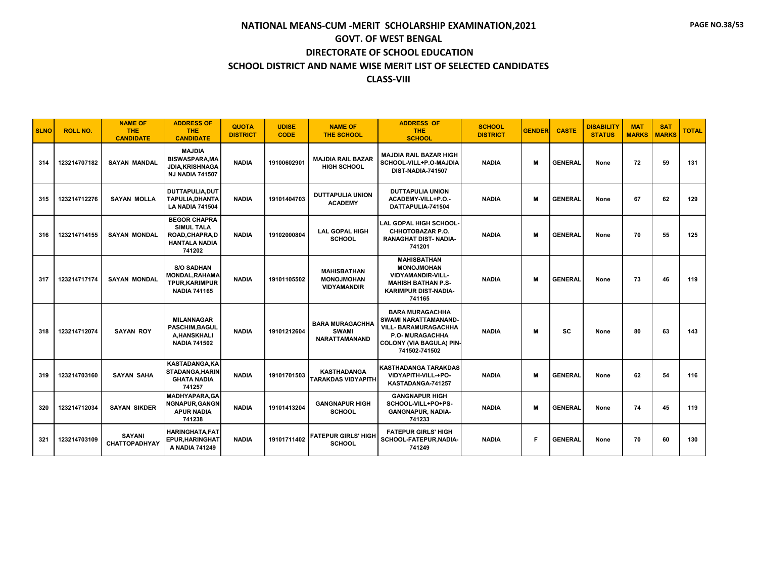| <b>SLNO</b> | <b>ROLL NO.</b> | <b>NAME OF</b><br>THE.<br><b>CANDIDATE</b> | <b>ADDRESS OF</b><br><b>THE</b><br><b>CANDIDATE</b>                                           | <b>QUOTA</b><br><b>DISTRICT</b> | <b>UDISE</b><br><b>CODE</b> | <b>NAME OF</b><br>THE SCHOOL                                   | <b>ADDRESS OF</b><br><b>THE</b><br><b>SCHOOL</b>                                                                                                                   | <b>SCHOOL</b><br><b>DISTRICT</b> | <b>GENDER</b> | <b>CASTE</b>   | <b>DISABILITY</b><br><b>STATUS</b> | <b>MAT</b><br><b>MARKS</b> | <b>SAT</b><br><b>MARKS</b> | <b>TOTAL</b> |
|-------------|-----------------|--------------------------------------------|-----------------------------------------------------------------------------------------------|---------------------------------|-----------------------------|----------------------------------------------------------------|--------------------------------------------------------------------------------------------------------------------------------------------------------------------|----------------------------------|---------------|----------------|------------------------------------|----------------------------|----------------------------|--------------|
| 314         | 123214707182    | <b>SAYAN MANDAL</b>                        | <b>MAJDIA</b><br><b>BISWASPARA, MA</b><br><b>JDIA.KRISHNAGA</b><br><b>NJ NADIA 741507</b>     | <b>NADIA</b>                    | 19100602901                 | <b>MAJDIA RAIL BAZAR</b><br><b>HIGH SCHOOL</b>                 | <b>MAJDIA RAIL BAZAR HIGH</b><br>SCHOOL-VILL+P.O-MAJDIA<br>DIST-NADIA-741507                                                                                       | <b>NADIA</b>                     | м             | <b>GENERAL</b> | None                               | 72                         | 59                         | 131          |
| 315         | 123214712276    | <b>SAYAN MOLLA</b>                         | DUTTAPULIA, DUT<br><b>TAPULIA, DHANTA</b><br><b>LA NADIA 741504</b>                           | <b>NADIA</b>                    | 19101404703                 | <b>DUTTAPULIA UNION</b><br><b>ACADEMY</b>                      | <b>DUTTAPULIA UNION</b><br>ACADEMY-VILL+P.O.-<br>DATTAPULIA-741504                                                                                                 | <b>NADIA</b>                     | м             | <b>GENERAL</b> | None                               | 67                         | 62                         | 129          |
| 316         | 123214714155    | <b>SAYAN MONDAL</b>                        | <b>BEGOR CHAPRA</b><br><b>SIMUL TALA</b><br>ROAD, CHAPRA, D<br><b>HANTALA NADIA</b><br>741202 | <b>NADIA</b>                    | 19102000804                 | <b>LAL GOPAL HIGH</b><br><b>SCHOOL</b>                         | LAL GOPAL HIGH SCHOOL-<br>CHHOTOBAZAR P.O.<br><b>RANAGHAT DIST- NADIA-</b><br>741201                                                                               | <b>NADIA</b>                     | м             | <b>GENERAL</b> | None                               | 70                         | 55                         | 125          |
| 317         | 123214717174    | <b>SAYAN MONDAL</b>                        | <b>S/O SADHAN</b><br><b>MONDAL, RAHAMA</b><br><b>TPUR, KARIMPUR</b><br><b>NADIA 741165</b>    | <b>NADIA</b>                    | 19101105502                 | <b>MAHISBATHAN</b><br><b>MONOJMOHAN</b><br><b>VIDYAMANDIR</b>  | <b>MAHISBATHAN</b><br><b>MONOJMOHAN</b><br><b>VIDYAMANDIR-VILL-</b><br><b>MAHISH BATHAN P.S-</b><br><b>KARIMPUR DIST-NADIA-</b><br>741165                          | <b>NADIA</b>                     | м             | <b>GENERAL</b> | None                               | 73                         | 46                         | 119          |
| 318         | 123214712074    | <b>SAYAN ROY</b>                           | <b>MILANNAGAR</b><br><b>PASCHIM.BAGUL</b><br><b>A,HANSKHALI</b><br><b>NADIA 741502</b>        | <b>NADIA</b>                    | 19101212604                 | <b>BARA MURAGACHHA</b><br><b>SWAMI</b><br><b>NARATTAMANAND</b> | <b>BARA MURAGACHHA</b><br><b>SWAMI NARATTAMANAND-</b><br><b>VILL- BARAMURAGACHHA</b><br><b>P.O. MURAGACHHA</b><br><b>COLONY (VIA BAGULA) PIN-</b><br>741502-741502 | <b>NADIA</b>                     | м             | SC             | None                               | 80                         | 63                         | 143          |
| 319         | 123214703160    | <b>SAYAN SAHA</b>                          | <b>KASTADANGA.KA</b><br><b>STADANGA, HARIN</b><br><b>GHATA NADIA</b><br>741257                | <b>NADIA</b>                    | 19101701503                 | <b>KASTHADANGA</b><br>TARAKDAS VIDYAPITH                       | <b>KASTHADANGA TARAKDAS</b><br>VIDYAPITH-VILL-+PO-<br>KASTADANGA-741257                                                                                            | <b>NADIA</b>                     | м             | <b>GENERAL</b> | None                               | 62                         | 54                         | 116          |
| 320         | 123214712034    | <b>SAYAN SIKDER</b>                        | <b>MADHYAPARA.GA</b><br><b>NGNAPUR, GANGN</b><br><b>APUR NADIA</b><br>741238                  | <b>NADIA</b>                    | 19101413204                 | <b>GANGNAPUR HIGH</b><br><b>SCHOOL</b>                         | <b>GANGNAPUR HIGH</b><br>SCHOOL-VILL+PO+PS-<br><b>GANGNAPUR, NADIA-</b><br>741233                                                                                  | <b>NADIA</b>                     | м             | <b>GENERAL</b> | None                               | 74                         | 45                         | 119          |
| 321         | 123214703109    | <b>SAYANI</b><br><b>CHATTOPADHYAY</b>      | <b>HARINGHATA,FAT</b><br><b>EPUR, HARINGHAT</b><br>A NADIA 741249                             | <b>NADIA</b>                    | 19101711402                 | <b>FATEPUR GIRLS' HIGH</b><br><b>SCHOOL</b>                    | <b>FATEPUR GIRLS' HIGH</b><br>SCHOOL-FATEPUR, NADIA-<br>741249                                                                                                     | <b>NADIA</b>                     | F             | <b>GENERAL</b> | None                               | 70                         | 60                         | 130          |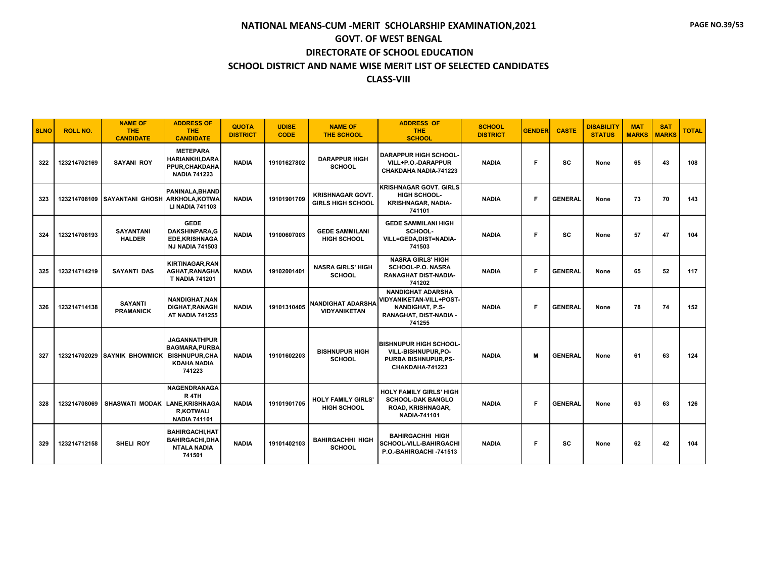| <b>SLNO</b> | <b>ROLL NO.</b> | <b>NAME OF</b><br><b>THE</b><br><b>CANDIDATE</b> | <b>ADDRESS OF</b><br><b>THE</b><br><b>CANDIDATE</b>                                                  | <b>QUOTA</b><br><b>DISTRICT</b> | <b>UDISE</b><br><b>CODE</b> | <b>NAME OF</b><br><b>THE SCHOOL</b>                 | <b>ADDRESS OF</b><br><b>THE</b><br><b>SCHOOL</b>                                                                  | <b>SCHOOL</b><br><b>DISTRICT</b> | <b>GENDER</b> | <b>CASTE</b>   | <b>DISABILITY</b><br><b>STATUS</b> | <b>MAT</b><br><b>MARKS</b> | <b>SAT</b><br><b>MARKS</b> | <b>TOTAL</b> |
|-------------|-----------------|--------------------------------------------------|------------------------------------------------------------------------------------------------------|---------------------------------|-----------------------------|-----------------------------------------------------|-------------------------------------------------------------------------------------------------------------------|----------------------------------|---------------|----------------|------------------------------------|----------------------------|----------------------------|--------------|
| 322         | 123214702169    | <b>SAYANI ROY</b>                                | <b>METEPARA</b><br><b>HARIANKHI, DARA</b><br>PPUR, CHAKDAHA<br><b>NADIA 741223</b>                   | <b>NADIA</b>                    | 19101627802                 | <b>DARAPPUR HIGH</b><br><b>SCHOOL</b>               | <b>DARAPPUR HIGH SCHOOL-</b><br>VILL+P.O.-DARAPPUR<br>CHAKDAHA NADIA-741223                                       | <b>NADIA</b>                     | F             | SC             | None                               | 65                         | 43                         | 108          |
| 323         |                 | 123214708109 SAYANTANI GHOSH ARKHOLA, KOTWA      | PANINALA.BHAND<br><b>LI NADIA 741103</b>                                                             | <b>NADIA</b>                    | 19101901709                 | <b>KRISHNAGAR GOVT.</b><br><b>GIRLS HIGH SCHOOL</b> | <b>KRISHNAGAR GOVT. GIRLS</b><br><b>HIGH SCHOOL-</b><br><b>KRISHNAGAR, NADIA-</b><br>741101                       | <b>NADIA</b>                     | F             | <b>GENERAL</b> | None                               | 73                         | 70                         | 143          |
| 324         | 123214708193    | <b>SAYANTANI</b><br><b>HALDER</b>                | <b>GEDE</b><br><b>DAKSHINPARA.G</b><br><b>EDE,KRISHNAGA</b><br><b>NJ NADIA 741503</b>                | <b>NADIA</b>                    | 19100607003                 | <b>GEDE SAMMILANI</b><br><b>HIGH SCHOOL</b>         | <b>GEDE SAMMILANI HIGH</b><br>SCHOOL-<br>VILL=GEDA,DIST=NADIA-<br>741503                                          | <b>NADIA</b>                     | F             | <b>SC</b>      | None                               | 57                         | 47                         | 104          |
| 325         | 123214714219    | <b>SAYANTI DAS</b>                               | <b>KIRTINAGAR, RAN</b><br>AGHAT, RANAGHA<br><b>T NADIA 741201</b>                                    | <b>NADIA</b>                    | 19102001401                 | <b>NASRA GIRLS' HIGH</b><br><b>SCHOOL</b>           | <b>NASRA GIRLS' HIGH</b><br><b>SCHOOL-P.O. NASRA</b><br><b>RANAGHAT DIST-NADIA-</b><br>741202                     | <b>NADIA</b>                     | F             | <b>GENERAL</b> | None                               | 65                         | 52                         | 117          |
| 326         | 123214714138    | <b>SAYANTI</b><br><b>PRAMANICK</b>               | <b>NANDIGHAT.NAN</b><br><b>DIGHAT, RANAGH</b><br><b>AT NADIA 741255</b>                              | <b>NADIA</b>                    | 19101310405                 | <b>NANDIGHAT ADARSHA</b><br><b>VIDYANIKETAN</b>     | <b>NANDIGHAT ADARSHA</b><br><b>VIDYANIKETAN-VILL+POST-</b><br>NANDIGHAT, P.S-<br>RANAGHAT, DIST-NADIA -<br>741255 | <b>NADIA</b>                     | F             | <b>GENERAL</b> | None                               | 78                         | 74                         | 152          |
| 327         |                 | <b>123214702029 SAYNIK BHOWMICK</b>              | <b>JAGANNATHPUR</b><br><b>BAGMARA, PURBA</b><br><b>BISHNUPUR.CHA</b><br><b>KDAHA NADIA</b><br>741223 | <b>NADIA</b>                    | 19101602203                 | <b>BISHNUPUR HIGH</b><br><b>SCHOOL</b>              | <b>BISHNUPUR HIGH SCHOOL-</b><br>VILL-BISHNUPUR, PO-<br>PURBA BISHNUPUR, PS-<br>CHAKDAHA-741223                   | <b>NADIA</b>                     | M             | <b>GENERAL</b> | None                               | 61                         | 63                         | 124          |
| 328         | 123214708069    | SHASWATI MODAK LANE.KRISHNAGA                    | <b>NAGENDRANAGA</b><br>R <sub>4</sub> TH<br><b>R.KOTWALI</b><br><b>NADIA 741101</b>                  | <b>NADIA</b>                    | 19101901705                 | <b>HOLY FAMILY GIRLS'</b><br><b>HIGH SCHOOL</b>     | HOLY FAMILY GIRLS' HIGH<br><b>SCHOOL-DAK BANGLO</b><br>ROAD, KRISHNAGAR,<br><b>NADIA-741101</b>                   | <b>NADIA</b>                     | F             | <b>GENERAL</b> | None                               | 63                         | 63                         | 126          |
| 329         | 123214712158    | <b>SHELI ROY</b>                                 | <b>BAHIRGACHI, HAT</b><br><b>BAHIRGACHI,DHA</b><br><b>NTALA NADIA</b><br>741501                      | <b>NADIA</b>                    | 19101402103                 | <b>BAHIRGACHHI HIGH</b><br><b>SCHOOL</b>            | <b>BAHIRGACHHI HIGH</b><br>SCHOOL-VILL-BAHIRGACHI<br>P.O.-BAHIRGACHI-741513                                       | <b>NADIA</b>                     | F             | <b>SC</b>      | None                               | 62                         | 42                         | 104          |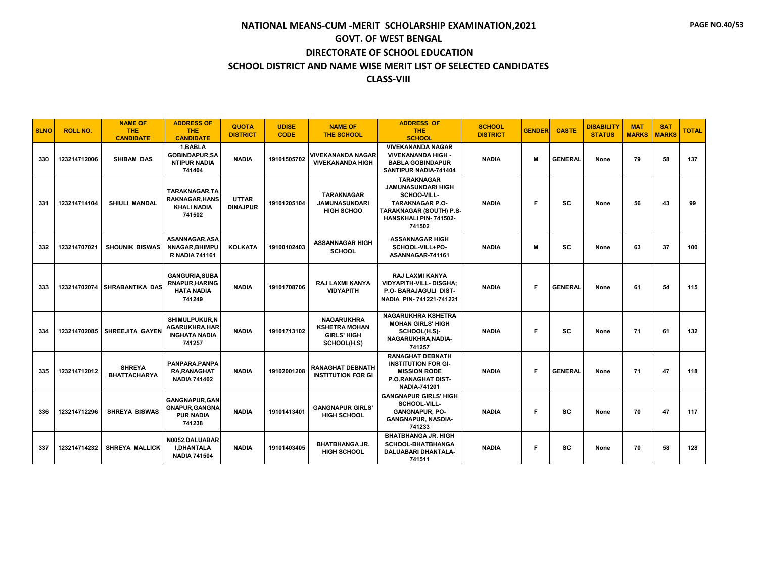| <b>SLNO</b> | <b>ROLL NO.</b> | <b>NAME OF</b><br><b>THE</b><br><b>CANDIDATE</b> | <b>ADDRESS OF</b><br><b>THE</b><br><b>CANDIDATE</b>                             | <b>QUOTA</b><br><b>DISTRICT</b> | <b>UDISE</b><br><b>CODE</b> | <b>NAME OF</b><br><b>THE SCHOOL</b>                                            | <b>ADDRESS OF</b><br><b>THE</b><br><b>SCHOOL</b>                                                                                                             | <b>SCHOOL</b><br><b>DISTRICT</b> | <b>GENDER</b> | <b>CASTE</b>   | <b>DISABILITY</b><br><b>STATUS</b> | <b>MAT</b><br><b>MARKS</b> | <b>SAT</b><br><b>MARKS</b> | <b>TOTAL</b> |
|-------------|-----------------|--------------------------------------------------|---------------------------------------------------------------------------------|---------------------------------|-----------------------------|--------------------------------------------------------------------------------|--------------------------------------------------------------------------------------------------------------------------------------------------------------|----------------------------------|---------------|----------------|------------------------------------|----------------------------|----------------------------|--------------|
| 330         | 123214712006    | <b>SHIBAM DAS</b>                                | 1.BABLA<br><b>GOBINDAPUR,SA</b><br><b>NTIPUR NADIA</b><br>741404                | <b>NADIA</b>                    | 19101505702                 | <b>VIVEKANANDA NAGAR</b><br><b>VIVEKANANDA HIGH</b>                            | <b>VIVEKANANDA NAGAR</b><br><b>VIVEKANANDA HIGH -</b><br><b>BABLA GOBINDAPUR</b><br>SANTIPUR NADIA-741404                                                    | <b>NADIA</b>                     | м             | <b>GENERAL</b> | None                               | 79                         | 58                         | 137          |
| 331         | 123214714104    | <b>SHIULI MANDAL</b>                             | TARAKNAGAR,TA<br><b>RAKNAGAR, HANS</b><br><b>KHALI NADIA</b><br>741502          | <b>UTTAR</b><br><b>DINAJPUR</b> | 19101205104                 | <b>TARAKNAGAR</b><br><b>JAMUNASUNDARI</b><br><b>HIGH SCHOO</b>                 | <b>TARAKNAGAR</b><br><b>JAMUNASUNDARI HIGH</b><br>SCHOO-VILL-<br><b>TARAKNAGAR P.O-</b><br>TARAKNAGAR (SOUTH) P.S-<br><b>HANSKHALI PIN-741502-</b><br>741502 | <b>NADIA</b>                     | F             | <b>SC</b>      | None                               | 56                         | 43                         | 99           |
| 332         | 123214707021    | <b>SHOUNIK BISWAS</b>                            | ASANNAGAR,ASA<br><b>NNAGAR, BHIMPU</b><br><b>R NADIA 741161</b>                 | <b>KOLKATA</b>                  | 19100102403                 | <b>ASSANNAGAR HIGH</b><br><b>SCHOOL</b>                                        | <b>ASSANNAGAR HIGH</b><br>SCHOOL-VILL+PO-<br>ASANNAGAR-741161                                                                                                | <b>NADIA</b>                     | м             | SC             | None                               | 63                         | 37                         | 100          |
| 333         |                 | 123214702074 SHRABANTIKA DAS                     | <b>GANGURIA, SUBA</b><br><b>RNAPUR, HARING</b><br><b>HATA NADIA</b><br>741249   | <b>NADIA</b>                    | 19101708706                 | <b>RAJ LAXMI KANYA</b><br><b>VIDYAPITH</b>                                     | <b>RAJ LAXMI KANYA</b><br><b>VIDYAPITH-VILL-DISGHA:</b><br>P.O- BARAJAGULI DIST-<br>NADIA PIN-741221-741221                                                  | <b>NADIA</b>                     | F             | <b>GENERAL</b> | None                               | 61                         | 54                         | 115          |
| 334         | 123214702085    | <b>SHREEJITA GAYEN</b>                           | <b>SHIMULPUKUR.N</b><br><b>AGARUKHRA, HAR</b><br><b>INGHATA NADIA</b><br>741257 | <b>NADIA</b>                    | 19101713102                 | <b>NAGARUKHRA</b><br><b>KSHETRA MOHAN</b><br><b>GIRLS' HIGH</b><br>SCHOOL(H.S) | <b>NAGARUKHRA KSHETRA</b><br><b>MOHAN GIRLS' HIGH</b><br>SCHOOL(H.S)-<br>NAGARUKHRA, NADIA-<br>741257                                                        | <b>NADIA</b>                     | F             | sc             | None                               | 71                         | 61                         | 132          |
| 335         | 123214712012    | <b>SHREYA</b><br><b>BHATTACHARYA</b>             | PANPARA, PANPA<br><b>RA, RANAGHAT</b><br><b>NADIA 741402</b>                    | <b>NADIA</b>                    | 19102001208                 | <b>RANAGHAT DEBNATH</b><br><b>INSTITUTION FOR GI</b>                           | <b>RANAGHAT DEBNATH</b><br><b>INSTITUTION FOR GI-</b><br><b>MISSION RODE</b><br><b>P.O.RANAGHAT DIST-</b><br><b>NADIA-741201</b>                             | <b>NADIA</b>                     | F.            | <b>GENERAL</b> | None                               | 71                         | 47                         | 118          |
| 336         | 123214712296    | <b>SHREYA BISWAS</b>                             | <b>GANGNAPUR.GAN</b><br><b>GNAPUR, GANGNA</b><br><b>PUR NADIA</b><br>741238     | <b>NADIA</b>                    | 19101413401                 | <b>GANGNAPUR GIRLS'</b><br><b>HIGH SCHOOL</b>                                  | <b>GANGNAPUR GIRLS' HIGH</b><br>SCHOOL-VILL-<br><b>GANGNAPUR, PO-</b><br><b>GANGNAPUR, NASDIA-</b><br>741233                                                 | <b>NADIA</b>                     | F             | SC             | None                               | 70                         | 47                         | 117          |
| 337         | 123214714232    | <b>SHREYA MALLICK</b>                            | N0052.DALUABAR<br><b>I.DHANTALA</b><br><b>NADIA 741504</b>                      | <b>NADIA</b>                    | 19101403405                 | <b>BHATBHANGA JR.</b><br><b>HIGH SCHOOL</b>                                    | <b>BHATBHANGA JR. HIGH</b><br><b>SCHOOL-BHATBHANGA</b><br>DALUABARI DHANTALA-<br>741511                                                                      | <b>NADIA</b>                     | F.            | <b>SC</b>      | None                               | 70                         | 58                         | 128          |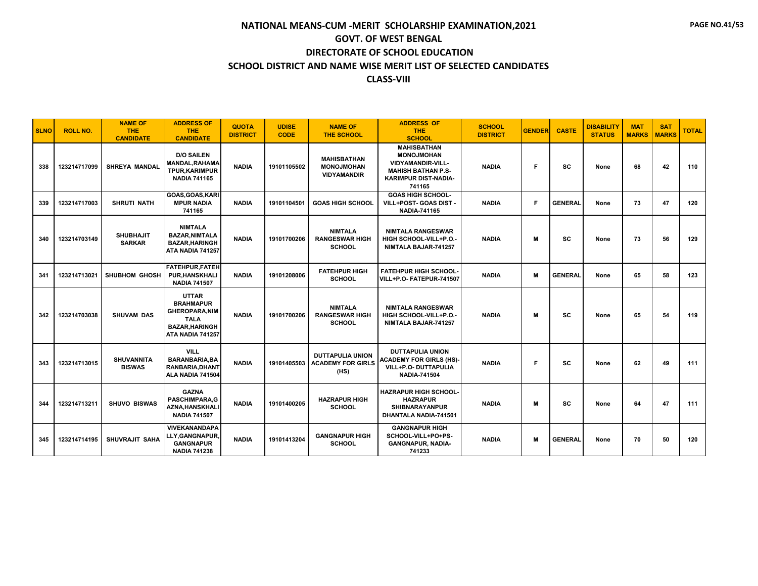| <b>SLNO</b> | <b>ROLL NO.</b> | <b>NAME OF</b><br><b>THE</b><br><b>CANDIDATE</b> | <b>ADDRESS OF</b><br><b>THE</b><br><b>CANDIDATE</b>                                                                   | <b>QUOTA</b><br><b>DISTRICT</b> | <b>UDISE</b><br><b>CODE</b> | <b>NAME OF</b><br><b>THE SCHOOL</b>                           | <b>ADDRESS OF</b><br><b>THE</b><br><b>SCHOOL</b>                                                                                          | <b>SCHOOL</b><br><b>DISTRICT</b> | <b>GENDER</b> | <b>CASTE</b>   | <b>DISABILITY</b><br><b>STATUS</b> | <b>MAT</b><br><b>MARKS</b> | <b>SAT</b><br><b>MARKS</b> | <b>TOTAL</b> |
|-------------|-----------------|--------------------------------------------------|-----------------------------------------------------------------------------------------------------------------------|---------------------------------|-----------------------------|---------------------------------------------------------------|-------------------------------------------------------------------------------------------------------------------------------------------|----------------------------------|---------------|----------------|------------------------------------|----------------------------|----------------------------|--------------|
| 338         | 123214717099    | <b>SHREYA MANDAL</b>                             | <b>D/O SAILEN</b><br><b>MANDAL, RAHAMA</b><br><b>TPUR, KARIMPUR</b><br><b>NADIA 741165</b>                            | <b>NADIA</b>                    | 19101105502                 | <b>MAHISBATHAN</b><br><b>MONOJMOHAN</b><br><b>VIDYAMANDIR</b> | <b>MAHISBATHAN</b><br><b>MONOJMOHAN</b><br><b>VIDYAMANDIR-VILL-</b><br><b>MAHISH BATHAN P.S-</b><br><b>KARIMPUR DIST-NADIA-</b><br>741165 | <b>NADIA</b>                     | F             | SC.            | None                               | 68                         | 42                         | 110          |
| 339         | 123214717003    | <b>SHRUTI NATH</b>                               | GOAS, GOAS, KARI<br><b>MPUR NADIA</b><br>741165                                                                       | <b>NADIA</b>                    | 19101104501                 | <b>GOAS HIGH SCHOOL</b>                                       | <b>GOAS HIGH SCHOOL-</b><br>VILL+POST- GOAS DIST -<br><b>NADIA-741165</b>                                                                 | <b>NADIA</b>                     | E             | <b>GENERAL</b> | None                               | 73                         | 47                         | 120          |
| 340         | 123214703149    | <b>SHUBHAJIT</b><br><b>SARKAR</b>                | <b>NIMTALA</b><br><b>BAZAR.NIMTALA</b><br><b>BAZAR.HARINGH</b><br>ATA NADIA 741257                                    | <b>NADIA</b>                    | 19101700206                 | <b>NIMTALA</b><br><b>RANGESWAR HIGH</b><br><b>SCHOOL</b>      | <b>NIMTALA RANGESWAR</b><br>HIGH SCHOOL-VILL+P.O.-<br>NIMTALA BAJAR-741257                                                                | <b>NADIA</b>                     | M             | <b>SC</b>      | None                               | 73                         | 56                         | 129          |
| 341         | 123214713021    | <b>SHUBHOM GHOSH</b>                             | <b>FATEHPUR, FATEH</b><br><b>PUR.HANSKHALI</b><br><b>NADIA 741507</b>                                                 | <b>NADIA</b>                    | 19101208006                 | <b>FATEHPUR HIGH</b><br><b>SCHOOL</b>                         | <b>FATEHPUR HIGH SCHOOL-</b><br>VILL+P.O-FATEPUR-741507                                                                                   | <b>NADIA</b>                     | M             | <b>GENERAL</b> | None                               | 65                         | 58                         | 123          |
| 342         | 123214703038    | <b>SHUVAM DAS</b>                                | <b>UTTAR</b><br><b>BRAHMAPUR</b><br><b>GHEROPARA, NIM</b><br><b>TALA</b><br><b>BAZAR, HARINGH</b><br>ATA NADIA 741257 | <b>NADIA</b>                    | 19101700206                 | <b>NIMTALA</b><br><b>RANGESWAR HIGH</b><br><b>SCHOOL</b>      | <b>NIMTALA RANGESWAR</b><br>HIGH SCHOOL-VILL+P.O.-<br>NIMTALA BAJAR-741257                                                                | <b>NADIA</b>                     | M             | sc             | None                               | 65                         | 54                         | 119          |
| 343         | 123214713015    | <b>SHUVANNITA</b><br><b>BISWAS</b>               | <b>VILL</b><br><b>BARANBARIA.BA</b><br><b>RANBARIA, DHANT</b><br>ALA NADIA 741504                                     | <b>NADIA</b>                    | 19101405503                 | <b>DUTTAPULIA UNION</b><br><b>ACADEMY FOR GIRLS</b><br>(HS)   | <b>DUTTAPULIA UNION</b><br><b>ACADEMY FOR GIRLS (HS)-</b><br>VILL+P.O- DUTTAPULIA<br><b>NADIA-741504</b>                                  | <b>NADIA</b>                     | F             | <b>SC</b>      | None                               | 62                         | 49                         | 111          |
| 344         | 123214713211    | <b>SHUVO BISWAS</b>                              | <b>GAZNA</b><br><b>PASCHIMPARA.G</b><br>AZNA.HANSKHALI<br><b>NADIA 741507</b>                                         | <b>NADIA</b>                    | 19101400205                 | <b>HAZRAPUR HIGH</b><br><b>SCHOOL</b>                         | <b>HAZRAPUR HIGH SCHOOL-</b><br><b>HAZRAPUR</b><br><b>SHIBNARAYANPUR</b><br>DHANTALA NADIA-741501                                         | <b>NADIA</b>                     | M             | <b>SC</b>      | None                               | 64                         | 47                         | 111          |
| 345         | 123214714195    | SHUVRAJIT SAHA                                   | <b>VIVEKANANDAPA</b><br>LLY, GANGNAPUR.<br><b>GANGNAPUR</b><br><b>NADIA 741238</b>                                    | <b>NADIA</b>                    | 19101413204                 | <b>GANGNAPUR HIGH</b><br><b>SCHOOL</b>                        | <b>GANGNAPUR HIGH</b><br>SCHOOL-VILL+PO+PS-<br><b>GANGNAPUR, NADIA-</b><br>741233                                                         | <b>NADIA</b>                     | M             | <b>GENERAL</b> | None                               | 70                         | 50                         | 120          |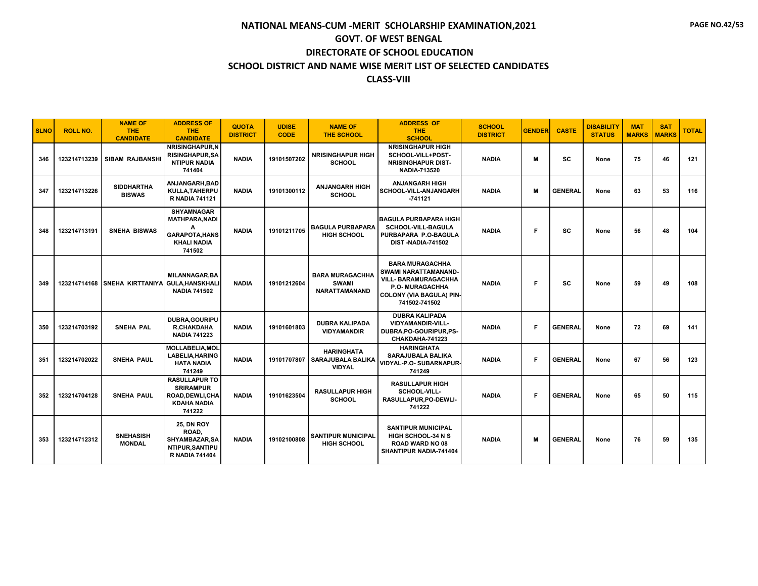| <b>SLNO</b> | <b>ROLL NO.</b> | <b>NAME OF</b><br><b>THE</b><br><b>CANDIDATE</b> | <b>ADDRESS OF</b><br><b>THE</b><br><b>CANDIDATE</b>                                                      | <b>QUOTA</b><br><b>DISTRICT</b> | <b>UDISE</b><br><b>CODE</b> | <b>NAME OF</b><br><b>THE SCHOOL</b>                            | <b>ADDRESS OF</b><br><b>THE</b><br><b>SCHOOL</b>                                                                                                            | <b>SCHOOL</b><br><b>DISTRICT</b> | <b>GENDER</b> | <b>CASTE</b>   | <b>DISABILITY</b><br><b>STATUS</b> | <b>MAT</b><br><b>MARKS</b> | <b>SAT</b><br><b>MARKS</b> | <b>TOTAL</b> |
|-------------|-----------------|--------------------------------------------------|----------------------------------------------------------------------------------------------------------|---------------------------------|-----------------------------|----------------------------------------------------------------|-------------------------------------------------------------------------------------------------------------------------------------------------------------|----------------------------------|---------------|----------------|------------------------------------|----------------------------|----------------------------|--------------|
| 346         | 123214713239    | <b>SIBAM RAJBANSHI</b>                           | <b>NRISINGHAPUR.N</b><br><b>RISINGHAPUR, SA</b><br><b>NTIPUR NADIA</b><br>741404                         | <b>NADIA</b>                    | 19101507202                 | <b>NRISINGHAPUR HIGH</b><br><b>SCHOOL</b>                      | <b>NRISINGHAPUR HIGH</b><br>SCHOOL-VILL+POST-<br><b>NRISINGHAPUR DIST-</b><br><b>NADIA-713520</b>                                                           | <b>NADIA</b>                     | м             | <b>SC</b>      | None                               | 75                         | 46                         | 121          |
| 347         | 123214713226    | <b>SIDDHARTHA</b><br><b>BISWAS</b>               | ANJANGARH.BAD<br>KULLA, TAHERPU<br><b>R NADIA 741121</b>                                                 | <b>NADIA</b>                    | 19101300112                 | <b>ANJANGARH HIGH</b><br><b>SCHOOL</b>                         | <b>ANJANGARH HIGH</b><br>SCHOOL-VILL-ANJANGARH<br>$-741121$                                                                                                 | <b>NADIA</b>                     | м             | <b>GENERAL</b> | None                               | 63                         | 53                         | 116          |
| 348         | 123214713191    | <b>SNEHA BISWAS</b>                              | <b>SHYAMNAGAR</b><br><b>MATHPARA, NADI</b><br>A<br><b>GARAPOTA, HANS</b><br><b>KHALI NADIA</b><br>741502 | <b>NADIA</b>                    | 19101211705                 | <b>BAGULA PURBAPARA</b><br><b>HIGH SCHOOL</b>                  | <b>BAGULA PURBAPARA HIGH</b><br><b>SCHOOL-VILL-BAGULA</b><br>PURBAPARA P.O-BAGULA<br><b>DIST-NADIA-741502</b>                                               | <b>NADIA</b>                     | F.            | <b>SC</b>      | None                               | 56                         | 48                         | 104          |
| 349         |                 | 123214714168 SNEHA KIRTTANIYA GULA, HANSKHALI    | <b>MILANNAGAR, BA</b><br><b>NADIA 741502</b>                                                             | <b>NADIA</b>                    | 19101212604                 | <b>BARA MURAGACHHA</b><br><b>SWAMI</b><br><b>NARATTAMANAND</b> | <b>BARA MURAGACHHA</b><br>SWAMI NARATTAMANAND-<br><b>VILL- BARAMURAGACHHA</b><br><b>P.O. MURAGACHHA</b><br><b>COLONY (VIA BAGULA) PIN-</b><br>741502-741502 | <b>NADIA</b>                     | F.            | <b>SC</b>      | None                               | 59                         | 49                         | 108          |
| 350         | 123214703192    | <b>SNEHA PAL</b>                                 | DUBRA, GOURIPU<br><b>R.CHAKDAHA</b><br><b>NADIA 741223</b>                                               | <b>NADIA</b>                    | 19101601803                 | <b>DUBRA KALIPADA</b><br><b>VIDYAMANDIR</b>                    | <b>DUBRA KALIPADA</b><br><b>VIDYAMANDIR-VILL-</b><br>DUBRA, PO-GOURIPUR, PS-<br>CHAKDAHA-741223                                                             | <b>NADIA</b>                     | Е             | <b>GENERAL</b> | None                               | 72                         | 69                         | 141          |
| 351         | 123214702022    | <b>SNEHA PAUL</b>                                | <b>MOLLABELIA.MOL</b><br><b>LABELIA, HARING</b><br><b>HATA NADIA</b><br>741249                           | <b>NADIA</b>                    | 19101707807                 | <b>HARINGHATA</b><br><b>SARAJUBALA BALIKA</b><br><b>VIDYAL</b> | <b>HARINGHATA</b><br>SARAJUBALA BALIKA<br>VIDYAL-P.O- SUBARNAPUR-<br>741249                                                                                 | <b>NADIA</b>                     | Е             | <b>GENERAL</b> | None                               | 67                         | 56                         | 123          |
| 352         | 123214704128    | <b>SNEHA PAUL</b>                                | <b>RASULLAPUR TO</b><br><b>SRIRAMPUR</b><br>ROAD, DEWLI, CHA<br><b>KDAHA NADIA</b><br>741222             | <b>NADIA</b>                    | 19101623504                 | <b>RASULLAPUR HIGH</b><br><b>SCHOOL</b>                        | <b>RASULLAPUR HIGH</b><br><b>SCHOOL-VILL-</b><br>RASULLAPUR, PO-DEWLI-<br>741222                                                                            | <b>NADIA</b>                     | Е             | <b>GENERAL</b> | None                               | 65                         | 50                         | 115          |
| 353         | 123214712312    | <b>SNEHASISH</b><br><b>MONDAL</b>                | <b>25, DN ROY</b><br>ROAD,<br>SHYAMBAZAR, SA<br>NTIPUR, SANTIPU<br><b>R NADIA 741404</b>                 | <b>NADIA</b>                    | 19102100808                 | <b>SANTIPUR MUNICIPAL</b><br><b>HIGH SCHOOL</b>                | <b>SANTIPUR MUNICIPAL</b><br><b>HIGH SCHOOL-34 N S</b><br><b>ROAD WARD NO 08</b><br>SHANTIPUR NADIA-741404                                                  | <b>NADIA</b>                     | М             | <b>GENERAL</b> | None                               | 76                         | 59                         | 135          |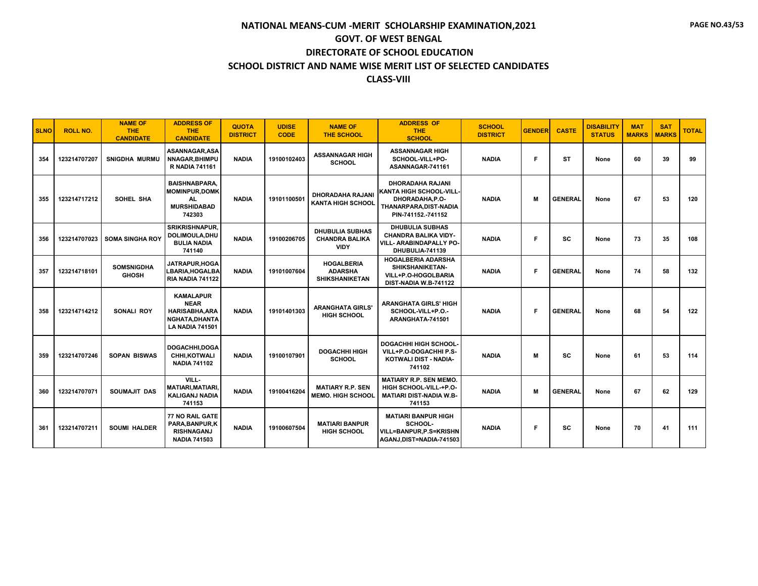| <b>SLNO</b> | <b>ROLL NO.</b> | <b>NAME OF</b><br><b>THE</b><br><b>CANDIDATE</b> | <b>ADDRESS OF</b><br><b>THE</b><br><b>CANDIDATE</b>                                                  | <b>QUOTA</b><br><b>DISTRICT</b> | <b>UDISE</b><br><b>CODE</b> | <b>NAME OF</b><br><b>THE SCHOOL</b>                            | <b>ADDRESS OF</b><br>THE.<br><b>SCHOOL</b>                                                                            | <b>SCHOOL</b><br><b>DISTRICT</b> | <b>GENDER</b> | <b>CASTE</b>   | <b>DISABILITY</b><br><b>STATUS</b> | <b>MAT</b><br><b>MARKS</b> | <b>SAT</b><br><b>MARKS</b> | <b>TOTAL</b> |
|-------------|-----------------|--------------------------------------------------|------------------------------------------------------------------------------------------------------|---------------------------------|-----------------------------|----------------------------------------------------------------|-----------------------------------------------------------------------------------------------------------------------|----------------------------------|---------------|----------------|------------------------------------|----------------------------|----------------------------|--------------|
| 354         | 123214707207    | <b>SNIGDHA MURMU</b>                             | <b>ASANNAGAR.ASA</b><br><b>NNAGAR, BHIMPU</b><br><b>R NADIA 741161</b>                               | <b>NADIA</b>                    | 19100102403                 | <b>ASSANNAGAR HIGH</b><br><b>SCHOOL</b>                        | <b>ASSANNAGAR HIGH</b><br>SCHOOL-VILL+PO-<br>ASANNAGAR-741161                                                         | <b>NADIA</b>                     | E             | <b>ST</b>      | None                               | 60                         | 39                         | 99           |
| 355         | 123214717212    | SOHEL SHA                                        | <b>BAISHNABPARA.</b><br><b>MOMINPUR.DOMK</b><br><b>AL</b><br><b>MURSHIDABAD</b><br>742303            | <b>NADIA</b>                    | 19101100501                 | <b>DHORADAHA RAJANI</b><br><b>KANTA HIGH SCHOOL</b>            | <b>DHORADAHA RAJANI</b><br>KANTA HIGH SCHOOL-VILL-<br>DHORADAHA, P.O-<br>THANARPARA, DIST-NADIA<br>PIN-741152.-741152 | <b>NADIA</b>                     | M             | <b>GENERAL</b> | None                               | 67                         | 53                         | 120          |
| 356         |                 | 123214707023 SOMA SINGHA ROY                     | <b>SRIKRISHNAPUR,</b><br>DOLIMOULA, DHU<br><b>BULIA NADIA</b><br>741140                              | <b>NADIA</b>                    | 19100206705                 | <b>DHUBULIA SUBHAS</b><br><b>CHANDRA BALIKA</b><br><b>VIDY</b> | <b>DHUBULIA SUBHAS</b><br><b>CHANDRA BALIKA VIDY-</b><br><b>VILL- ARABINDAPALLY PO-</b><br>DHUBULIA-741139            | <b>NADIA</b>                     | F             | sc             | None                               | 73                         | 35                         | 108          |
| 357         | 123214718101    | <b>SOMSNIGDHA</b><br><b>GHOSH</b>                | JATRAPUR, HOGA<br>LBARIA, HOGALBA<br><b>RIA NADIA 741122</b>                                         | <b>NADIA</b>                    | 19101007604                 | <b>HOGALBERIA</b><br><b>ADARSHA</b><br><b>SHIKSHANIKETAN</b>   | <b>HOGALBERIA ADARSHA</b><br>SHIKSHANIKETAN-<br>VILL+P.O-HOGOLBARIA<br>DIST-NADIA W.B-741122                          | <b>NADIA</b>                     | F             | <b>GENERAL</b> | None                               | 74                         | 58                         | 132          |
| 358         | 123214714212    | SONALI ROY                                       | <b>KAMALAPUR</b><br><b>NEAR</b><br><b>HARISABHA, ARA</b><br>NGHATA, DHANTA<br><b>LA NADIA 741501</b> | <b>NADIA</b>                    | 19101401303                 | <b>ARANGHATA GIRLS'</b><br><b>HIGH SCHOOL</b>                  | <b>ARANGHATA GIRLS' HIGH</b><br>SCHOOL-VILL+P.O.-<br>ARANGHATA-741501                                                 | <b>NADIA</b>                     | E             | <b>GENERAL</b> | None                               | 68                         | 54                         | 122          |
| 359         | 123214707246    | <b>SOPAN BISWAS</b>                              | DOGACHHI.DOGA<br>CHHI.KOTWALI<br><b>NADIA 741102</b>                                                 | <b>NADIA</b>                    | 19100107901                 | <b>DOGACHHI HIGH</b><br><b>SCHOOL</b>                          | DOGACHHI HIGH SCHOOL-<br>VILL+P.O-DOGACHHI P.S-<br>KOTWALI DIST - NADIA-<br>741102                                    | <b>NADIA</b>                     | M             | <b>SC</b>      | None                               | 61                         | 53                         | 114          |
| 360         | 123214707071    | SOUMAJIT DAS                                     | VILL-<br><b>MATIARI, MATIARI,</b><br><b>KALIGANJ NADIA</b><br>741153                                 | <b>NADIA</b>                    | 19100416204                 | <b>MATIARY R.P. SEN</b><br><b>MEMO, HIGH SCHOOL</b>            | <b>MATIARY R.P. SEN MEMO.</b><br>HIGH SCHOOL-VILL-+P.O-<br><b>MATIARI DIST-NADIA W.B-</b><br>741153                   | <b>NADIA</b>                     | M             | <b>GENERAL</b> | None                               | 67                         | 62                         | 129          |
| 361         | 123214707211    | <b>SOUMI HALDER</b>                              | 77 NO RAIL GATE<br>PARA, BANPUR, K<br><b>RISHNAGANJ</b><br><b>NADIA 741503</b>                       | <b>NADIA</b>                    | 19100607504                 | <b>MATIARI BANPUR</b><br><b>HIGH SCHOOL</b>                    | <b>MATIARI BANPUR HIGH</b><br>SCHOOL-<br>VILL=BANPUR, P.S=KRISHN<br>AGANJ, DIST=NADIA-741503                          | <b>NADIA</b>                     | F             | SC             | None                               | 70                         | 41                         | 111          |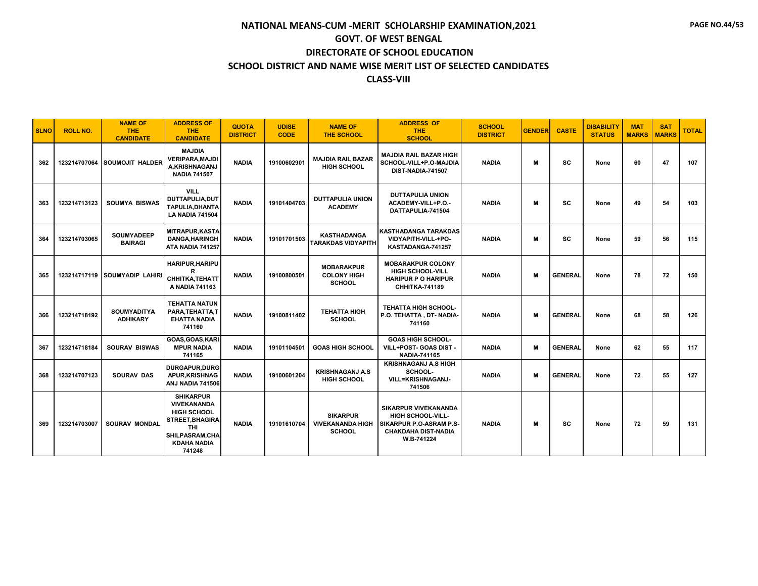| <b>SLNO</b> | <b>ROLL NO.</b> | <b>NAME OF</b><br>THE.<br><b>CANDIDATE</b> | <b>ADDRESS OF</b><br><b>THE</b><br><b>CANDIDATE</b>                                                                                                     | <b>QUOTA</b><br><b>DISTRICT</b> | <b>UDISE</b><br><b>CODE</b> | <b>NAME OF</b><br><b>THE SCHOOL</b>                         | <b>ADDRESS OF</b><br>THE.<br><b>SCHOOL</b>                                                                                     | <b>SCHOOL</b><br><b>DISTRICT</b> | <b>GENDER</b> | <b>CASTE</b>   | <b>DISABILITY</b><br><b>STATUS</b> | <b>MAT</b><br><b>MARKS</b> | <b>SAT</b><br><b>MARKS</b> | <b>TOTAL</b> |
|-------------|-----------------|--------------------------------------------|---------------------------------------------------------------------------------------------------------------------------------------------------------|---------------------------------|-----------------------------|-------------------------------------------------------------|--------------------------------------------------------------------------------------------------------------------------------|----------------------------------|---------------|----------------|------------------------------------|----------------------------|----------------------------|--------------|
| 362         |                 | 123214707064 SOUMOJIT HALDER               | <b>MAJDIA</b><br><b>VERIPARA.MAJDI</b><br>A.KRISHNAGANJ<br><b>NADIA 741507</b>                                                                          | <b>NADIA</b>                    | 19100602901                 | <b>MAJDIA RAIL BAZAR</b><br><b>HIGH SCHOOL</b>              | <b>MAJDIA RAIL BAZAR HIGH</b><br>SCHOOL-VILL+P.O-MAJDIA<br>DIST-NADIA-741507                                                   | <b>NADIA</b>                     | M             | <b>SC</b>      | None                               | 60                         | 47                         | 107          |
| 363         | 123214713123    | <b>SOUMYA BISWAS</b>                       | <b>VILL</b><br>DUTTAPULIA, DUT<br><b>TAPULIA.DHANTA</b><br><b>LA NADIA 741504</b>                                                                       | <b>NADIA</b>                    | 19101404703                 | <b>DUTTAPULIA UNION</b><br><b>ACADEMY</b>                   | <b>DUTTAPULIA UNION</b><br>ACADEMY-VILL+P.O.-<br>DATTAPULIA-741504                                                             | <b>NADIA</b>                     | M             | SC             | None                               | 49                         | 54                         | 103          |
| 364         | 123214703065    | <b>SOUMYADEEP</b><br><b>BAIRAGI</b>        | <b>MITRAPUR, KASTA</b><br><b>DANGA, HARINGH</b><br>ATA NADIA 741257                                                                                     | <b>NADIA</b>                    | 19101701503                 | <b>KASTHADANGA</b><br>TARAKDAS VIDYAPITH                    | <b>KASTHADANGA TARAKDAS</b><br>VIDYAPITH-VILL-+PO-<br>KASTADANGA-741257                                                        | <b>NADIA</b>                     | M             | SC             | None                               | 59                         | 56                         | 115          |
| 365         |                 | 123214717119 SOUMYADIP LAHIRI              | HARIPUR, HARIPU<br>R<br>CHHITKA, TEHATT<br>A NADIA 741163                                                                                               | <b>NADIA</b>                    | 19100800501                 | <b>MOBARAKPUR</b><br><b>COLONY HIGH</b><br><b>SCHOOL</b>    | <b>MOBARAKPUR COLONY</b><br><b>HIGH SCHOOL-VILL</b><br><b>HARIPUR P O HARIPUR</b><br><b>CHHITKA-741189</b>                     | <b>NADIA</b>                     | м             | <b>GENERAL</b> | None                               | 78                         | 72                         | 150          |
| 366         | 123214718192    | <b>SOUMYADITYA</b><br><b>ADHIKARY</b>      | <b>TEHATTA NATUN</b><br>PARA, TEHATTA, T<br><b>EHATTA NADIA</b><br>741160                                                                               | <b>NADIA</b>                    | 19100811402                 | <b>TEHATTA HIGH</b><br><b>SCHOOL</b>                        | <b>TEHATTA HIGH SCHOOL-</b><br>P.O. TEHATTA, DT- NADIA-<br>741160                                                              | <b>NADIA</b>                     | м             | <b>GENERAL</b> | None                               | 68                         | 58                         | 126          |
| 367         | 123214718184    | <b>SOURAV BISWAS</b>                       | GOAS, GOAS, KARI<br><b>MPUR NADIA</b><br>741165                                                                                                         | <b>NADIA</b>                    | 19101104501                 | <b>GOAS HIGH SCHOOL</b>                                     | <b>GOAS HIGH SCHOOL-</b><br>VILL+POST- GOAS DIST -<br><b>NADIA-741165</b>                                                      | <b>NADIA</b>                     | M             | <b>GENERAL</b> | None                               | 62                         | 55                         | 117          |
| 368         | 123214707123    | <b>SOURAV DAS</b>                          | <b>DURGAPUR, DURG</b><br><b>APUR, KRISHNAG</b><br>ANJ NADIA 741506                                                                                      | <b>NADIA</b>                    | 19100601204                 | <b>KRISHNAGANJ A.S</b><br><b>HIGH SCHOOL</b>                | <b>KRISHNAGANJ A.S HIGH</b><br>SCHOOL-<br><b>VILL=KRISHNAGANJ-</b><br>741506                                                   | <b>NADIA</b>                     | м             | <b>GENERAL</b> | None                               | 72                         | 55                         | 127          |
| 369         | 123214703007    | <b>SOURAV MONDAL</b>                       | <b>SHIKARPUR</b><br><b>VIVEKANANDA</b><br><b>HIGH SCHOOL</b><br><b>STREET, BHAGIRA</b><br><b>THI</b><br>SHILPASRAM, CHA<br><b>KDAHA NADIA</b><br>741248 | <b>NADIA</b>                    | 19101610704                 | <b>SIKARPUR</b><br><b>VIVEKANANDA HIGH</b><br><b>SCHOOL</b> | <b>SIKARPUR VIVEKANANDA</b><br><b>HIGH SCHOOL-VILL-</b><br>SIKARPUR P.O-ASRAM P.S-<br><b>CHAKDAHA DIST-NADIA</b><br>W.B-741224 | <b>NADIA</b>                     | M             | SC             | None                               | 72                         | 59                         | 131          |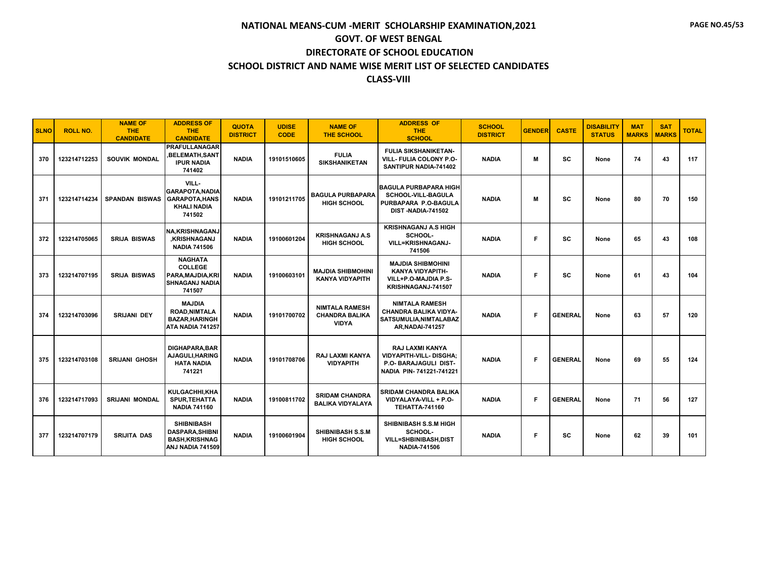| <b>SLNO</b> | <b>ROLL NO.</b> | <b>NAME OF</b><br><b>THE</b><br><b>CANDIDATE</b> | <b>ADDRESS OF</b><br><b>THE</b><br><b>CANDIDATE</b>                                      | <b>QUOTA</b><br><b>DISTRICT</b> | <b>UDISE</b><br><b>CODE</b> | <b>NAME OF</b><br><b>THE SCHOOL</b>                            | <b>ADDRESS OF</b><br><b>THE</b><br><b>SCHOOL</b>                                                              | <b>SCHOOL</b><br><b>DISTRICT</b> | <b>GENDER</b> | <b>CASTE</b>   | <b>DISABILITY</b><br><b>STATUS</b> | <b>MAT</b><br><b>MARKS</b> | <b>SAT</b><br><b>MARKS</b> | <b>TOTAL</b> |
|-------------|-----------------|--------------------------------------------------|------------------------------------------------------------------------------------------|---------------------------------|-----------------------------|----------------------------------------------------------------|---------------------------------------------------------------------------------------------------------------|----------------------------------|---------------|----------------|------------------------------------|----------------------------|----------------------------|--------------|
| 370         | 123214712253    | SOUVIK MONDAL                                    | <b>PRAFULLANAGAR</b><br>,BELEMATH,SANT<br><b>IPUR NADIA</b><br>741402                    | <b>NADIA</b>                    | 19101510605                 | <b>FULIA</b><br><b>SIKSHANIKETAN</b>                           | <b>FULIA SIKSHANIKETAN-</b><br>VILL- FULIA COLONY P.O-<br>SANTIPUR NADIA-741402                               | <b>NADIA</b>                     | M             | <b>SC</b>      | None                               | 74                         | 43                         | 117          |
| 371         | 123214714234    | <b>SPANDAN BISWAS</b>                            | VILL-<br><b>GARAPOTA.NADIA</b><br><b>GARAPOTA, HANS</b><br><b>KHALI NADIA</b><br>741502  | <b>NADIA</b>                    | 19101211705                 | <b>BAGULA PURBAPARA</b><br><b>HIGH SCHOOL</b>                  | <b>BAGULA PURBAPARA HIGH</b><br><b>SCHOOL-VILL-BAGULA</b><br>PURBAPARA P.O-BAGULA<br><b>DIST-NADIA-741502</b> | <b>NADIA</b>                     | M             | <b>SC</b>      | None                               | 80                         | 70                         | 150          |
| 372         | 123214705065    | <b>SRIJA BISWAS</b>                              | <b>NA,KRISHNAGANJ</b><br><b>.KRISHNAGANJ</b><br><b>NADIA 741506</b>                      | <b>NADIA</b>                    | 19100601204                 | <b>KRISHNAGANJ A.S.</b><br><b>HIGH SCHOOL</b>                  | <b>KRISHNAGANJ A.S HIGH</b><br>SCHOOL-<br><b>VILL=KRISHNAGANJ-</b><br>741506                                  | <b>NADIA</b>                     | E             | <b>SC</b>      | None                               | 65                         | 43                         | 108          |
| 373         | 123214707195    | <b>SRIJA BISWAS</b>                              | <b>NAGHATA</b><br><b>COLLEGE</b><br>PARA, MAJDIA, KRI<br><b>SHNAGANJ NADIA</b><br>741507 | <b>NADIA</b>                    | 19100603101                 | <b>MAJDIA SHIBMOHINI</b><br><b>KANYA VIDYAPITH</b>             | <b>MAJDIA SHIBMOHINI</b><br>KANYA VIDYAPITH-<br>VILL+P.O-MAJDIA P.S-<br>KRISHNAGANJ-741507                    | <b>NADIA</b>                     | E             | <b>SC</b>      | None                               | 61                         | 43                         | 104          |
| 374         | 123214703096    | <b>SRIJANI DEY</b>                               | <b>MAJDIA</b><br><b>ROAD, NIMTALA</b><br><b>BAZAR, HARINGH</b><br>ATA NADIA 741257       | <b>NADIA</b>                    | 19101700702                 | <b>NIMTALA RAMESH</b><br><b>CHANDRA BALIKA</b><br><b>VIDYA</b> | <b>NIMTALA RAMESH</b><br><b>CHANDRA BALIKA VIDYA-</b><br>SATSUMULIA, NIMTALABAZ<br><b>AR, NADAI-741257</b>    | <b>NADIA</b>                     | E             | <b>GENERAL</b> | None                               | 63                         | 57                         | 120          |
| 375         | 123214703108    | <b>SRIJANI GHOSH</b>                             | <b>DIGHAPARA.BAR</b><br>AJAGULI, HARING<br><b>HATA NADIA</b><br>741221                   | <b>NADIA</b>                    | 19101708706                 | <b>RAJ LAXMI KANYA</b><br><b>VIDYAPITH</b>                     | <b>RAJ LAXMI KANYA</b><br><b>VIDYAPITH-VILL- DISGHA:</b><br>P.O- BARAJAGULI DIST-<br>NADIA PIN-741221-741221  | <b>NADIA</b>                     | F             | <b>GENERAL</b> | None                               | 69                         | 55                         | 124          |
| 376         | 123214717093    | <b>SRIJANI MONDAL</b>                            | KULGACHHI,KHA<br><b>SPUR.TEHATTA</b><br><b>NADIA 741160</b>                              | <b>NADIA</b>                    | 19100811702                 | <b>SRIDAM CHANDRA</b><br><b>BALIKA VIDYALAYA</b>               | <b>SRIDAM CHANDRA BALIKA</b><br>VIDYALAYA-VILL + P.O-<br><b>TEHATTA-741160</b>                                | <b>NADIA</b>                     | E             | <b>GENERAL</b> | None                               | 71                         | 56                         | 127          |
| 377         | 123214707179    | <b>SRIJITA DAS</b>                               | <b>SHIBNIBASH</b><br><b>DASPARA, SHIBNI</b><br><b>BASH, KRISHNAG</b><br>ANJ NADIA 741509 | <b>NADIA</b>                    | 19100601904                 | <b>SHIBNIBASH S.S.M</b><br><b>HIGH SCHOOL</b>                  | SHIBNIBASH S.S.M HIGH<br>SCHOOL-<br><b>VILL=SHBINIBASH,DIST</b><br><b>NADIA-741506</b>                        | <b>NADIA</b>                     | F             | <b>SC</b>      | None                               | 62                         | 39                         | 101          |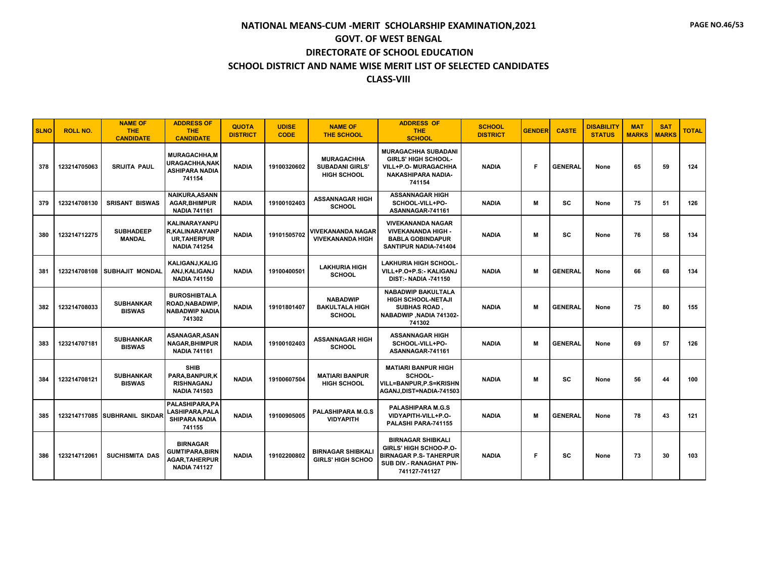| <b>SLNO</b> | <b>ROLL NO.</b> | <b>NAME OF</b><br><b>THE</b><br><b>CANDIDATE</b> | <b>ADDRESS OF</b><br><b>THE</b><br><b>CANDIDATE</b>                                        | <b>QUOTA</b><br><b>DISTRICT</b> | <b>UDISE</b><br><b>CODE</b> | <b>NAME OF</b><br><b>THE SCHOOL</b>                               | <b>ADDRESS OF</b><br><b>THE</b><br><b>SCHOOL</b>                                                                                       | <b>SCHOOL</b><br><b>DISTRICT</b> | <b>GENDER</b> | <b>CASTE</b>   | <b>DISABILITY</b><br><b>STATUS</b> | <b>MAT</b><br><b>MARKS</b> | <b>SAT</b><br><b>MARKS</b> | <b>TOTAL</b> |
|-------------|-----------------|--------------------------------------------------|--------------------------------------------------------------------------------------------|---------------------------------|-----------------------------|-------------------------------------------------------------------|----------------------------------------------------------------------------------------------------------------------------------------|----------------------------------|---------------|----------------|------------------------------------|----------------------------|----------------------------|--------------|
| 378         | 123214705063    | <b>SRIJITA PAUL</b>                              | <b>MURAGACHHA,M</b><br><b>URAGACHHA, NAK</b><br><b>ASHIPARA NADIA</b><br>741154            | <b>NADIA</b>                    | 19100320602                 | <b>MURAGACHHA</b><br><b>SUBADANI GIRLS'</b><br><b>HIGH SCHOOL</b> | <b>MURAGACHHA SUBADANI</b><br><b>GIRLS' HIGH SCHOOL-</b><br>VILL+P.O- MURAGACHHA<br><b>NAKASHIPARA NADIA-</b><br>741154                | <b>NADIA</b>                     | Е             | <b>GENERAL</b> | None                               | 65                         | 59                         | 124          |
| 379         | 123214708130    | <b>SRISANT BISWAS</b>                            | <b>NAIKURA, ASANN</b><br><b>AGAR.BHIMPUR</b><br><b>NADIA 741161</b>                        | <b>NADIA</b>                    | 19100102403                 | <b>ASSANNAGAR HIGH</b><br><b>SCHOOL</b>                           | <b>ASSANNAGAR HIGH</b><br>SCHOOL-VILL+PO-<br>ASANNAGAR-741161                                                                          | <b>NADIA</b>                     | M             | <b>SC</b>      | None                               | 75                         | 51                         | 126          |
| 380         | 123214712275    | <b>SUBHADEEP</b><br><b>MANDAL</b>                | <b>KALINARAYANPU</b><br><b>R.KALINARAYANP</b><br><b>UR,TAHERPUR</b><br><b>NADIA 741254</b> | <b>NADIA</b>                    | 19101505702                 | <b>VIVEKANANDA NAGAR</b><br><b>VIVEKANANDA HIGH</b>               | <b>VIVEKANANDA NAGAR</b><br><b>VIVEKANANDA HIGH -</b><br><b>BABLA GOBINDAPUR</b><br>SANTIPUR NADIA-741404                              | <b>NADIA</b>                     | м             | SC             | None                               | 76                         | 58                         | 134          |
| 381         |                 | 123214708108 SUBHAJIT MONDAL                     | KALIGANJ, KALIG<br>ANJ, KALIGANJ<br><b>NADIA 741150</b>                                    | <b>NADIA</b>                    | 19100400501                 | <b>LAKHURIA HIGH</b><br><b>SCHOOL</b>                             | <b>LAKHURIA HIGH SCHOOL-</b><br>VILL+P.O+P.S:- KALIGANJ<br><b>DIST:- NADIA -741150</b>                                                 | <b>NADIA</b>                     | м             | <b>GENERAL</b> | None                               | 66                         | 68                         | 134          |
| 382         | 123214708033    | <b>SUBHANKAR</b><br><b>BISWAS</b>                | <b>BUROSHIBTALA</b><br>ROAD, NABADWIP<br><b>NABADWIP NADIA</b><br>741302                   | <b>NADIA</b>                    | 19101801407                 | <b>NABADWIP</b><br><b>BAKULTALA HIGH</b><br><b>SCHOOL</b>         | <b>NABADWIP BAKULTALA</b><br><b>HIGH SCHOOL-NETAJI</b><br><b>SUBHAS ROAD</b><br>NABADWIP, NADIA 741302-<br>741302                      | <b>NADIA</b>                     | м             | <b>GENERAL</b> | None                               | 75                         | 80                         | 155          |
| 383         | 123214707181    | <b>SUBHANKAR</b><br><b>BISWAS</b>                | ASANAGAR.ASAN<br><b>NAGAR.BHIMPUR</b><br><b>NADIA 741161</b>                               | <b>NADIA</b>                    | 19100102403                 | <b>ASSANNAGAR HIGH</b><br><b>SCHOOL</b>                           | <b>ASSANNAGAR HIGH</b><br>SCHOOL-VILL+PO-<br>ASANNAGAR-741161                                                                          | <b>NADIA</b>                     | м             | <b>GENERAL</b> | None                               | 69                         | 57                         | 126          |
| 384         | 123214708121    | <b>SUBHANKAR</b><br><b>BISWAS</b>                | <b>SHIB</b><br>PARA, BANPUR, K<br><b>RISHNAGANJ</b><br><b>NADIA 741503</b>                 | <b>NADIA</b>                    | 19100607504                 | <b>MATIARI BANPUR</b><br><b>HIGH SCHOOL</b>                       | <b>MATIARI BANPUR HIGH</b><br>SCHOOL-<br>VILL=BANPUR,P.S=KRISHN<br>AGANJ, DIST=NADIA-741503                                            | <b>NADIA</b>                     | м             | SC             | None                               | 56                         | 44                         | 100          |
| 385         |                 | 123214717085 SUBHRANIL SIKDAR                    | <b>PALASHIPARA.PA</b><br>LASHIPARA, PALA<br><b>SHIPARA NADIA</b><br>741155                 | <b>NADIA</b>                    | 19100905005                 | <b>PALASHIPARA M.G.S</b><br><b>VIDYAPITH</b>                      | <b>PALASHIPARA M.G.S</b><br>VIDYAPITH-VILL+P.O-<br>PALASHI PARA-741155                                                                 | <b>NADIA</b>                     | м             | <b>GENERAL</b> | None                               | 78                         | 43                         | 121          |
| 386         | 123214712061    | <b>SUCHISMITA DAS</b>                            | <b>BIRNAGAR</b><br><b>GUMTIPARA.BIRN</b><br><b>AGAR, TAHERPUR</b><br><b>NADIA 741127</b>   | <b>NADIA</b>                    | 19102200802                 | <b>BIRNAGAR SHIBKALI</b><br><b>GIRLS' HIGH SCHOO</b>              | <b>BIRNAGAR SHIBKALI</b><br>GIRLS' HIGH SCHOO-P.O-<br><b>BIRNAGAR P.S- TAHERPUR</b><br><b>SUB DIV.- RANAGHAT PIN-</b><br>741127-741127 | <b>NADIA</b>                     | F.            | SC             | None                               | 73                         | 30                         | 103          |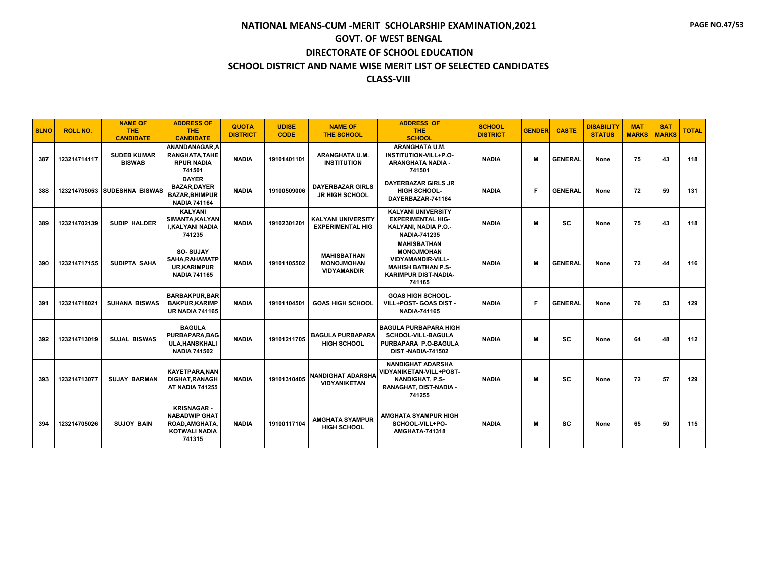| <b>SLNO</b> | <b>ROLL NO.</b> | <b>NAME OF</b><br><b>THE</b><br><b>CANDIDATE</b> | <b>ADDRESS OF</b><br><b>THE</b><br><b>CANDIDATE</b>                                           | <b>QUOTA</b><br><b>DISTRICT</b> | <b>UDISE</b><br><b>CODE</b> | <b>NAME OF</b><br><b>THE SCHOOL</b>                           | <b>ADDRESS OF</b><br><b>THE</b><br><b>SCHOOL</b>                                                                                          | <b>SCHOOL</b><br><b>DISTRICT</b> | <b>GENDER</b> | <b>CASTE</b>   | <b>DISABILITY</b><br><b>STATUS</b> | <b>MAT</b><br><b>MARKS</b> | <b>SAT</b><br><b>MARKS</b> | <b>TOTAL</b> |
|-------------|-----------------|--------------------------------------------------|-----------------------------------------------------------------------------------------------|---------------------------------|-----------------------------|---------------------------------------------------------------|-------------------------------------------------------------------------------------------------------------------------------------------|----------------------------------|---------------|----------------|------------------------------------|----------------------------|----------------------------|--------------|
| 387         | 123214714117    | <b>SUDEB KUMAR</b><br><b>BISWAS</b>              | ANANDANAGAR.A<br>RANGHATA.TAHE<br><b>RPUR NADIA</b><br>741501                                 | <b>NADIA</b>                    | 19101401101                 | <b>ARANGHATA U.M.</b><br><b>INSTITUTION</b>                   | ARANGHATA U.M.<br>INSTITUTION-VILL+P.O-<br>ARANGHATA NADIA -<br>741501                                                                    | <b>NADIA</b>                     | М             | <b>GENERAL</b> | None                               | 75                         | 43                         | 118          |
| 388         |                 | 123214705053 SUDESHNA BISWAS                     | <b>DAYER</b><br><b>BAZAR.DAYER</b><br><b>BAZAR.BHIMPUR</b><br><b>NADIA 741164</b>             | <b>NADIA</b>                    | 19100509006                 | <b>DAYERBAZAR GIRLS</b><br><b>JR HIGH SCHOOL</b>              | <b>DAYERBAZAR GIRLS JR</b><br>HIGH SCHOOL-<br>DAYERBAZAR-741164                                                                           | <b>NADIA</b>                     | Е             | <b>GENERAL</b> | None                               | 72                         | 59                         | 131          |
| 389         | 123214702139    | <b>SUDIP HALDER</b>                              | <b>KALYANI</b><br>SIMANTA, KALYAN<br><b>I.KALYANI NADIA</b><br>741235                         | <b>NADIA</b>                    | 19102301201                 | <b>KALYANI UNIVERSITY</b><br><b>EXPERIMENTAL HIG</b>          | <b>KALYANI UNIVERSITY</b><br><b>EXPERIMENTAL HIG-</b><br>KALYANI. NADIA P.O.-<br><b>NADIA-741235</b>                                      | <b>NADIA</b>                     | м             | SC             | None                               | 75                         | 43                         | 118          |
| 390         | 123214717155    | SUDIPTA SAHA                                     | <b>SO-SUJAY</b><br>SAHA, RAHAMATP<br><b>UR,KARIMPUR</b><br><b>NADIA 741165</b>                | <b>NADIA</b>                    | 19101105502                 | <b>MAHISBATHAN</b><br><b>MONOJMOHAN</b><br><b>VIDYAMANDIR</b> | <b>MAHISBATHAN</b><br><b>MONOJMOHAN</b><br><b>VIDYAMANDIR-VILL-</b><br><b>MAHISH BATHAN P.S-</b><br><b>KARIMPUR DIST-NADIA-</b><br>741165 | <b>NADIA</b>                     | м             | <b>GENERAL</b> | None                               | 72                         | 44                         | 116          |
| 391         | 123214718021    | <b>SUHANA BISWAS</b>                             | <b>BARBAKPUR.BAR</b><br><b>BAKPUR.KARIMP</b><br><b>UR NADIA 741165</b>                        | <b>NADIA</b>                    | 19101104501                 | <b>GOAS HIGH SCHOOL</b>                                       | <b>GOAS HIGH SCHOOL-</b><br>VILL+POST- GOAS DIST -<br><b>NADIA-741165</b>                                                                 | <b>NADIA</b>                     | Е             | <b>GENERAL</b> | None                               | 76                         | 53                         | 129          |
| 392         | 123214713019    | <b>SUJAL BISWAS</b>                              | <b>BAGULA</b><br>PURBAPARA, BAG<br><b>ULA.HANSKHALI</b><br><b>NADIA 741502</b>                | <b>NADIA</b>                    | 19101211705                 | <b>BAGULA PURBAPARA</b><br><b>HIGH SCHOOL</b>                 | <b>BAGULA PURBAPARA HIGH</b><br><b>SCHOOL-VILL-BAGULA</b><br>PURBAPARA P.O-BAGULA<br><b>DIST-NADIA-741502</b>                             | <b>NADIA</b>                     | м             | <b>SC</b>      | None                               | 64                         | 48                         | 112          |
| 393         | 123214713077    | <b>SUJAY BARMAN</b>                              | <b>KAYETPARA.NAN</b><br>DIGHAT, RANAGH<br><b>AT NADIA 741255</b>                              | <b>NADIA</b>                    | 19101310405                 | <b>NANDIGHAT ADARSHA</b><br><b>VIDYANIKETAN</b>               | <b>NANDIGHAT ADARSHA</b><br>VIDYANIKETAN-VILL+POST-<br><b>NANDIGHAT, P.S-</b><br>RANAGHAT, DIST-NADIA -<br>741255                         | <b>NADIA</b>                     | м             | sc             | None                               | 72                         | 57                         | 129          |
| 394         | 123214705026    | <b>SUJOY BAIN</b>                                | <b>KRISNAGAR-</b><br><b>NABADWIP GHAT</b><br>ROAD, AMGHATA,<br><b>KOTWALI NADIA</b><br>741315 | <b>NADIA</b>                    | 19100117104                 | <b>AMGHATA SYAMPUR</b><br><b>HIGH SCHOOL</b>                  | <b>AMGHATA SYAMPUR HIGH</b><br>SCHOOL-VILL+PO-<br><b>AMGHATA-741318</b>                                                                   | <b>NADIA</b>                     | M             | SC             | None                               | 65                         | 50                         | 115          |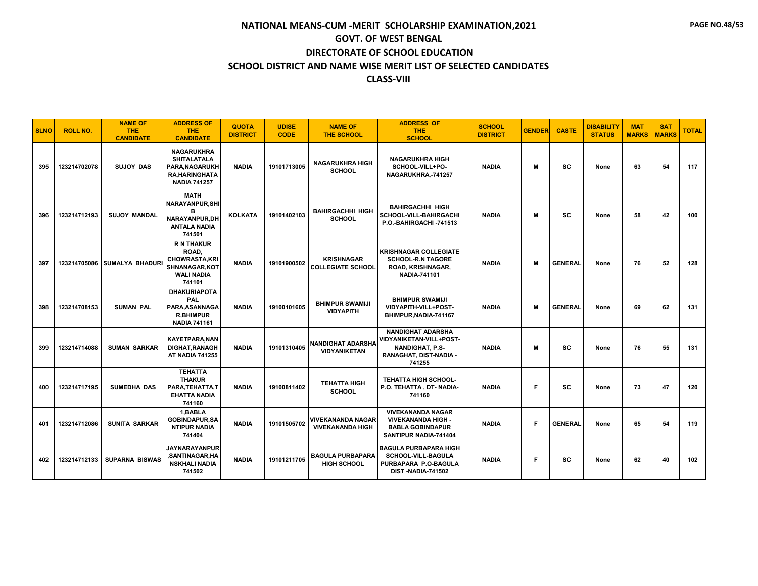| <b>SLNO</b> | <b>ROLL NO.</b> | <b>NAME OF</b><br>THE.<br><b>CANDIDATE</b> | <b>ADDRESS OF</b><br><b>THE</b><br><b>CANDIDATE</b>                                                       | <b>QUOTA</b><br><b>DISTRICT</b> | <b>UDISE</b><br><b>CODE</b> | <b>NAME OF</b><br><b>THE SCHOOL</b>                 | <b>ADDRESS OF</b><br>THE.<br><b>SCHOOL</b>                                                                        | <b>SCHOOL</b><br><b>DISTRICT</b> | <b>GENDER</b> | <b>CASTE</b>   | <b>DISABILITY</b><br><b>STATUS</b> | <b>MAT</b><br><b>MARKS</b> | <b>SAT</b><br><b>MARKS</b> | <b>TOTAL</b> |
|-------------|-----------------|--------------------------------------------|-----------------------------------------------------------------------------------------------------------|---------------------------------|-----------------------------|-----------------------------------------------------|-------------------------------------------------------------------------------------------------------------------|----------------------------------|---------------|----------------|------------------------------------|----------------------------|----------------------------|--------------|
| 395         | 123214702078    | <b>SUJOY DAS</b>                           | <b>NAGARUKHRA</b><br><b>SHITALATALA</b><br>PARA, NAGARUKH<br><b>RA, HARINGHATA</b><br><b>NADIA 741257</b> | <b>NADIA</b>                    | 19101713005                 | <b>NAGARUKHRA HIGH</b><br><b>SCHOOL</b>             | <b>NAGARUKHRA HIGH</b><br>SCHOOL-VILL+PO-<br>NAGARUKHRA,-741257                                                   | <b>NADIA</b>                     | M             | sc             | None                               | 63                         | 54                         | 117          |
| 396         | 123214712193    | <b>SUJOY MANDAL</b>                        | <b>MATH</b><br><b>NARAYANPUR, SHI</b><br>в<br><b>NARAYANPUR.DH</b><br><b>ANTALA NADIA</b><br>741501       | <b>KOLKATA</b>                  | 19101402103                 | <b>BAHIRGACHHI HIGH</b><br><b>SCHOOL</b>            | <b>BAHIRGACHHI HIGH</b><br><b>SCHOOL-VILL-BAHIRGACHI</b><br>P.O.-BAHIRGACHI-741513                                | <b>NADIA</b>                     | м             | SC             | None                               | 58                         | 42                         | 100          |
| 397         | 123214705086    | <b>SUMALYA BHADURI</b>                     | <b>R N THAKUR</b><br>ROAD,<br><b>CHOWRASTA.KRI</b><br><b>SHNANAGAR.KOT</b><br><b>WALI NADIA</b><br>741101 | <b>NADIA</b>                    | 19101900502                 | <b>KRISHNAGAR</b><br><b>COLLEGIATE SCHOOL</b>       | <b>KRISHNAGAR COLLEGIATE</b><br><b>SCHOOL-R.N TAGORE</b><br>ROAD, KRISHNAGAR,<br><b>NADIA-741101</b>              | <b>NADIA</b>                     | M             | <b>GENERAL</b> | None                               | 76                         | 52                         | 128          |
| 398         | 123214708153    | <b>SUMAN PAL</b>                           | <b>DHAKURIAPOTA</b><br>PAL<br>PARA.ASANNAGA<br><b>R.BHIMPUR</b><br><b>NADIA 741161</b>                    | <b>NADIA</b>                    | 19100101605                 | <b>BHIMPUR SWAMIJI</b><br><b>VIDYAPITH</b>          | <b>BHIMPUR SWAMIJI</b><br>VIDYAPITH-VILL+POST-<br>BHIMPUR, NADIA-741167                                           | <b>NADIA</b>                     | M             | <b>GENERAL</b> | None                               | 69                         | 62                         | 131          |
| 399         | 123214714088    | <b>SUMAN SARKAR</b>                        | <b>KAYETPARA, NAN</b><br>DIGHAT, RANAGH<br><b>AT NADIA 741255</b>                                         | <b>NADIA</b>                    | 19101310405                 | <b>NANDIGHAT ADARSHA</b><br><b>VIDYANIKETAN</b>     | <b>NANDIGHAT ADARSHA</b><br>VIDYANIKETAN-VILL+POST-<br><b>NANDIGHAT, P.S-</b><br>RANAGHAT, DIST-NADIA -<br>741255 | <b>NADIA</b>                     | M             | SC             | None                               | 76                         | 55                         | 131          |
| 400         | 123214717195    | <b>SUMEDHA DAS</b>                         | <b>TEHATTA</b><br><b>THAKUR</b><br>PARA, TEHATTA, T<br><b>EHATTA NADIA</b><br>741160                      | <b>NADIA</b>                    | 19100811402                 | <b>TEHATTA HIGH</b><br><b>SCHOOL</b>                | <b>TEHATTA HIGH SCHOOL-</b><br>P.O. TEHATTA, DT- NADIA-<br>741160                                                 | <b>NADIA</b>                     | F             | SC             | None                               | 73                         | 47                         | 120          |
| 401         | 123214712086    | <b>SUNITA SARKAR</b>                       | 1, BABLA<br><b>GOBINDAPUR,SA</b><br><b>NTIPUR NADIA</b><br>741404                                         | <b>NADIA</b>                    | 19101505702                 | <b>VIVEKANANDA NAGAR</b><br><b>VIVEKANANDA HIGH</b> | <b>VIVEKANANDA NAGAR</b><br>VIVEKANANDA HIGH -<br><b>BABLA GOBINDAPUR</b><br>SANTIPUR NADIA-741404                | <b>NADIA</b>                     | F             | <b>GENERAL</b> | None                               | 65                         | 54                         | 119          |
| 402         | 123214712133    | <b>SUPARNA BISWAS</b>                      | <b>JAYNARAYANPUR</b><br>SANTINAGAR,HA,<br><b>NSKHALI NADIA</b><br>741502                                  | <b>NADIA</b>                    | 19101211705                 | <b>BAGULA PURBAPARA</b><br><b>HIGH SCHOOL</b>       | <b>IBAGULA PURBAPARA HIGH</b><br><b>SCHOOL-VILL-BAGULA</b><br>PURBAPARA P.O-BAGULA<br><b>DIST-NADIA-741502</b>    | <b>NADIA</b>                     | F             | sc             | None                               | 62                         | 40                         | 102          |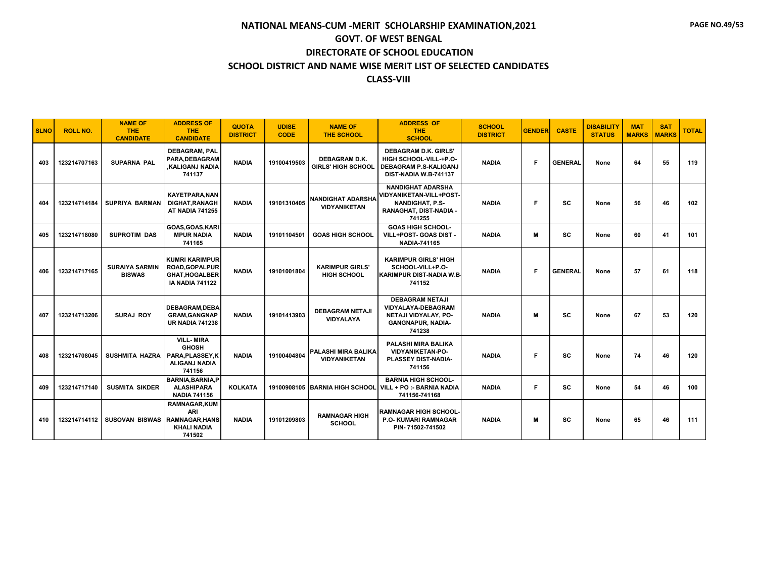| <b>SLNO</b> | <b>ROLL NO.</b> | <b>NAME OF</b><br><b>THE</b><br><b>CANDIDATE</b> | <b>ADDRESS OF</b><br><b>THE</b><br><b>CANDIDATE</b>                                              | <b>QUOTA</b><br><b>DISTRICT</b> | <b>UDISE</b><br><b>CODE</b> | <b>NAME OF</b><br>THE SCHOOL                      | <b>ADDRESS OF</b><br><b>THE</b><br><b>SCHOOL</b>                                                                         | <b>SCHOOL</b><br><b>DISTRICT</b> | <b>GENDER</b> | <b>CASTE</b>   | <b>DISABILITY</b><br><b>STATUS</b> | <b>MAT</b><br><b>MARKS</b> | <b>SAT</b><br><b>MARKS</b> | <b>TOTAL</b> |
|-------------|-----------------|--------------------------------------------------|--------------------------------------------------------------------------------------------------|---------------------------------|-----------------------------|---------------------------------------------------|--------------------------------------------------------------------------------------------------------------------------|----------------------------------|---------------|----------------|------------------------------------|----------------------------|----------------------------|--------------|
| 403         | 123214707163    | <b>SUPARNA PAL</b>                               | <b>DEBAGRAM, PAL</b><br>PARA, DEBAGRAM<br><b>.KALIGANJ NADIA</b><br>741137                       | <b>NADIA</b>                    | 19100419503                 | <b>DEBAGRAM D.K.</b><br><b>GIRLS' HIGH SCHOOL</b> | <b>DEBAGRAM D.K. GIRLS'</b><br>HIGH SCHOOL-VILL-+P.O-<br><b>DEBAGRAM P.S-KALIGANJ</b><br>DIST-NADIA W.B-741137           | <b>NADIA</b>                     | F.            | <b>GENERAL</b> | None                               | 64                         | 55                         | 119          |
| 404         | 123214714184    | <b>SUPRIYA BARMAN</b>                            | <b>KAYETPARA.NAN</b><br><b>DIGHAT.RANAGH</b><br><b>AT NADIA 741255</b>                           | <b>NADIA</b>                    | 19101310405                 | <b>NANDIGHAT ADARSHA</b><br><b>VIDYANIKETAN</b>   | <b>NANDIGHAT ADARSHA</b><br><b>VIDYANIKETAN-VILL+POST-</b><br><b>NANDIGHAT, P.S-</b><br>RANAGHAT, DIST-NADIA -<br>741255 | <b>NADIA</b>                     | F.            | sc             | None                               | 56                         | 46                         | 102          |
| 405         | 123214718080    | <b>SUPROTIM DAS</b>                              | GOAS, GOAS, KARI<br><b>MPUR NADIA</b><br>741165                                                  | <b>NADIA</b>                    | 19101104501                 | <b>GOAS HIGH SCHOOL</b>                           | <b>GOAS HIGH SCHOOL-</b><br>VILL+POST- GOAS DIST -<br><b>NADIA-741165</b>                                                | <b>NADIA</b>                     | м             | <b>SC</b>      | None                               | 60                         | 41                         | 101          |
| 406         | 123214717165    | <b>SURAIYA SARMIN</b><br><b>BISWAS</b>           | <b>KUMRI KARIMPUR</b><br><b>ROAD, GOPALPUR</b><br><b>GHAT.HOGALBER</b><br><b>IA NADIA 741122</b> | <b>NADIA</b>                    | 19101001804                 | <b>KARIMPUR GIRLS'</b><br><b>HIGH SCHOOL</b>      | <b>KARIMPUR GIRLS' HIGH</b><br>SCHOOL-VILL+P.O-<br><b>KARIMPUR DIST-NADIA W.B.</b><br>741152                             | <b>NADIA</b>                     | F.            | <b>GENERAL</b> | None                               | 57                         | 61                         | 118          |
| 407         | 123214713206    | SURAJ ROY                                        | <b>DEBAGRAM, DEBA</b><br><b>GRAM, GANGNAP</b><br><b>UR NADIA 741238</b>                          | <b>NADIA</b>                    | 19101413903                 | <b>DEBAGRAM NETAJI</b><br><b>VIDYALAYA</b>        | <b>DEBAGRAM NETAJI</b><br><b>VIDYALAYA-DEBAGRAM</b><br>NETAJI VIDYALAY, PO-<br><b>GANGNAPUR, NADIA-</b><br>741238        | <b>NADIA</b>                     | M             | SC             | None                               | 67                         | 53                         | 120          |
| 408         | 123214708045    | SUSHMITA HAZRA                                   | <b>VILL-MIRA</b><br><b>GHOSH</b><br><b>PARA.PLASSEY.K</b><br>ALIGANJ NADIA<br>741156             | <b>NADIA</b>                    | 19100404804                 | <b>PALASHI MIRA BALIKA</b><br><b>VIDYANIKETAN</b> | PALASHI MIRA BALIKA<br><b>VIDYANIKETAN-PO-</b><br>PLASSEY DIST-NADIA-<br>741156                                          | <b>NADIA</b>                     | F.            | <b>SC</b>      | None                               | 74                         | 46                         | 120          |
| 409         | 123214717140    | <b>SUSMITA SIKDER</b>                            | <b>BARNIA, BARNIA, P</b><br><b>ALASHIPARA</b><br><b>NADIA 741156</b>                             | <b>KOLKATA</b>                  | 19100908105                 | <b>BARNIA HIGH SCHOOL</b>                         | <b>BARNIA HIGH SCHOOL-</b><br>VILL + PO :- BARNIA NADIA<br>741156-741168                                                 | <b>NADIA</b>                     | F.            | <b>SC</b>      | None                               | 54                         | 46                         | 100          |
| 410         | 123214714112    | SUSOVAN BISWAS RAMNAGAR.HANS                     | <b>RAMNAGAR.KUM</b><br><b>ARI</b><br><b>KHALI NADIA</b><br>741502                                | <b>NADIA</b>                    | 19101209803                 | <b>RAMNAGAR HIGH</b><br><b>SCHOOL</b>             | <b>RAMNAGAR HIGH SCHOOL-</b><br><b>P.O. KUMARI RAMNAGAR</b><br>PIN-71502-741502                                          | <b>NADIA</b>                     | M             | SC             | None                               | 65                         | 46                         | 111          |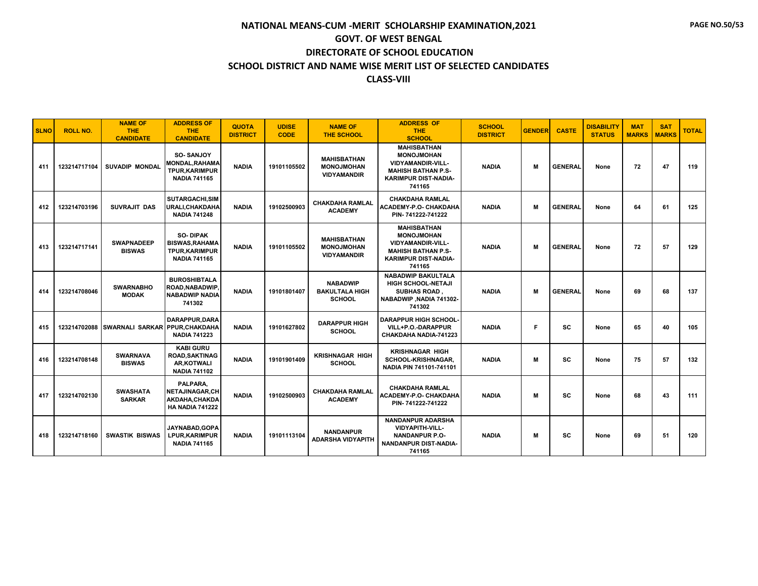| <b>SLNO</b> | <b>ROLL NO.</b> | <b>NAME OF</b><br><b>THE</b><br><b>CANDIDATE</b> | <b>ADDRESS OF</b><br><b>THE</b><br><b>CANDIDATE</b>                                       | <b>QUOTA</b><br><b>DISTRICT</b> | <b>UDISE</b><br><b>CODE</b> | <b>NAME OF</b><br><b>THE SCHOOL</b>                           | <b>ADDRESS OF</b><br><b>THE</b><br><b>SCHOOL</b>                                                                                          | <b>SCHOOL</b><br><b>DISTRICT</b> | <b>GENDER</b> | <b>CASTE</b>   | <b>DISABILITY</b><br><b>STATUS</b> | <b>MAT</b><br><b>MARKS</b> | <b>SAT</b><br><b>MARKS</b> | <b>TOTAL</b> |
|-------------|-----------------|--------------------------------------------------|-------------------------------------------------------------------------------------------|---------------------------------|-----------------------------|---------------------------------------------------------------|-------------------------------------------------------------------------------------------------------------------------------------------|----------------------------------|---------------|----------------|------------------------------------|----------------------------|----------------------------|--------------|
| 411         | 123214717104    | <b>SUVADIP MONDAL</b>                            | <b>SO-SANJOY</b><br><b>MONDAL, RAHAMA</b><br><b>TPUR, KARIMPUR</b><br><b>NADIA 741165</b> | <b>NADIA</b>                    | 19101105502                 | <b>MAHISBATHAN</b><br><b>MONOJMOHAN</b><br><b>VIDYAMANDIR</b> | <b>MAHISBATHAN</b><br><b>MONOJMOHAN</b><br><b>VIDYAMANDIR-VILL-</b><br><b>MAHISH BATHAN P.S-</b><br><b>KARIMPUR DIST-NADIA-</b><br>741165 | <b>NADIA</b>                     | M             | <b>GENERAL</b> | None                               | 72                         | 47                         | 119          |
| 412         | 123214703196    | SUVRAJIT DAS                                     | SUTARGACHI, SIM<br>URALI, CHAKDAHA<br><b>NADIA 741248</b>                                 | <b>NADIA</b>                    | 19102500903                 | <b>CHAKDAHA RAMLAL</b><br><b>ACADEMY</b>                      | <b>CHAKDAHA RAMLAL</b><br>ACADEMY-P.O- CHAKDAHA<br>PIN-741222-741222                                                                      | <b>NADIA</b>                     | M             | <b>GENERAL</b> | None                               | 64                         | 61                         | 125          |
| 413         | 123214717141    | <b>SWAPNADEEP</b><br><b>BISWAS</b>               | <b>SO-DIPAK</b><br><b>BISWAS, RAHAMA</b><br><b>TPUR, KARIMPUR</b><br><b>NADIA 741165</b>  | <b>NADIA</b>                    | 19101105502                 | <b>MAHISBATHAN</b><br><b>MONOJMOHAN</b><br><b>VIDYAMANDIR</b> | <b>MAHISBATHAN</b><br><b>MONOJMOHAN</b><br><b>VIDYAMANDIR-VILL-</b><br><b>MAHISH BATHAN P.S-</b><br>KARIMPUR DIST-NADIA-<br>741165        | <b>NADIA</b>                     | M             | <b>GENERAL</b> | None                               | 72                         | 57                         | 129          |
| 414         | 123214708046    | <b>SWARNABHO</b><br><b>MODAK</b>                 | <b>BUROSHIBTALA</b><br>ROAD, NABADWIP.<br><b>NABADWIP NADIA</b><br>741302                 | <b>NADIA</b>                    | 19101801407                 | <b>NABADWIP</b><br><b>BAKULTALA HIGH</b><br><b>SCHOOL</b>     | <b>NABADWIP BAKULTALA</b><br>HIGH SCHOOL-NETAJI<br><b>SUBHAS ROAD</b> .<br>NABADWIP, NADIA 741302-<br>741302                              | <b>NADIA</b>                     | M             | <b>GENERAL</b> | None                               | 69                         | 68                         | 137          |
| 415         |                 | 123214702088 SWARNALI SARKAR PPUR.CHAKDAHA       | <b>DARAPPUR, DARA</b><br><b>NADIA 741223</b>                                              | <b>NADIA</b>                    | 19101627802                 | <b>DARAPPUR HIGH</b><br><b>SCHOOL</b>                         | <b>DARAPPUR HIGH SCHOOL-</b><br>VILL+P.O.-DARAPPUR<br>CHAKDAHA NADIA-741223                                                               | <b>NADIA</b>                     | F             | <b>SC</b>      | None                               | 65                         | 40                         | 105          |
| 416         | 123214708148    | <b>SWARNAVA</b><br><b>BISWAS</b>                 | <b>KABI GURU</b><br><b>ROAD, SAKTINAG</b><br><b>AR,KOTWALI</b><br><b>NADIA 741102</b>     | <b>NADIA</b>                    | 19101901409                 | <b>KRISHNAGAR HIGH</b><br><b>SCHOOL</b>                       | <b>KRISHNAGAR HIGH</b><br><b>SCHOOL-KRISHNAGAR.</b><br>NADIA PIN 741101-741101                                                            | <b>NADIA</b>                     | M             | SC             | None                               | 75                         | 57                         | 132          |
| 417         | 123214702130    | <b>SWASHATA</b><br><b>SARKAR</b>                 | PALPARA,<br><b>NETAJINAGAR,CH</b><br>AKDAHA.CHAKDA<br><b>HA NADIA 741222</b>              | <b>NADIA</b>                    | 19102500903                 | <b>CHAKDAHA RAMLAL</b><br><b>ACADEMY</b>                      | <b>CHAKDAHA RAMLAL</b><br><b>ACADEMY-P.O- CHAKDAHA</b><br>PIN-741222-741222                                                               | <b>NADIA</b>                     | M             | SC             | None                               | 68                         | 43                         | 111          |
| 418         | 123214718160    | <b>SWASTIK BISWAS</b>                            | JAYNABAD, GOPA<br>LPUR, KARIMPUR<br><b>NADIA 741165</b>                                   | <b>NADIA</b>                    | 19101113104                 | <b>NANDANPUR</b><br><b>ADARSHA VIDYAPITH</b>                  | <b>NANDANPUR ADARSHA</b><br><b>VIDYAPITH-VILL-</b><br><b>NANDANPUR P.O-</b><br>NANDANPUR DIST-NADIA-<br>741165                            | <b>NADIA</b>                     | M             | <b>SC</b>      | None                               | 69                         | 51                         | 120          |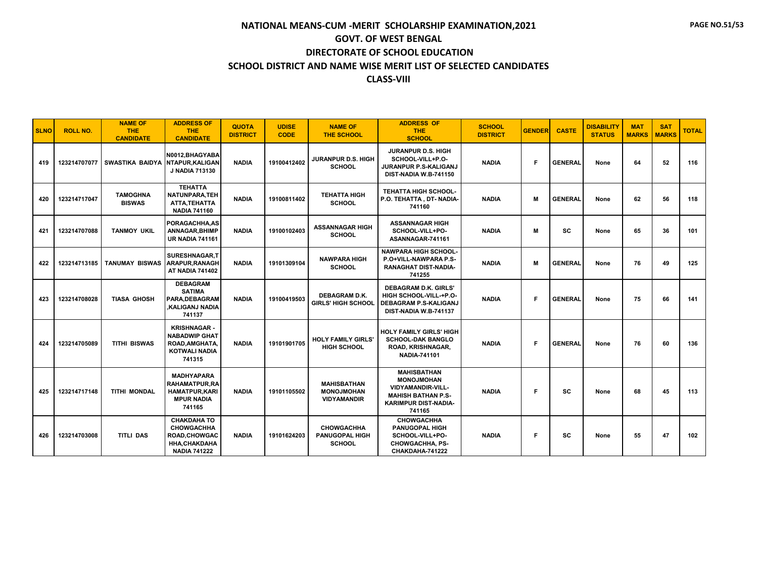| <b>SLNO</b> | <b>ROLL NO.</b> | <b>NAME OF</b><br><b>THE</b><br><b>CANDIDATE</b> | <b>ADDRESS OF</b><br><b>THE</b><br><b>CANDIDATE</b>                                                           | <b>QUOTA</b><br><b>DISTRICT</b> | <b>UDISE</b><br><b>CODE</b> | <b>NAME OF</b><br><b>THE SCHOOL</b>                           | <b>ADDRESS OF</b><br><b>THE</b><br><b>SCHOOL</b>                                                                                          | <b>SCHOOL</b><br><b>DISTRICT</b> | <b>GENDER</b> | <b>CASTE</b>   | <b>DISABILITY</b><br><b>STATUS</b> | <b>MAT</b><br><b>MARKS</b> | <b>SAT</b><br><b>MARKS</b> | <b>TOTAL</b> |
|-------------|-----------------|--------------------------------------------------|---------------------------------------------------------------------------------------------------------------|---------------------------------|-----------------------------|---------------------------------------------------------------|-------------------------------------------------------------------------------------------------------------------------------------------|----------------------------------|---------------|----------------|------------------------------------|----------------------------|----------------------------|--------------|
| 419         |                 | 123214707077 SWASTIKA BAIDYA NTAPUR, KALIGAN     | N0012, BHAGYABA<br><b>J NADIA 713130</b>                                                                      | <b>NADIA</b>                    | 19100412402                 | JURANPUR D.S. HIGH<br><b>SCHOOL</b>                           | JURANPUR D.S. HIGH<br>SCHOOL-VILL+P.O-<br>JURANPUR P.S-KALIGANJ<br>DIST-NADIA W.B-741150                                                  | <b>NADIA</b>                     | Е             | <b>GENERAL</b> | None                               | 64                         | 52                         | 116          |
| 420         | 123214717047    | <b>TAMOGHNA</b><br><b>BISWAS</b>                 | <b>TEHATTA</b><br>NATUNPARA, TEH<br>ATTA.TEHATTA<br><b>NADIA 741160</b>                                       | <b>NADIA</b>                    | 19100811402                 | <b>TEHATTA HIGH</b><br><b>SCHOOL</b>                          | <b>TEHATTA HIGH SCHOOL-</b><br>P.O. TEHATTA, DT-NADIA-<br>741160                                                                          | <b>NADIA</b>                     | М             | <b>GENERAL</b> | None                               | 62                         | 56                         | 118          |
| 421         | 123214707088    | <b>TANMOY UKIL</b>                               | PORAGACHHA.AS<br><b>ANNAGAR, BHIMP</b><br><b>UR NADIA 741161</b>                                              | <b>NADIA</b>                    | 19100102403                 | <b>ASSANNAGAR HIGH</b><br><b>SCHOOL</b>                       | <b>ASSANNAGAR HIGH</b><br>SCHOOL-VILL+PO-<br>ASANNAGAR-741161                                                                             | <b>NADIA</b>                     | м             | SC             | None                               | 65                         | 36                         | 101          |
| 422         | 123214713185    | <b>TANUMAY BISWAS</b>                            | SURESHNAGAR.T<br>ARAPUR, RANAGH<br><b>AT NADIA 741402</b>                                                     | <b>NADIA</b>                    | 19101309104                 | <b>NAWPARA HIGH</b><br><b>SCHOOL</b>                          | <b>NAWPARA HIGH SCHOOL-</b><br>P.O+VILL-NAWPARA P.S-<br><b>RANAGHAT DIST-NADIA-</b><br>741255                                             | <b>NADIA</b>                     | м             | <b>GENERAL</b> | None                               | 76                         | 49                         | 125          |
| 423         | 123214708028    | <b>TIASA GHOSH</b>                               | <b>DEBAGRAM</b><br><b>SATIMA</b><br>PARA.DEBAGRAM<br><b>.KALIGANJ NADIA</b><br>741137                         | <b>NADIA</b>                    | 19100419503                 | <b>DEBAGRAM D.K.</b><br><b>GIRLS' HIGH SCHOOL</b>             | <b>DEBAGRAM D.K. GIRLS'</b><br>HIGH SCHOOL-VILL-+P.O-<br>DEBAGRAM P.S-KALIGANJ<br>DIST-NADIA W.B-741137                                   | <b>NADIA</b>                     | Е             | <b>GENERAL</b> | None                               | 75                         | 66                         | 141          |
| 424         | 123214705089    | <b>TITHI BISWAS</b>                              | <b>KRISHNAGAR-</b><br><b>NABADWIP GHAT</b><br>ROAD, AMGHATA,<br><b>KOTWALI NADIA</b><br>741315                | <b>NADIA</b>                    | 19101901705                 | <b>HOLY FAMILY GIRLS'</b><br><b>HIGH SCHOOL</b>               | HOLY FAMILY GIRLS' HIGH<br><b>SCHOOL-DAK BANGLO</b><br>ROAD, KRISHNAGAR,<br><b>NADIA-741101</b>                                           | <b>NADIA</b>                     | F             | <b>GENERAL</b> | None                               | 76                         | 60                         | 136          |
| 425         | 123214717148    | <b>TITHI MONDAL</b>                              | <b>MADHYAPARA</b><br><b>RAHAMATPUR.RA</b><br><b>HAMATPUR.KARI</b><br><b>MPUR NADIA</b><br>741165              | <b>NADIA</b>                    | 19101105502                 | <b>MAHISBATHAN</b><br><b>MONOJMOHAN</b><br><b>VIDYAMANDIR</b> | <b>MAHISBATHAN</b><br><b>MONOJMOHAN</b><br><b>VIDYAMANDIR-VILL-</b><br><b>MAHISH BATHAN P.S-</b><br><b>KARIMPUR DIST-NADIA-</b><br>741165 | <b>NADIA</b>                     | F             | SC             | None                               | 68                         | 45                         | 113          |
| 426         | 123214703008    | <b>TITLI DAS</b>                                 | <b>CHAKDAHA TO</b><br><b>CHOWGACHHA</b><br><b>ROAD.CHOWGAC</b><br><b>HHA, CHAKDAHA</b><br><b>NADIA 741222</b> | <b>NADIA</b>                    | 19101624203                 | <b>CHOWGACHHA</b><br><b>PANUGOPAL HIGH</b><br><b>SCHOOL</b>   | <b>CHOWGACHHA</b><br><b>PANUGOPAL HIGH</b><br>SCHOOL-VILL+PO-<br><b>CHOWGACHHA, PS-</b><br>CHAKDAHA-741222                                | <b>NADIA</b>                     | F.            | SC             | None                               | 55                         | 47                         | 102          |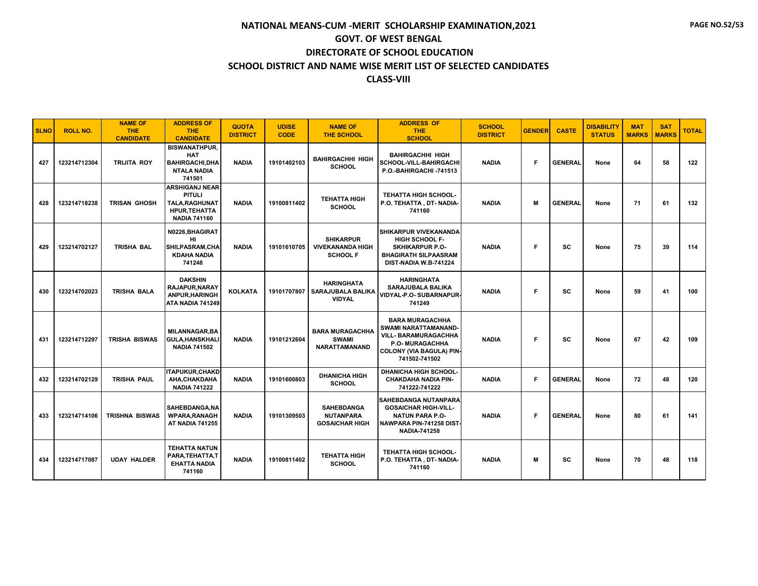| <b>SLNO</b> | <b>ROLL NO.</b> | <b>NAME OF</b><br>THE.<br><b>CANDIDATE</b> | <b>ADDRESS OF</b><br><b>THE</b><br><b>CANDIDATE</b>                                                     | <b>QUOTA</b><br><b>DISTRICT</b> | <b>UDISE</b><br><b>CODE</b> | <b>NAME OF</b><br><b>THE SCHOOL</b>                                 | <b>ADDRESS OF</b><br><b>THE</b><br><b>SCHOOL</b>                                                                                                            | <b>SCHOOL</b><br><b>DISTRICT</b> | <b>GENDER</b> | <b>CASTE</b>   | <b>DISABILITY</b><br><b>STATUS</b> | <b>MAT</b><br><b>MARKS</b> | <b>SAT</b><br><b>MARKS</b> | <b>TOTAL</b> |
|-------------|-----------------|--------------------------------------------|---------------------------------------------------------------------------------------------------------|---------------------------------|-----------------------------|---------------------------------------------------------------------|-------------------------------------------------------------------------------------------------------------------------------------------------------------|----------------------------------|---------------|----------------|------------------------------------|----------------------------|----------------------------|--------------|
| 427         | 123214712304    | <b>TRIJITA ROY</b>                         | <b>BISWANATHPUR.</b><br><b>HAT</b><br><b>BAHIRGACHI.DHA</b><br><b>NTALA NADIA</b><br>741501             | <b>NADIA</b>                    | 19101402103                 | <b>BAHIRGACHHI HIGH</b><br><b>SCHOOL</b>                            | <b>BAHIRGACHHI HIGH</b><br>SCHOOL-VILL-BAHIRGACHI<br>P.O.-BAHIRGACHI-741513                                                                                 | <b>NADIA</b>                     | E             | <b>GENERAL</b> | None                               | 64                         | 58                         | 122          |
| 428         | 123214718238    | <b>TRISAN GHOSH</b>                        | <b>ARSHIGANJ NEAR</b><br><b>PITULI</b><br>TALA, RAGHUNAT<br><b>HPUR, TEHATTA</b><br><b>NADIA 741160</b> | <b>NADIA</b>                    | 19100811402                 | <b>TEHATTA HIGH</b><br><b>SCHOOL</b>                                | <b>TEHATTA HIGH SCHOOL-</b><br>P.O. TEHATTA, DT-NADIA-<br>741160                                                                                            | <b>NADIA</b>                     | м             | <b>GENERAL</b> | None                               | 71                         | 61                         | 132          |
| 429         | 123214702127    | <b>TRISHA BAL</b>                          | N0226, BHAGIRAT<br>HI<br>SHILPASRAM, CHA<br><b>KDAHA NADIA</b><br>741248                                | <b>NADIA</b>                    | 19101610705                 | <b>SHIKARPUR</b><br><b>VIVEKANANDA HIGH</b><br><b>SCHOOL F</b>      | <b>SHIKARPUR VIVEKANANDA</b><br><b>HIGH SCHOOL F-</b><br><b>SKHIKARPUR P.O-</b><br><b>BHAGIRATH SILPAASRAM</b><br>DIST-NADIA W.B-741224                     | <b>NADIA</b>                     | F             | <b>SC</b>      | None                               | 75                         | 39                         | 114          |
| 430         | 123214702023    | <b>TRISHA BALA</b>                         | <b>DAKSHIN</b><br>RAJAPUR, NARAY<br><b>ANPUR.HARINGH</b><br>ATA NADIA 741249                            | <b>KOLKATA</b>                  |                             | <b>HARINGHATA</b><br>19101707807 SARAJUBALA BALIKA<br><b>VIDYAL</b> | <b>HARINGHATA</b><br>SARAJUBALA BALIKA<br>VIDYAL-P.O- SUBARNAPUR-<br>741249                                                                                 | <b>NADIA</b>                     | F             | SC             | None                               | 59                         | 41                         | 100          |
| 431         | 123214712297    | TRISHA BISWAS                              | <b>MILANNAGAR.BA</b><br><b>GULA, HANSKHALI</b><br><b>NADIA 741502</b>                                   | <b>NADIA</b>                    | 19101212604                 | <b>BARA MURAGACHHA</b><br><b>SWAMI</b><br><b>NARATTAMANAND</b>      | <b>BARA MURAGACHHA</b><br><b>SWAMI NARATTAMANAND-</b><br>VILL- BARAMURAGACHHA<br><b>P.O. MURAGACHHA</b><br><b>COLONY (VIA BAGULA) PIN-</b><br>741502-741502 | <b>NADIA</b>                     | F             | SC             | None                               | 67                         | 42                         | 109          |
| 432         | 123214702129    | <b>TRISHA PAUL</b>                         | <b>ITAPUKUR.CHAKD</b><br>AHA, CHAKDAHA<br><b>NADIA 741222</b>                                           | <b>NADIA</b>                    | 19101600803                 | <b>DHANICHA HIGH</b><br><b>SCHOOL</b>                               | <b>DHANICHA HIGH SCHOOL-</b><br><b>CHAKDAHA NADIA PIN-</b><br>741222-741222                                                                                 | <b>NADIA</b>                     | E             | <b>GENERAL</b> | None                               | 72                         | 48                         | 120          |
| 433         | 123214714106    | <b>TRISHNA BISWAS</b>                      | SAHEBDANGA.NA<br><b>WPARA, RANAGH</b><br><b>AT NADIA 741255</b>                                         | <b>NADIA</b>                    | 19101309503                 | <b>SAHEBDANGA</b><br><b>NUTANPARA</b><br><b>GOSAICHAR HIGH</b>      | <b>ISAHEBDANGA NUTANPARA</b><br><b>GOSAICHAR HIGH-VILL-</b><br><b>NATUN PARA P.O-</b><br>NAWPARA PIN-741258 DIST-<br><b>NADIA-741258</b>                    | <b>NADIA</b>                     | F             | <b>GENERAL</b> | None                               | 80                         | 61                         | 141          |
| 434         | 123214717087    | <b>UDAY HALDER</b>                         | <b>TEHATTA NATUN</b><br>PARA.TEHATTA.T<br><b>EHATTA NADIA</b><br>741160                                 | <b>NADIA</b>                    | 19100811402                 | <b>TEHATTA HIGH</b><br><b>SCHOOL</b>                                | <b>TEHATTA HIGH SCHOOL-</b><br>P.O. TEHATTA, DT- NADIA-<br>741160                                                                                           | <b>NADIA</b>                     | M             | SC             | None                               | 70                         | 48                         | 118          |